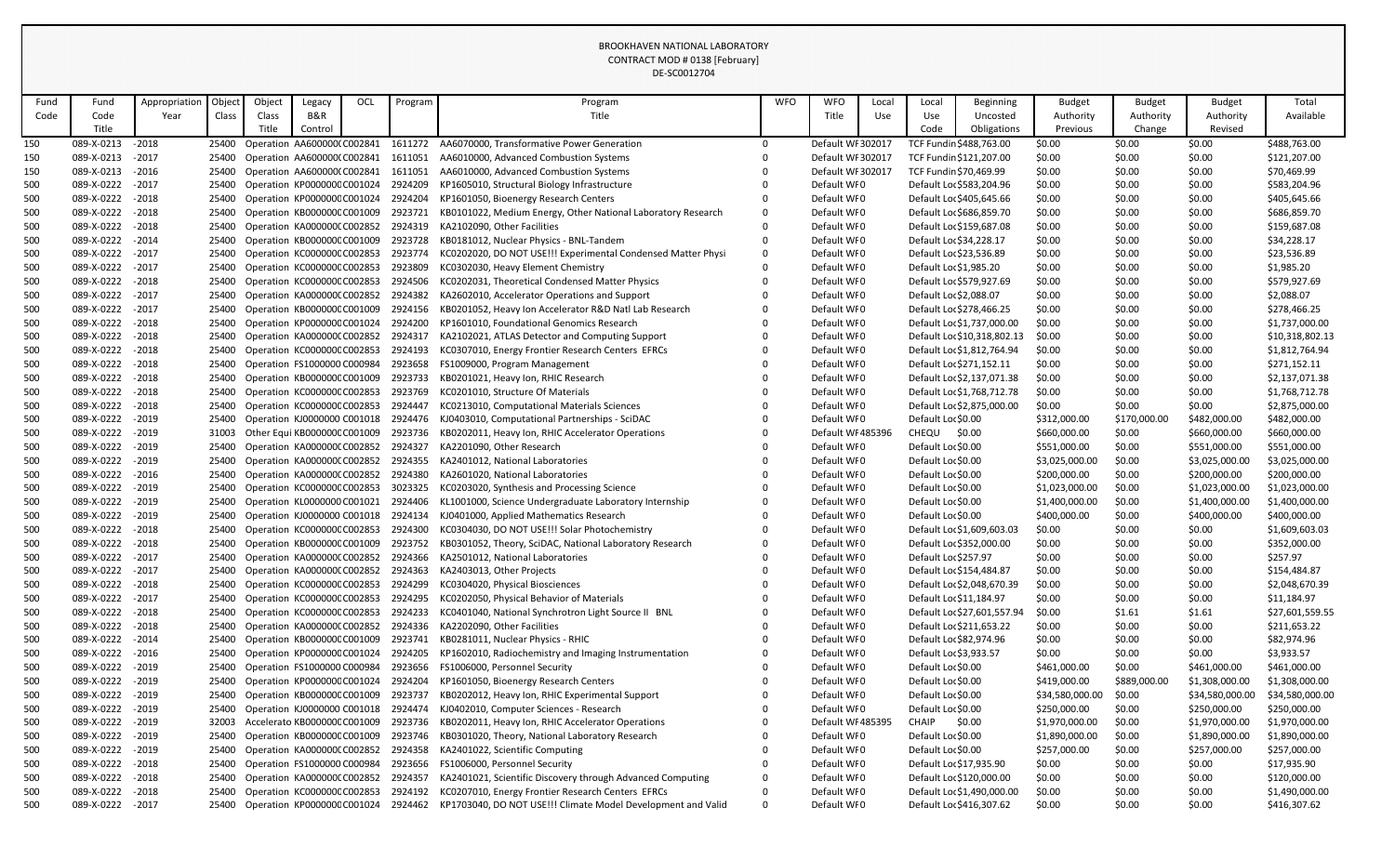|      |            |               |        |        |                              |     |         | DE-SC0012704                                                 |            |                   |       |                          |                             |                 |               |                 |                 |
|------|------------|---------------|--------|--------|------------------------------|-----|---------|--------------------------------------------------------------|------------|-------------------|-------|--------------------------|-----------------------------|-----------------|---------------|-----------------|-----------------|
| Fund | Fund       | Appropriatior | Object | Object | Legacy                       | OCL | Program | Program                                                      | <b>WFO</b> | <b>WFO</b>        | Local | Local                    | <b>Beginning</b>            | <b>Budget</b>   | <b>Budget</b> | <b>Budget</b>   | Total           |
| Code | Code       | Year          | Class  | Class  | B&R                          |     |         | Title                                                        |            | Title             | Use   | Use                      | Uncosted                    | Authority       | Authority     | Authority       | Available       |
|      | Title      |               |        |        | Control                      |     |         |                                                              |            |                   |       | Code                     | Obligations                 | Previous        | Change        | Revised         |                 |
| 150  | 089-X-0213 | $-2018$       | 25400  |        | Operation AA600000(C002841   |     | 1611272 | AA6070000, Transformative Power Generation                   | 0          | Default WI 302017 |       | TCF Fundin \$488,763.00  |                             | \$0.00          | \$0.00        | \$0.00          | \$488,763.00    |
| 150  | 089-X-0213 | $-2017$       | 25400  |        | Operation AA600000(C002841   |     | 1611051 | AA6010000, Advanced Combustion Systems                       |            | Default WI 302017 |       | TCF Fundin \$121,207.00  |                             | \$0.00          | \$0.00        | \$0.00          | \$121,207.00    |
| 150  | 089-X-0213 | $-2016$       | 25400  |        | Operation AA600000(C002841   |     | 1611051 | AA6010000, Advanced Combustion Systems                       |            | Default WI 302017 |       | TCF Fundin \$70,469.99   |                             | \$0.00          | \$0.00        | \$0.00          | \$70,469.99     |
| 500  | 089-X-0222 | $-2017$       | 25400  |        | Operation KP000000C C001024  |     | 2924209 | KP1605010, Structural Biology Infrastructure                 |            | Default WI0       |       | Default Loc \$583,204.96 |                             | \$0.00          | \$0.00        | \$0.00          | \$583,204.96    |
| 500  | 089-X-0222 | $-2018$       | 25400  |        | Operation KP000000CC001024   |     | 2924204 | KP1601050, Bioenergy Research Centers                        |            | Default WFO       |       | Default Loc \$405,645.66 |                             | \$0.00          | \$0.00        | \$0.00          | \$405,645.66    |
| 500  | 089-X-0222 | $-2018$       | 25400  |        | Operation KB000000CC001009   |     | 2923721 | KB0101022, Medium Energy, Other National Laboratory Research |            | Default WI0       |       |                          | Default Loc \$686,859.70    | \$0.00          | \$0.00        | \$0.00          | \$686,859.70    |
| 500  | 089-X-0222 | $-2018$       | 25400  |        | Operation KA000000CC002852   |     | 2924319 | KA2102090, Other Facilities                                  |            | Default WI0       |       | Default Loc \$159,687.08 |                             | \$0.00          | \$0.00        | \$0.00          | \$159,687.08    |
| 500  | 089-X-0222 | $-2014$       | 25400  |        | Operation KB000000CC001009   |     | 2923728 | KB0181012, Nuclear Physics - BNL-Tandem                      |            | Default WI0       |       | Default Loc \$34,228.17  |                             | \$0.00          | \$0.00        | \$0.00          | \$34,228.17     |
| 500  | 089-X-0222 | $-2017$       | 25400  |        | Operation KC000000CC002853   |     | 2923774 | KC0202020, DO NOT USE!!! Experimental Condensed Matter Physi |            | Default WI0       |       | Default Loc \$23,536.89  |                             | \$0.00          | \$0.00        | \$0.00          | \$23,536.89     |
| 500  | 089-X-0222 | $-2017$       | 25400  |        | Operation KC000000CC002853   |     | 2923809 | KC0302030, Heavy Element Chemistry                           |            | Default WI0       |       | Default Loc \$1,985.20   |                             | \$0.00          | \$0.00        | \$0.00          | \$1,985.20      |
| 500  | 089-X-0222 | $-2018$       | 25400  |        | Operation KC000000CC002853   |     | 2924506 | KC0202031, Theoretical Condensed Matter Physics              |            | Default WI0       |       | Default Loc \$579,927.69 |                             | \$0.00          | \$0.00        | \$0.00          | \$579,927.69    |
| 500  | 089-X-0222 | $-2017$       | 25400  |        | Operation KA000000CC002852   |     | 2924382 | KA2602010, Accelerator Operations and Support                |            | Default WI0       |       | Default Loc \$2,088.07   |                             | \$0.00          | \$0.00        | \$0.00          | \$2,088.07      |
| 500  | 089-X-0222 | $-2017$       | 25400  |        | Operation KB000000CC001009   |     | 2924156 | KB0201052, Heavy Ion Accelerator R&D Natl Lab Research       |            | Default WFO       |       | Default Loc \$278,466.25 |                             | \$0.00          | \$0.00        | \$0.00          | \$278,466.25    |
| 500  | 089-X-0222 | $-2018$       | 25400  |        | Operation KP000000CC001024   |     | 2924200 | KP1601010, Foundational Genomics Research                    |            | Default WI0       |       |                          | Default Loc \$1,737,000.00  | \$0.00          | \$0.00        | \$0.00          | \$1,737,000.00  |
| 500  | 089-X-0222 | $-2018$       | 25400  |        | Operation KA000000CC002852   |     | 2924317 | KA2102021, ATLAS Detector and Computing Support              |            | Default WFO       |       |                          | Default Loc \$10,318,802.13 | \$0.00          | \$0.00        | \$0.00          | \$10,318,802.13 |
| 500  | 089-X-0222 | $-2018$       | 25400  |        | Operation KC000000CC002853   |     | 2924193 | KC0307010, Energy Frontier Research Centers EFRCs            |            | Default WFO       |       |                          | Default Loc \$1,812,764.94  | \$0.00          | \$0.00        | \$0.00          | \$1,812,764.94  |
| 500  | 089-X-0222 | $-2018$       | 25400  |        | Operation FS1000000 C000984  |     | 2923658 | FS1009000, Program Management                                |            | Default WI0       |       |                          | Default Loc \$271,152.11    | \$0.00          | \$0.00        | \$0.00          | \$271,152.11    |
| 500  | 089-X-0222 | $-2018$       | 25400  |        | Operation KB000000CC001009   |     | 2923733 | KB0201021, Heavy Ion, RHIC Research                          |            | Default WI0       |       |                          | Default Loc \$2,137,071.38  | \$0.00          | \$0.00        | \$0.00          | \$2,137,071.38  |
| 500  | 089-X-0222 | $-2018$       | 25400  |        | Operation KC000000CC002853   |     | 2923769 | KC0201010, Structure Of Materials                            |            | Default WFO       |       |                          | Default Loc \$1,768,712.78  | \$0.00          | \$0.00        | \$0.00          | \$1,768,712.78  |
| 500  | 089-X-0222 | $-2018$       | 25400  |        | Operation KC000000CC002853   |     | 2924447 | KC0213010, Computational Materials Sciences                  |            | Default WI0       |       |                          | Default Loc \$2,875,000.00  | \$0.00          | \$0.00        | \$0.00          | \$2,875,000.00  |
| 500  | 089-X-0222 | $-2019$       | 25400  |        | Operation KJ0000000 C001018  |     | 2924476 | KJ0403010, Computational Partnerships - SciDAC               |            | Default WFO       |       | Default Loc \$0.00       |                             | \$312,000.00    | \$170,000.00  | \$482,000.00    | \$482,000.00    |
| 500  | 089-X-0222 | $-2019$       | 31003  |        | Other Equi KB000000C C001009 |     | 2923736 | KB0202011, Heavy Ion, RHIC Accelerator Operations            |            | Default WI 485396 |       | CHEQU                    | \$0.00                      | \$660,000.00    | \$0.00        | \$660,000.00    | \$660,000.00    |
| 500  | 089-X-0222 | $-2019$       | 25400  |        | Operation KA000000CC002852   |     | 2924327 | KA2201090, Other Research                                    |            | Default WI0       |       | Default Loc \$0.00       |                             | \$551,000.00    | \$0.00        | \$551,000.00    | \$551,000.00    |
| 500  | 089-X-0222 | $-2019$       | 25400  |        | Operation KA000000CC002852   |     | 2924355 | KA2401012, National Laboratories                             |            | Default WI0       |       | Default Loc \$0.00       |                             | \$3,025,000.00  | \$0.00        | \$3,025,000.00  | \$3,025,000.00  |
| 500  | 089-X-0222 | $-2016$       | 25400  |        | Operation KA000000CC002852   |     | 2924380 | KA2601020, National Laboratories                             |            | Default WI0       |       | Default Loc \$0.00       |                             | \$200,000.00    | \$0.00        | \$200,000.00    | \$200,000.00    |
| 500  | 089-X-0222 | $-2019$       | 25400  |        | Operation KC000000CC002853   |     | 3023325 | KC0203020, Synthesis and Processing Science                  |            | Default WI0       |       | Default Loc \$0.00       |                             | \$1,023,000.00  | \$0.00        | \$1,023,000.00  | \$1,023,000.00  |
| 500  | 089-X-0222 | $-2019$       | 25400  |        | Operation KL0000000 C001021  |     | 2924406 | KL1001000, Science Undergraduate Laboratory Internship       |            | Default WFO       |       | Default Lor \$0.00       |                             | \$1,400,000.00  | \$0.00        | \$1,400,000.00  | \$1,400,000.00  |
| 500  | 089-X-0222 | $-2019$       | 25400  |        | Operation KJ0000000 C001018  |     | 2924134 | KJ0401000, Applied Mathematics Research                      |            | Default WI0       |       | Default Loc \$0.00       |                             | \$400,000.00    | \$0.00        | \$400,000.00    | \$400,000.00    |
| 500  | 089-X-0222 | $-2018$       | 25400  |        | Operation KC000000C C002853  |     | 2924300 | KC0304030, DO NOT USE!!! Solar Photochemistry                |            | Default WI0       |       |                          | Default Loc \$1,609,603.03  | \$0.00          | \$0.00        | \$0.00          | \$1,609,603.03  |
| 500  | 089-X-0222 | $-2018$       | 25400  |        | Operation KB000000CC001009   |     | 2923752 | KB0301052, Theory, SciDAC, National Laboratory Research      |            | Default WI0       |       | Default Loc \$352,000.00 |                             | \$0.00          | \$0.00        | \$0.00          | \$352,000.00    |
| 500  | 089-X-0222 | $-2017$       | 25400  |        | Operation KA000000CC002852   |     | 2924366 | KA2501012, National Laboratories                             |            | Default WI0       |       | Default Loc \$257.97     |                             | \$0.00          | \$0.00        | \$0.00          | \$257.97        |
| 500  | 089-X-0222 | $-2017$       | 25400  |        | Operation KA0000000 C002852  |     | 2924363 | KA2403013, Other Projects                                    |            | Default WFO       |       | Default Loc \$154,484.87 |                             | \$0.00          | \$0.00        | \$0.00          | \$154,484.87    |
| 500  | 089-X-0222 | $-2018$       | 25400  |        | Operation KC000000CC002853   |     | 2924299 | KC0304020, Physical Biosciences                              |            | Default WI0       |       |                          | Default Loc \$2,048,670.39  | \$0.00          | \$0.00        | \$0.00          | \$2,048,670.39  |
| 500  | 089-X-0222 | $-2017$       | 25400  |        | Operation KC000000CC002853   |     | 2924295 | KC0202050, Physical Behavior of Materials                    |            | Default WI0       |       | Default Loc \$11,184.97  |                             | \$0.00          | \$0.00        | \$0.00          | \$11,184.97     |
| 500  | 089-X-0222 | $-2018$       | 25400  |        | Operation KC000000C C002853  |     | 2924233 | KC0401040, National Synchrotron Light Source II BNL          |            | Default WI0       |       |                          | Default Loc \$27,601,557.94 | \$0.00          | \$1.61        | \$1.61          | \$27,601,559.55 |
| 500  | 089-X-0222 | $-2018$       | 25400  |        | Operation KA000000CC002852   |     | 2924336 | KA2202090, Other Facilities                                  |            | Default WI0       |       |                          | Default Loc \$211,653.22    | \$0.00          | \$0.00        | \$0.00          | \$211,653.22    |
| 500  | 089-X-0222 | $-2014$       | 25400  |        | Operation KB000000CC001009   |     | 2923741 | KB0281011, Nuclear Physics - RHIC                            |            | Default WI0       |       | Default Loc \$82,974.96  |                             | \$0.00          | \$0.00        | \$0.00          | \$82,974.96     |
| 500  | 089-X-0222 | $-2016$       | 25400  |        | Operation KP000000CC001024   |     | 2924205 | KP1602010, Radiochemistry and Imaging Instrumentation        |            | Default WI0       |       | Default Loc \$3,933.57   |                             | \$0.00          | \$0.00        | \$0.00          | \$3,933.57      |
| 500  | 089-X-0222 | $-2019$       | 25400  |        | Operation FS1000000 C000984  |     | 2923656 | FS1006000, Personnel Security                                |            | Default WFO       |       | Default Loc \$0.00       |                             | \$461,000.00    | \$0.00        | \$461,000.00    | \$461,000.00    |
| 500  | 089-X-0222 | $-2019$       | 25400  |        | Operation KP000000CC001024   |     | 2924204 | KP1601050, Bioenergy Research Centers                        |            | Default WFO       |       | Default Loc \$0.00       |                             | \$419,000.00    | \$889,000.00  | \$1,308,000.00  | \$1,308,000.00  |
| 500  | 089-X-0222 | $-2019$       | 25400  |        | Operation KB000000CC001009   |     | 2923737 | KB0202012, Heavy Ion, RHIC Experimental Support              |            | Default WI0       |       | Default Loc \$0.00       |                             | \$34,580,000.00 | \$0.00        | \$34,580,000.00 | \$34,580,000.00 |
| 500  | 089-X-0222 | $-2019$       | 25400  |        | Operation KJ0000000 C001018  |     | 2924474 | KJ0402010, Computer Sciences - Research                      |            | Default WI0       |       | Default Loc \$0.00       |                             | \$250,000.00    | \$0.00        | \$250,000.00    | \$250,000.00    |
| 500  | 089-X-0222 | $-2019$       | 32003  |        | Accelerato KB000000C C001009 |     | 2923736 | KB0202011, Heavy Ion, RHIC Accelerator Operations            |            | Default WF485395  |       | <b>CHAIP</b>             | \$0.00                      | \$1,970,000.00  | \$0.00        | \$1,970,000.00  | \$1,970,000.00  |
| 500  | 089-X-0222 | $-2019$       | 25400  |        | Operation KB000000C C001009  |     | 2923746 | KB0301020, Theory, National Laboratory Research              |            | Default WI0       |       | Default Loc \$0.00       |                             | \$1,890,000.00  | \$0.00        | \$1,890,000.00  | \$1,890,000.00  |
| 500  | 089-X-0222 | $-2019$       | 25400  |        | Operation KA000000CC002852   |     | 2924358 | KA2401022, Scientific Computing                              |            | Default WI0       |       | Default Loc \$0.00       |                             | \$257,000.00    | \$0.00        | \$257,000.00    | \$257,000.00    |
| 500  | 089-X-0222 | $-2018$       | 25400  |        | Operation FS1000000 C000984  |     | 2923656 | FS1006000, Personnel Security                                |            | Default WI0       |       | Default Loc \$17,935.90  |                             | \$0.00          | \$0.00        | \$0.00          | \$17,935.90     |
| 500  | 089-X-0222 | $-2018$       | 25400  |        | Operation KA000000CC002852   |     | 2924357 | KA2401021, Scientific Discovery through Advanced Computing   |            | Default WI0       |       | Default Loc \$120,000.00 |                             | \$0.00          | \$0.00        | \$0.00          | \$120,000.00    |
| 500  | 089-X-0222 | $-2018$       | 25400  |        | Operation KC000000CC002853   |     | 2924192 | KC0207010, Energy Frontier Research Centers EFRCs            |            | Default WFO       |       |                          | Default Loc \$1,490,000.00  | \$0.00          | \$0.00        | \$0.00          | \$1,490,000.00  |
| 500  | 089-X-0222 | $-2017$       | 25400  |        | Operation KP000000CC001024   |     | 2924462 | KP1703040, DO NOT USE!!! Climate Model Development and Valid | 0          | Default WI0       |       |                          | Default Loc \$416,307.62    | \$0.00          | \$0.00        | \$0.00          | \$416,307.62    |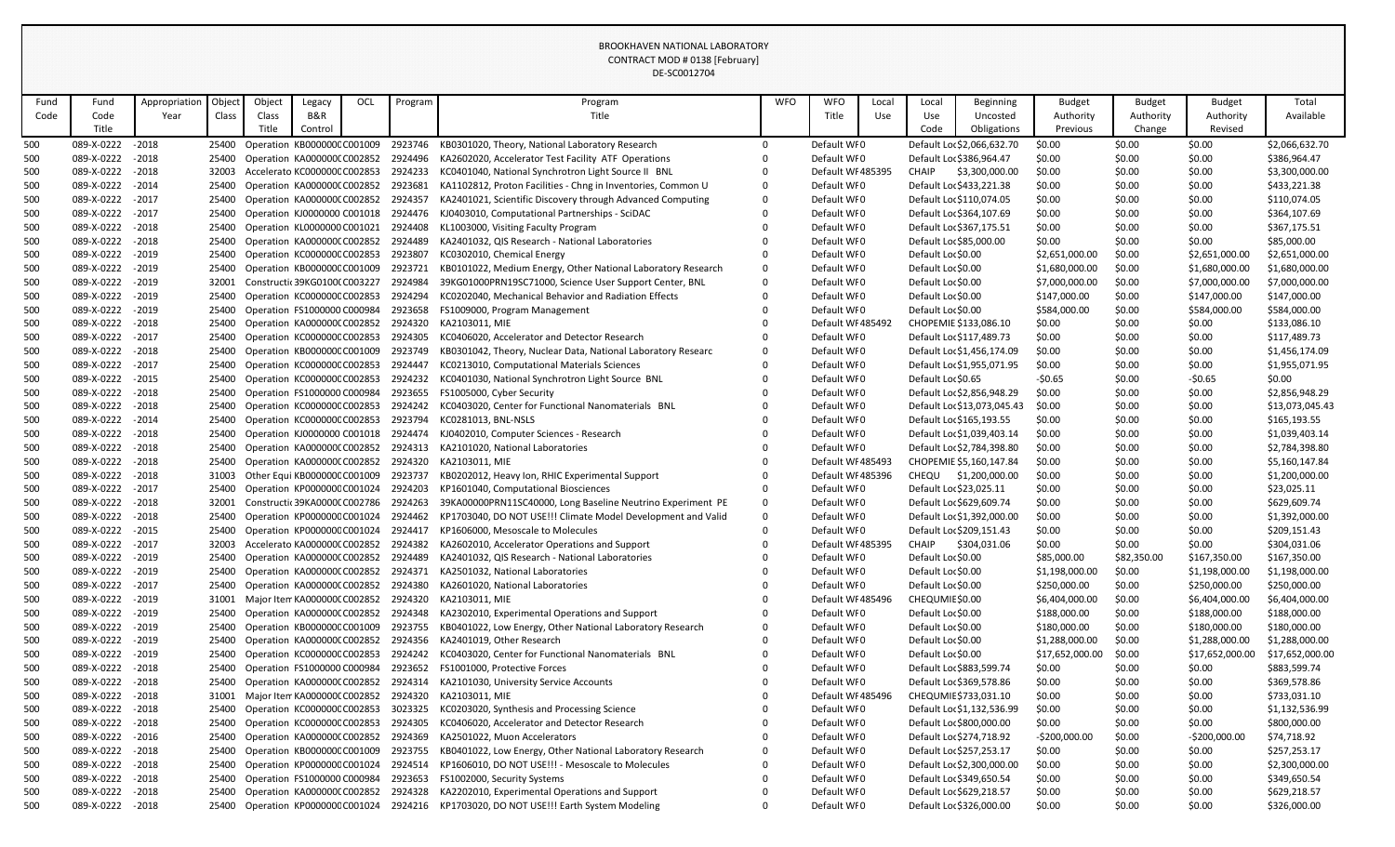|            |                          |                    |                |        |                                                            |     |                    | DE-SC0012704                                                                                          |            |                                  |       |                                  |                             |                  |                  |                  |                               |
|------------|--------------------------|--------------------|----------------|--------|------------------------------------------------------------|-----|--------------------|-------------------------------------------------------------------------------------------------------|------------|----------------------------------|-------|----------------------------------|-----------------------------|------------------|------------------|------------------|-------------------------------|
| Fund       | Fund                     | Appropriation      | Object         | Object | Legacy                                                     | OCL | Program            | Program                                                                                               | <b>WFO</b> | <b>WFO</b>                       | Local | Local                            | <b>Beginning</b>            | <b>Budget</b>    | <b>Budget</b>    | <b>Budget</b>    | Total                         |
| Code       | Code                     | Year               | Class          | Class  | B&R                                                        |     |                    | Title                                                                                                 |            | Title                            | Use   | Use                              | Uncosted                    | Authority        | Authority        | Authority        | Available                     |
|            | Title                    |                    |                | Title  | Control                                                    |     |                    |                                                                                                       |            |                                  |       | Code                             | Obligations                 | Previous         | Change           | Revised          |                               |
| 500        | 089-X-0222               | $-2018$            |                |        | 25400 Operation KB000000CC001009                           |     | 2923746            | KB0301020, Theory, National Laboratory Research                                                       | $\Omega$   | Default WF0                      |       |                                  | Default Loc \$2,066,632.70  | \$0.00           | \$0.00           | \$0.00           | \$2,066,632.70                |
| 500        | 089-X-0222               | $-2018$            |                |        | 25400 Operation KA0000000 C002852                          |     | 2924496            | KA2602020, Accelerator Test Facility ATF Operations                                                   |            | Default WI0                      |       |                                  | Default Loc \$386,964.47    | \$0.00           | \$0.00           | \$0.00           | \$386,964.47                  |
| 500        | 089-X-0222               | $-2018$            | 32003          |        | Accelerato KC000000C C002853                               |     | 2924233            | KC0401040, National Synchrotron Light Source II BNL                                                   |            | Default WI 485395                |       | <b>CHAIP</b>                     | \$3,300,000.00              | \$0.00           | \$0.00           | \$0.00           | \$3,300,000.00                |
| 500        | 089-X-0222               | $-2014$            | 25400          |        | Operation KA0000000 C002852                                |     | 2923681            | KA1102812, Proton Facilities - Chng in Inventories, Common U                                          |            | Default WI0                      |       |                                  | Default Loc \$433,221.38    | \$0.00           | \$0.00           | \$0.00           | \$433,221.38                  |
| 500        | 089-X-0222               | $-2017$            | 25400          |        | Operation KA000000CC002852                                 |     | 2924357            | KA2401021, Scientific Discovery through Advanced Computing                                            |            | Default WI0                      |       |                                  | Default Loc \$110,074.05    | \$0.00           | \$0.00           | \$0.00           | \$110,074.05                  |
| 500        | 089-X-0222               | $-2017$            | 25400          |        | Operation KJ0000000 C001018                                |     | 2924476            | KJ0403010, Computational Partnerships - SciDAC                                                        |            | Default WI0                      |       |                                  | Default Loc \$364,107.69    | \$0.00           | \$0.00           | \$0.00           | \$364,107.69                  |
| 500        | 089-X-0222               | $-2018$            |                |        | 25400 Operation KL0000000 C001021                          |     | 2924408            | KL1003000, Visiting Faculty Program                                                                   |            | Default WI0                      |       |                                  | Default Loc \$367,175.51    | \$0.00           | \$0.00           | \$0.00           | \$367,175.51                  |
| 500        | 089-X-0222               | $-2018$            |                |        | 25400 Operation KA0000000 C002852                          |     | 2924489            | KA2401032, QIS Research - National Laboratories                                                       |            | Default WI0                      |       | Default Loc \$85,000.00          |                             | \$0.00           | \$0.00           | \$0.00           | \$85,000.00                   |
| 500        | 089-X-0222               | $-2019$            | 25400          |        | Operation KC000000CC002853                                 |     | 2923807            | KC0302010, Chemical Energy                                                                            |            | Default WI0                      |       | Default Loc \$0.00               |                             | \$2,651,000.00   | \$0.00           | \$2,651,000.00   | \$2,651,000.00                |
| 500        | 089-X-0222               | $-2019$            | 25400          |        | Operation KB000000CC001009                                 |     | 2923721            | KB0101022, Medium Energy, Other National Laboratory Research                                          |            | Default WI0                      |       | Default Loc \$0.00               |                             | \$1,680,000.00   | \$0.00           | \$1,680,000.00   | \$1,680,000.00                |
| 500        | 089-X-0222               | $-2019$            | 32001          |        | Constructic 39KG01000 C003227                              |     | 2924984            | 39KG01000PRN19SC71000, Science User Support Center, BNL                                               |            | Default WI0                      |       | Default Loc \$0.00               |                             | \$7,000,000.00   | \$0.00           | \$7,000,000.00   | \$7,000,000.00                |
| 500        | 089-X-0222               | $-2019$            | 25400          |        | Operation KC000000CC002853                                 |     | 2924294            | KC0202040, Mechanical Behavior and Radiation Effects                                                  |            | Default WI0                      |       | Default Loc \$0.00               |                             | \$147,000.00     | \$0.00           | \$147,000.00     | \$147,000.00                  |
| 500        | 089-X-0222               | $-2019$            |                |        | 25400 Operation FS1000000 C000984                          |     | 2923658            | FS1009000, Program Management                                                                         |            | Default WI0                      |       | Default Loc \$0.00               |                             | \$584,000.00     | \$0.00           | \$584,000.00     | \$584,000.00                  |
| 500        | 089-X-0222               | $-2018$            |                |        | 25400 Operation KA0000000 C002852                          |     | 2924320            | KA2103011, MIE                                                                                        |            | Default WI 485492                |       |                                  | CHOPEMIE \$133,086.10       | \$0.00           | \$0.00           | \$0.00           | \$133,086.10                  |
| 500        | 089-X-0222               | $-2017$            |                |        | 25400 Operation KC000000CC002853                           |     | 2924305            | KC0406020, Accelerator and Detector Research                                                          |            | Default WI0                      |       |                                  | Default Loc \$117,489.73    | \$0.00           | \$0.00           | \$0.00           | \$117,489.73                  |
| 500        | 089-X-0222               | $-2018$            | 25400          |        | Operation KB000000CC001009                                 |     | 2923749            | KB0301042, Theory, Nuclear Data, National Laboratory Researc                                          |            | Default WI0                      |       |                                  | Default Loc \$1,456,174.09  | \$0.00           | \$0.00           | \$0.00           | \$1,456,174.09                |
| 500        | 089-X-0222               | $-2017$            |                |        | 25400 Operation KC000000CC002853                           |     | 2924447            | KC0213010, Computational Materials Sciences                                                           |            | Default WI0                      |       |                                  | Default Loc \$1,955,071.95  | \$0.00           | \$0.00           | \$0.00           | \$1,955,071.95                |
| 500        | 089-X-0222               | $-2015$            |                |        | 25400 Operation KC000000CC002853                           |     | 2924232            | KC0401030, National Synchrotron Light Source BNL                                                      |            | Default WI0                      |       | Default Loc \$0.65               |                             | $-50.65$         | \$0.00           | $-50.65$         | \$0.00                        |
| 500        | 089-X-0222               | $-2018$            |                |        | 25400 Operation FS1000000 C000984                          |     | 2923655            | FS1005000, Cyber Security                                                                             |            | Default WI0                      |       |                                  | Default Loc \$2,856,948.29  | \$0.00           | \$0.00           | \$0.00           | \$2,856,948.29                |
| 500        | 089-X-0222               | $-2018$            | 25400          |        | Operation KC000000CC002853                                 |     | 2924242            | KC0403020, Center for Functional Nanomaterials BNL                                                    |            | Default WI0                      |       |                                  | Default Loc \$13,073,045.43 | \$0.00           | \$0.00           | \$0.00           | \$13,073,045.43               |
| 500        | 089-X-0222               | $-2014$            | 25400          |        | Operation KC000000CC002853                                 |     | 2923794            | KC0281013, BNL-NSLS                                                                                   |            | Default WI0                      |       |                                  | Default Loc \$165,193.55    | \$0.00           | \$0.00           | \$0.00           | \$165,193.55                  |
| 500        | 089-X-0222               | $-2018$            | 25400          |        | Operation KJ0000000 C001018                                |     | 2924474            | KJ0402010, Computer Sciences - Research                                                               |            | Default WI0                      |       |                                  | Default Loc \$1,039,403.14  | \$0.00           | \$0.00           | \$0.00           | \$1,039,403.14                |
| 500        | 089-X-0222               | $-2018$            |                |        | 25400 Operation KA0000000 C002852                          |     | 2924313            | KA2101020, National Laboratories                                                                      |            | Default WI0                      |       |                                  | Default Loc \$2,784,398.80  | \$0.00           | \$0.00           | \$0.00           | \$2,784,398.80                |
| 500        | 089-X-0222               | $-2018$            | 25400          |        | Operation KA0000000 C002852                                |     | 2924320            | KA2103011, MIE                                                                                        |            | Default WI 485493                |       |                                  | CHOPEMIE \$5,160,147.84     | \$0.00           | \$0.00           | \$0.00           | \$5,160,147.84                |
| 500<br>500 | 089-X-0222<br>089-X-0222 | $-2018$<br>$-2017$ | 31003<br>25400 |        | Other Equi KB000000C C001009<br>Operation KP000000CC001024 |     | 2923737<br>2924203 | KB0202012, Heavy Ion, RHIC Experimental Support<br>KP1601040, Computational Biosciences               |            | Default WI 485396<br>Default WI0 |       | CHEQU<br>Default Loc \$23,025.11 | \$1,200,000.00              | \$0.00<br>\$0.00 | \$0.00<br>\$0.00 | \$0.00<br>\$0.00 | \$1,200,000.00<br>\$23,025.11 |
| 500        | 089-X-0222 - 2018        |                    |                |        |                                                            |     |                    | 32001 Constructic39KA0000CC002786 2924263 39KA00000PRN11SC40000, Long Baseline Neutrino Experiment PE |            | Default WFO                      |       |                                  | Default Loc \$629,609.74    | \$0.00           | \$0.00           | \$0.00           | \$629,609.74                  |
| 500        | 089-X-0222               | $-2018$            | 25400          |        | Operation KP000000CC001024                                 |     | 2924462            | KP1703040, DO NOT USE!!! Climate Model Development and Valid                                          |            | Default WFO                      |       |                                  | Default Loc \$1,392,000.00  | \$0.00           | \$0.00           | \$0.00           | \$1,392,000.00                |
| 500        | 089-X-0222               | $-2015$            |                |        | 25400 Operation KP000000CC001024                           |     | 2924417            | KP1606000, Mesoscale to Molecules                                                                     |            | Default WI0                      |       |                                  | Default Loc \$209,151.43    | \$0.00           | \$0.00           | \$0.00           | \$209,151.43                  |
| 500        | 089-X-0222               | $-2017$            | 32003          |        | Accelerato KA0000000 C002852                               |     | 2924382            | KA2602010, Accelerator Operations and Support                                                         |            | Default WI 485395                |       | CHAIP                            | \$304,031.06                | \$0.00           | \$0.00           | \$0.00           | \$304,031.06                  |
| 500        | 089-X-0222               | $-2019$            | 25400          |        | Operation KA0000000 C002852                                |     | 2924489            | KA2401032, QIS Research - National Laboratories                                                       |            | Default WI0                      |       | Default Loc \$0.00               |                             | \$85,000.00      | \$82,350.00      | \$167,350.00     | \$167,350.00                  |
| 500        | 089-X-0222               | $-2019$            |                |        | 25400 Operation KA0000000 C002852                          |     | 2924371            | KA2501032, National Laboratories                                                                      |            | Default WF0                      |       | Default Loc \$0.00               |                             | \$1,198,000.00   | \$0.00           | \$1,198,000.00   | \$1,198,000.00                |
| 500        | 089-X-0222               | $-2017$            | 25400          |        | Operation KA000000CC002852                                 |     | 2924380            | KA2601020, National Laboratories                                                                      |            | Default WF0                      |       | Default Loc \$0.00               |                             | \$250,000.00     | \$0.00           | \$250,000.00     | \$250,000.00                  |
| 500        | 089-X-0222               | $-2019$            | 31001          |        | Major Item KA0000000 C002852                               |     | 2924320            | KA2103011, MIE                                                                                        |            | Default WF485496                 |       | CHEQUMIE \$0.00                  |                             | \$6,404,000.00   | \$0.00           | \$6,404,000.00   | \$6,404,000.00                |
| 500        | 089-X-0222               | $-2019$            | 25400          |        | Operation KA000000CC002852                                 |     | 2924348            | KA2302010, Experimental Operations and Support                                                        |            | Default WI0                      |       | Default Loc \$0.00               |                             | \$188,000.00     | \$0.00           | \$188,000.00     | \$188,000.00                  |
| 500        | 089-X-0222               | $-2019$            |                |        | 25400 Operation KB000000CC001009                           |     | 2923755            | KB0401022, Low Energy, Other National Laboratory Research                                             |            | Default WF0                      |       | Default Loc \$0.00               |                             | \$180,000.00     | \$0.00           | \$180,000.00     | \$180,000.00                  |
| 500        | 089-X-0222               | $-2019$            |                |        | 25400 Operation KA0000000 C002852                          |     | 2924356            | KA2401019, Other Research                                                                             |            | Default WI0                      |       | Default Loc \$0.00               |                             | \$1,288,000.00   | \$0.00           | \$1,288,000.00   | \$1,288,000.00                |
| 500        | 089-X-0222               | $-2019$            |                |        | 25400 Operation KC000000CC002853                           |     | 2924242            | KC0403020, Center for Functional Nanomaterials BNL                                                    |            | Default WF0                      |       | Default Loc \$0.00               |                             | \$17,652,000.00  | \$0.00           | \$17,652,000.00  | \$17,652,000.00               |
| 500        | 089-X-0222               | $-2018$            |                |        | 25400 Operation FS1000000 C000984                          |     | 2923652            | FS1001000, Protective Forces                                                                          |            | Default WI0                      |       |                                  | Default Loc \$883,599.74    | \$0.00           | \$0.00           | \$0.00           | \$883,599.74                  |
| 500        | 089-X-0222               | $-2018$            | 25400          |        | Operation KA000000CC002852                                 |     | 2924314            | KA2101030, University Service Accounts                                                                |            | Default WI0                      |       |                                  | Default Loc \$369,578.86    | \$0.00           | \$0.00           | \$0.00           | \$369,578.86                  |
| 500        | 089-X-0222               | $-2018$            | 31001          |        | Major Item KA000000( C002852                               |     | 2924320            | KA2103011, MIE                                                                                        |            | Default WI 485496                |       |                                  | CHEQUMIE \$733,031.10       | \$0.00           | \$0.00           | \$0.00           | \$733,031.10                  |
| 500        | 089-X-0222               | $-2018$            |                |        | 25400 Operation KC000000CC002853                           |     | 3023325            | KC0203020, Synthesis and Processing Science                                                           |            | Default WI0                      |       |                                  | Default Loc \$1,132,536.99  | \$0.00           | \$0.00           | \$0.00           | \$1,132,536.99                |
| 500        | 089-X-0222               | $-2018$            |                |        | 25400 Operation KC000000CC002853                           |     | 2924305            | KC0406020, Accelerator and Detector Research                                                          |            | Default WF0                      |       |                                  | Default Loc \$800,000.00    | \$0.00           | \$0.00           | \$0.00           | \$800,000.00                  |
| 500        | 089-X-0222               | $-2016$            | 25400          |        | Operation KA000000CC002852                                 |     | 2924369            | KA2501022, Muon Accelerators                                                                          |            | Default WI0                      |       |                                  | Default Loc \$274,718.92    | $-5200,000.00$   | \$0.00           | $-5200,000.00$   | \$74,718.92                   |
| 500        | 089-X-0222               | $-2018$            |                |        | 25400 Operation KB000000CC001009                           |     | 2923755            | KB0401022, Low Energy, Other National Laboratory Research                                             |            | Default WI0                      |       |                                  | Default Loc \$257,253.17    | \$0.00           | \$0.00           | \$0.00           | \$257,253.17                  |
| 500        | 089-X-0222               | $-2018$            |                |        | 25400 Operation KP000000CC001024                           |     | 2924514            | KP1606010, DO NOT USE!!! - Mesoscale to Molecules                                                     |            | Default WI0                      |       |                                  | Default Loc \$2,300,000.00  | \$0.00           | \$0.00           | \$0.00           | \$2,300,000.00                |
| 500        | 089-X-0222               | $-2018$            |                |        | 25400 Operation FS1000000 C000984                          |     | 2923653            | FS1002000, Security Systems                                                                           |            | Default WI0                      |       |                                  | Default Loc \$349,650.54    | \$0.00           | \$0.00           | \$0.00           | \$349,650.54                  |
| 500        | 089-X-0222               | $-2018$            |                |        | 25400 Operation KA0000000 C002852                          |     | 2924328            | KA2202010, Experimental Operations and Support                                                        |            | Default WI0                      |       |                                  | Default Loc \$629,218.57    | \$0.00           | \$0.00           | \$0.00           | \$629,218.57                  |
| 500        | 089-X-0222               | $-2018$            |                |        | 25400 Operation KP000000CC001024                           |     | 2924216            | KP1703020, DO NOT USE!!! Earth System Modeling                                                        |            | Default WF0                      |       |                                  | Default Loc \$326,000.00    | \$0.00           | \$0.00           | \$0.00           | \$326,000.00                  |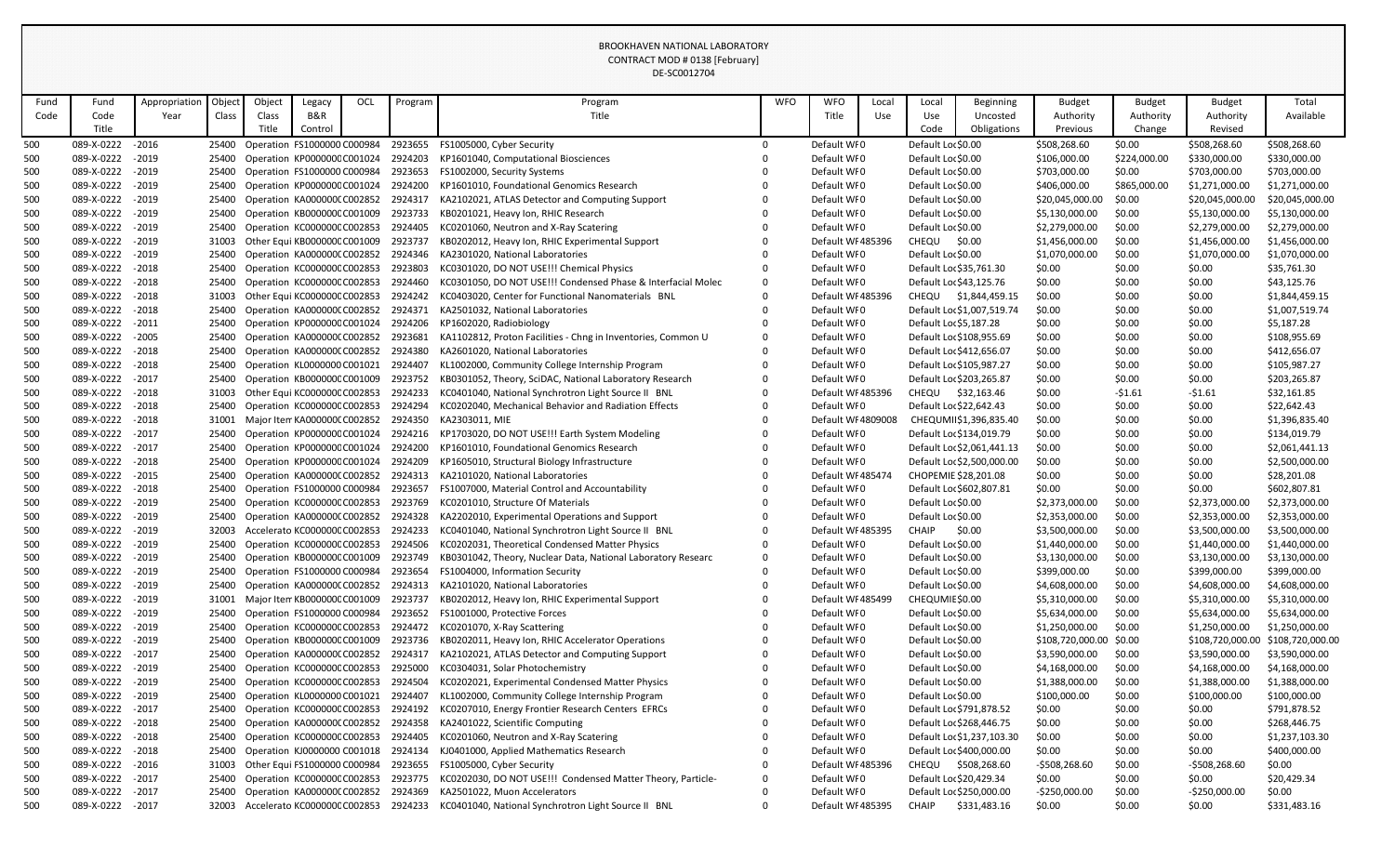|            |                          |                    |                |        |                                                            |     |                    | DE-SC0012704                                                                                                                  |            |                                 |       |                                    |                            |                                  |                  |                                  |                                   |
|------------|--------------------------|--------------------|----------------|--------|------------------------------------------------------------|-----|--------------------|-------------------------------------------------------------------------------------------------------------------------------|------------|---------------------------------|-------|------------------------------------|----------------------------|----------------------------------|------------------|----------------------------------|-----------------------------------|
| Fund       | Fund                     | Appropriation      | Object         | Object | Legacy                                                     | OCL | Program            | Program                                                                                                                       | <b>WFO</b> | <b>WFO</b>                      | Local | Local                              | <b>Beginning</b>           | <b>Budget</b>                    | <b>Budget</b>    | <b>Budget</b>                    | Total                             |
| Code       | Code                     | Year               | Class          | Class  | B&R                                                        |     |                    | Title                                                                                                                         |            | Title                           | Use   | Use                                | Uncosted                   | Authority                        | Authority        | Authority                        | Available                         |
|            | Title                    |                    |                | Title  | Control                                                    |     |                    |                                                                                                                               |            |                                 |       | Code                               | Obligations                | Previous                         | Change           | Revised                          |                                   |
| 500        | 089-X-0222               | $-2016$            |                |        | 25400 Operation FS1000000 C000984                          |     | 2923655            | FS1005000, Cyber Security                                                                                                     |            | Default WI0                     |       | Default Loc \$0.00                 |                            | \$508,268.60                     | \$0.00           | \$508,268.60                     | \$508,268.60                      |
| 500        | 089-X-0222               | $-2019$            | 25400          |        | Operation KP000000CC001024                                 |     | 2924203            | KP1601040, Computational Biosciences                                                                                          |            | Default WI0                     |       | Default Loc \$0.00                 |                            | \$106,000.00                     | \$224,000.00     | \$330,000.00                     | \$330,000.00                      |
| 500        | 089-X-0222               | $-2019$            | 25400          |        | Operation FS1000000 C000984                                |     | 2923653            | FS1002000, Security Systems                                                                                                   |            | Default WI0                     |       | Default Loc \$0.00                 |                            | \$703,000.00                     | \$0.00           | \$703,000.00                     | \$703,000.00                      |
| 500        | 089-X-0222               | $-2019$            | 25400          |        | Operation KP000000C C001024                                |     | 2924200            | KP1601010, Foundational Genomics Research                                                                                     |            | Default WI0                     |       | Default Loc \$0.00                 |                            | \$406,000.00                     | \$865,000.00     | \$1,271,000.00                   | \$1,271,000.00                    |
| 500        | 089-X-0222               | $-2019$            | 25400          |        | Operation KA0000000 C002852                                |     | 2924317            | KA2102021, ATLAS Detector and Computing Support                                                                               |            | Default WF0                     |       | Default Loc \$0.00                 |                            | \$20,045,000.00                  | \$0.00           | \$20,045,000.00                  | \$20,045,000.00                   |
| 500        | 089-X-0222               | $-2019$            | 25400          |        | Operation KB000000C C001009                                |     | 2923733            | KB0201021, Heavy Ion, RHIC Research                                                                                           |            | Default WI0                     |       | Default Loc \$0.00                 |                            | \$5,130,000.00                   | \$0.00           | \$5,130,000.00                   | \$5,130,000.00                    |
| 500        | 089-X-0222               | $-2019$            |                |        | 25400 Operation KC000000CC002853                           |     | 2924405            | KC0201060, Neutron and X-Ray Scatering                                                                                        |            | Default WI0                     |       | Default Loc \$0.00                 |                            | \$2,279,000.00                   | \$0.00           | \$2,279,000.00                   | \$2,279,000.00                    |
| 500        | 089-X-0222               | $-2019$            | 31003          |        | Other Equi KB000000C C001009                               |     | 2923737            | KB0202012, Heavy Ion, RHIC Experimental Support                                                                               |            | Default WI 485396               |       | <b>CHEQU</b>                       | \$0.00                     | \$1,456,000.00                   | \$0.00           | \$1,456,000.00                   | \$1,456,000.00                    |
| 500        | 089-X-0222               | $-2019$            | 25400          |        | Operation KA0000000 C002852                                |     | 2924346            | KA2301020, National Laboratories                                                                                              |            | Default WI0                     |       | Default Loc \$0.00                 |                            | \$1,070,000.00                   | \$0.00           | \$1,070,000.00                   | \$1,070,000.00                    |
| 500        | 089-X-0222               | $-2018$            | 25400          |        | Operation KC000000C C002853                                |     | 2923803            | KC0301020, DO NOT USE!!! Chemical Physics                                                                                     |            | Default WI0                     |       |                                    | Default Loc \$35,761.30    | \$0.00                           | \$0.00           | \$0.00                           | \$35,761.30                       |
| 500        | 089-X-0222               | $-2018$            | 25400          |        | Operation KC000000CC002853                                 |     | 2924460            | KC0301050, DO NOT USE!!! Condensed Phase & Interfacial Molec                                                                  |            | Default WI0                     |       |                                    | Default Loc \$43,125.76    | \$0.00                           | \$0.00           | \$0.00                           | \$43,125.76                       |
| 500        | 089-X-0222               | $-2018$            | 31003          |        | Other Equi KC000000C C002853                               |     | 2924242            | KC0403020, Center for Functional Nanomaterials BNL                                                                            |            | Default WI 485396               |       |                                    | CHEQU \$1,844,459.15       | \$0.00                           | \$0.00           | \$0.00                           | \$1,844,459.15                    |
| 500        | 089-X-0222               | $-2018$            | 25400          |        | Operation KA0000000 C002852                                |     | 2924371            | KA2501032, National Laboratories                                                                                              |            | Default WI0                     |       |                                    | Default Loc \$1,007,519.74 | \$0.00                           | \$0.00           | \$0.00                           | \$1,007,519.74                    |
| 500        | 089-X-0222               | $-2011$            | 25400          |        | Operation KP000000C C001024                                |     | 2924206            | KP1602020, Radiobiology                                                                                                       |            | Default WI0                     |       |                                    | Default Loc \$5,187.28     | \$0.00                           | \$0.00           | \$0.00                           | \$5,187.28                        |
| 500        | 089-X-0222               | $-2005$            | 25400          |        | Operation KA0000000 C002852                                |     | 2923681            | KA1102812, Proton Facilities - Chng in Inventories, Common U                                                                  |            | Default WI0                     |       |                                    | Default Loc \$108,955.69   | \$0.00                           | \$0.00           | \$0.00                           | \$108,955.69                      |
| 500        | 089-X-0222               | $-2018$            | 25400          |        | Operation KA0000000 C002852                                |     | 2924380            | KA2601020, National Laboratories                                                                                              |            | Default WI0                     |       |                                    | Default Loc \$412,656.07   | \$0.00                           | \$0.00           | \$0.00                           | \$412,656.07                      |
| 500        | 089-X-0222               | $-2018$            | 25400          |        | Operation KL0000000 C001021                                |     | 2924407            | KL1002000, Community College Internship Program                                                                               |            | Default WI0                     |       |                                    | Default Loc \$105,987.27   | \$0.00                           | \$0.00           | \$0.00                           | \$105,987.27                      |
| 500        | 089-X-0222               | $-2017$            | 25400          |        | Operation KB000000CC001009                                 |     | 2923752            | KB0301052, Theory, SciDAC, National Laboratory Research                                                                       |            | Default WI0                     |       |                                    | Default Loc \$203,265.87   | \$0.00                           | \$0.00           | \$0.00                           | \$203,265.87                      |
| 500        | 089-X-0222               | $-2018$            | 31003          |        | Other Equi KC000000C C002853                               |     | 2924233            | KC0401040, National Synchrotron Light Source II BNL                                                                           |            | Default WF485396                |       |                                    | CHEQU \$32,163.46          | \$0.00                           | $-51.61$         | $-51.61$                         | \$32,161.85                       |
| 500        | 089-X-0222               | $-2018$            | 25400          |        | Operation KC000000C C002853                                |     | 2924294            | KC0202040, Mechanical Behavior and Radiation Effects                                                                          |            | Default WI0                     |       |                                    | Default Loc \$22,642.43    | \$0.00                           | \$0.00           | \$0.00                           | \$22,642.43                       |
| 500        | 089-X-0222               | $-2018$            | 31001          |        | Major Item KA0000000 C002852                               |     | 2924350            | KA2303011, MIE                                                                                                                |            | Default WI 4809008              |       |                                    | CHEQUMII\$1,396,835.40     | \$0.00                           | \$0.00           | \$0.00                           | \$1,396,835.40                    |
| 500        | 089-X-0222               | $-2017$            | 25400          |        | Operation KP000000C C001024                                |     | 2924216            | KP1703020, DO NOT USE!!! Earth System Modeling                                                                                |            | Default WI0                     |       |                                    | Default Loc \$134,019.79   | \$0.00                           | \$0.00           | \$0.00                           | \$134,019.79                      |
| 500        | 089-X-0222               | $-2017$            | 25400          |        | Operation KP000000C C001024                                |     | 2924200            | KP1601010, Foundational Genomics Research                                                                                     |            | Default WF0                     |       |                                    | Default Loc \$2,061,441.13 | \$0.00                           | \$0.00           | \$0.00                           | \$2,061,441.13                    |
| 500        | 089-X-0222               | $-2018$            | 25400          |        | Operation KP000000C C001024                                |     | 2924209            | KP1605010, Structural Biology Infrastructure                                                                                  |            | Default WI0                     |       |                                    | Default Loc \$2,500,000.00 | \$0.00                           | \$0.00           | \$0.00                           | \$2,500,000.00                    |
| 500        | 089-X-0222               | $-2015$            | 25400          |        | Operation KA0000000 C002852                                |     | 2924313            | KA2101020, National Laboratories                                                                                              |            | Default WI 485474               |       |                                    | CHOPEMIE \$28,201.08       | \$0.00                           | \$0.00           | \$0.00                           | \$28,201.08                       |
| 500        | 089-X-0222               | $-2018$            | 25400          |        | Operation FS1000000 C000984                                |     | 2923657            | FS1007000, Material Control and Accountability<br>25400 Operation KC000000C C002853 2923769 KC0201010, Structure Of Materials |            | Default WI0                     |       |                                    | Default Loc \$602,807.81   | \$0.00                           | \$0.00           | \$0.00                           | \$602,807.81                      |
| 500        | 089-X-0222 - 2019        |                    |                |        |                                                            |     |                    |                                                                                                                               |            | Default WI0                     |       | Default Loc \$0.00                 |                            | \$2,373,000.00                   | \$0.00           | \$2,373,000.00                   | \$2,373,000.00                    |
| 500        | 089-X-0222<br>089-X-0222 | $-2019$<br>$-2019$ | 25400<br>32003 |        | Operation KA0000000 C002852<br>Accelerato KC000000CC002853 |     | 2924328<br>2924233 | KA2202010, Experimental Operations and Support<br>KC0401040, National Synchrotron Light Source II BNL                         |            | Default WI0<br>Default WF485395 |       | Default Loc \$0.00<br><b>CHAIP</b> | \$0.00                     | \$2,353,000.00<br>\$3,500,000.00 | \$0.00           | \$2,353,000.00<br>\$3,500,000.00 | \$2,353,000.00<br>\$3,500,000.00  |
| 500<br>500 | 089-X-0222               | $-2019$            | 25400          |        | Operation KC000000CC002853                                 |     | 2924506            | KC0202031, Theoretical Condensed Matter Physics                                                                               |            | Default WI0                     |       | Default Loc \$0.00                 |                            | \$1,440,000.00                   | \$0.00<br>\$0.00 | \$1,440,000.00                   | \$1,440,000.00                    |
| 500        | 089-X-0222               | $-2019$            | 25400          |        | Operation KB000000CC001009                                 |     | 2923749            | KB0301042, Theory, Nuclear Data, National Laboratory Researc                                                                  |            | Default WI0                     |       | Default Loc \$0.00                 |                            | \$3,130,000.00                   | \$0.00           | \$3,130,000.00                   | \$3,130,000.00                    |
| 500        | 089-X-0222               | $-2019$            | 25400          |        | Operation FS1000000 C000984                                |     | 2923654            | FS1004000, Information Security                                                                                               |            | Default WF0                     |       | Default Loc \$0.00                 |                            | \$399,000.00                     | \$0.00           | \$399,000.00                     | \$399,000.00                      |
| 500        | 089-X-0222               | $-2019$            | 25400          |        | Operation KA0000000 C002852                                |     | 2924313            | KA2101020, National Laboratories                                                                                              |            | Default WI0                     |       | Default Loc \$0.00                 |                            | \$4,608,000.00                   | \$0.00           | \$4,608,000.00                   | \$4,608,000.00                    |
| 500        | 089-X-0222               | $-2019$            | 31001          |        | Major Item KB000000C C001009                               |     | 2923737            | KB0202012, Heavy Ion, RHIC Experimental Support                                                                               |            | Default WI 485499               |       | CHEQUMIE \$0.00                    |                            | \$5,310,000.00                   | \$0.00           | \$5,310,000.00                   | \$5,310,000.00                    |
| 500        | 089-X-0222               | $-2019$            | 25400          |        | Operation FS1000000 C000984                                |     | 2923652            | FS1001000, Protective Forces                                                                                                  |            | Default WI0                     |       | Default Loc \$0.00                 |                            | \$5,634,000.00                   | \$0.00           | \$5,634,000.00                   | \$5,634,000.00                    |
| 500        | 089-X-0222               | $-2019$            | 25400          |        | Operation KC000000CC002853                                 |     | 2924472            | KC0201070, X-Ray Scattering                                                                                                   |            | Default WI0                     |       | Default Loc \$0.00                 |                            | \$1,250,000.00                   | \$0.00           | \$1,250,000.00                   | \$1,250,000.00                    |
| 500        | 089-X-0222               | $-2019$            | 25400          |        | Operation KB000000CC001009                                 |     | 2923736            | KB0202011, Heavy Ion, RHIC Accelerator Operations                                                                             |            | Default WI0                     |       | Default Loc \$0.00                 |                            | \$108,720,000.00 \$0.00          |                  |                                  | \$108,720,000.00 \$108,720,000.00 |
| 500        | 089-X-0222               | $-2017$            | 25400          |        | Operation KA0000000 C002852                                |     | 2924317            | KA2102021, ATLAS Detector and Computing Support                                                                               |            | Default WF0                     |       | Default Loc \$0.00                 |                            | \$3,590,000.00                   | \$0.00           | \$3,590,000.00                   | \$3,590,000.00                    |
| 500        | 089-X-0222               | $-2019$            | 25400          |        | Operation KC000000C C002853                                |     | 2925000            | KC0304031, Solar Photochemistry                                                                                               |            | Default WI0                     |       | Default Loc \$0.00                 |                            | \$4,168,000.00                   | \$0.00           | \$4,168,000.00                   | \$4,168,000.00                    |
| 500        | 089-X-0222               | $-2019$            | 25400          |        | Operation KC000000CC002853                                 |     | 2924504            | KC0202021, Experimental Condensed Matter Physics                                                                              |            | Default WF0                     |       | Default Loc \$0.00                 |                            | \$1,388,000.00                   | \$0.00           | \$1,388,000.00                   | \$1,388,000.00                    |
| 500        | 089-X-0222               | $-2019$            | 25400          |        | Operation KL0000000 C001021                                |     | 2924407            | KL1002000, Community College Internship Program                                                                               |            | Default WI0                     |       | Default Loc \$0.00                 |                            | \$100,000.00                     | \$0.00           | \$100,000.00                     | \$100,000.00                      |
| 500        | 089-X-0222               | $-2017$            | 25400          |        | Operation KC000000CC002853                                 |     | 2924192            | KC0207010, Energy Frontier Research Centers EFRCs                                                                             |            | Default WI0                     |       |                                    | Default Loc \$791,878.52   | \$0.00                           | \$0.00           | \$0.00                           | \$791,878.52                      |
| 500        | 089-X-0222               | $-2018$            | 25400          |        | Operation KA0000000 C002852                                |     | 2924358            | KA2401022, Scientific Computing                                                                                               |            | Default WI0                     |       |                                    | Default Loc \$268,446.75   | \$0.00                           | \$0.00           | \$0.00                           | \$268,446.75                      |
| 500        | 089-X-0222               | $-2018$            | 25400          |        | Operation KC000000C C002853                                |     | 2924405            | KC0201060, Neutron and X-Ray Scatering                                                                                        |            | Default WF0                     |       |                                    | Default Loc \$1,237,103.30 | \$0.00                           | \$0.00           | \$0.00                           | \$1,237,103.30                    |
| 500        | 089-X-0222               | $-2018$            | 25400          |        | Operation KJ0000000 C001018                                |     | 2924134            | KJ0401000, Applied Mathematics Research                                                                                       |            | Default WI0                     |       |                                    | Default Loc \$400,000.00   | \$0.00                           | \$0.00           | \$0.00                           | \$400,000.00                      |
| 500        | 089-X-0222               | $-2016$            | 31003          |        | Other Equi FS1000000 C000984                               |     | 2923655            | FS1005000, Cyber Security                                                                                                     |            | Default WF485396                |       | <b>CHEQU</b>                       | \$508,268.60               | $-5508,268.60$                   | \$0.00           | -\$508,268.60                    | \$0.00                            |
| 500        | 089-X-0222               | $-2017$            | 25400          |        | Operation KC000000CC002853                                 |     | 2923775            | KC0202030, DO NOT USE!!! Condensed Matter Theory, Particle-                                                                   |            | Default WI0                     |       |                                    | Default Loc \$20,429.34    | \$0.00                           | \$0.00           | \$0.00                           | \$20,429.34                       |
| 500        | 089-X-0222               | $-2017$            | 25400          |        | Operation KA0000000 C002852                                |     | 2924369            | KA2501022, Muon Accelerators                                                                                                  |            | Default WI0                     |       |                                    | Default Loc \$250,000.00   | -\$250,000.00                    | \$0.00           | $-$250,000.00$                   | \$0.00                            |
| 500        | 089-X-0222               | $-2017$            | 32003          |        | Accelerato KC000000C C002853                               |     | 2924233            | KC0401040, National Synchrotron Light Source II BNL                                                                           |            | Default WF485395                |       | CHAIP                              | \$331,483.16               | \$0.00                           | \$0.00           | \$0.00                           | \$331,483.16                      |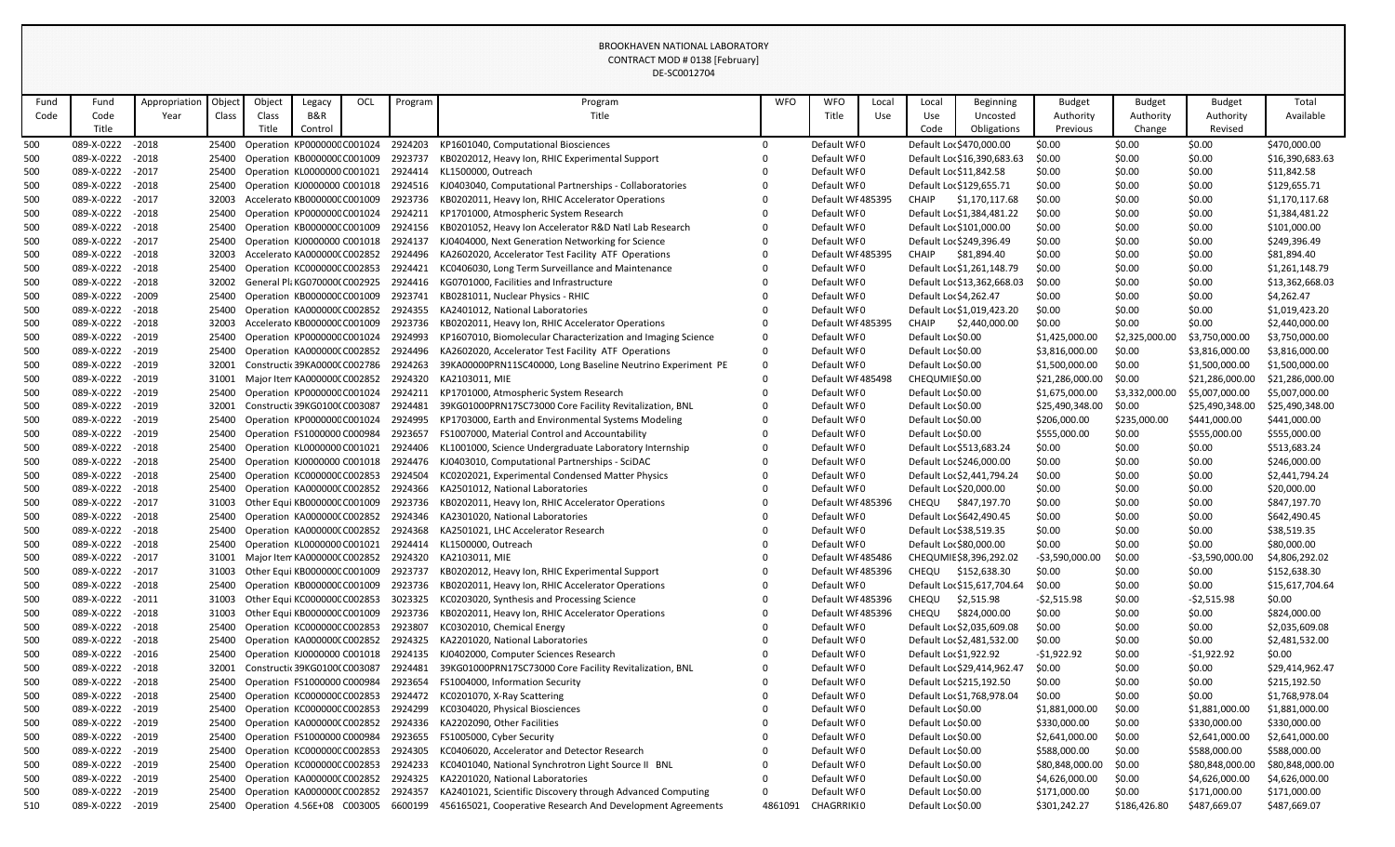|            |                          |                    |                |        |                                                                    |     |         | DE-SC0012704                                                            |            |                                  |       |                    |                                                     |                  |                  |                  |                             |
|------------|--------------------------|--------------------|----------------|--------|--------------------------------------------------------------------|-----|---------|-------------------------------------------------------------------------|------------|----------------------------------|-------|--------------------|-----------------------------------------------------|------------------|------------------|------------------|-----------------------------|
| Fund       | Fund                     | Appropriation      | Object         | Object | Legacy                                                             | OCL | Program | Program                                                                 | <b>WFO</b> | <b>WFO</b>                       | Local | Local              | <b>Beginning</b>                                    | <b>Budget</b>    | <b>Budget</b>    | <b>Budget</b>    | Total                       |
| Code       | Code                     | Year               | Class          | Class  | B&R                                                                |     |         | Title                                                                   |            | Title                            | Use   | Use                | Uncosted                                            | Authority        | Authority        | Authority        | Available                   |
|            | Title                    |                    |                | Title  | Control                                                            |     |         |                                                                         |            |                                  |       | Code               | Obligations                                         | Previous         | Change           | Revised          |                             |
| 500        | 089-X-0222               | $-2018$            | 25400          |        | Operation KP000000C C001024                                        |     | 2924203 | KP1601040, Computational Biosciences                                    |            | Default WI0                      |       |                    | Default Loc \$470,000.00                            | \$0.00           | \$0.00           | \$0.00           | \$470,000.00                |
| 500        | 089-X-0222               | $-2018$            | 25400          |        | Operation KB000000CC001009                                         |     | 2923737 | KB0202012, Heavy Ion, RHIC Experimental Support                         |            | Default WF0                      |       |                    | Default Loc \$16,390,683.63                         | \$0.00           | \$0.00           | \$0.00           | \$16,390,683.63             |
| 500        | 089-X-0222               | $-2017$            | 25400          |        | Operation KL0000000 C001021                                        |     | 2924414 | KL1500000, Outreach                                                     |            | Default WI0                      |       |                    | Default Loc \$11,842.58                             | \$0.00           | \$0.00           | \$0.00           | \$11,842.58                 |
| 500        | 089-X-0222               | $-2018$            | 25400          |        | Operation KJ0000000 C001018                                        |     | 2924516 | KJ0403040, Computational Partnerships - Collaboratories                 |            | Default WI0                      |       |                    | Default Loc \$129,655.71                            | \$0.00           | \$0.00           | \$0.00           | \$129,655.71                |
| 500        | 089-X-0222               | $-2017$            | 32003          |        | Accelerato KB000000C C001009                                       |     | 2923736 | KB0202011, Heavy Ion, RHIC Accelerator Operations                       |            | Default WF485395                 |       | <b>CHAIP</b>       | \$1,170,117.68                                      | \$0.00           | \$0.00           | \$0.00           | \$1,170,117.68              |
| 500        | 089-X-0222               | $-2018$            | 25400          |        | Operation KP000000C C001024                                        |     | 2924211 | KP1701000, Atmospheric System Research                                  |            | Default WF0                      |       |                    | Default Loc \$1,384,481.22                          | \$0.00           | \$0.00           | \$0.00           | \$1,384,481.22              |
| 500        | 089-X-0222               | $-2018$            | 25400          |        | Operation KB000000CC001009                                         |     | 2924156 | KB0201052, Heavy Ion Accelerator R&D Natl Lab Research                  |            | Default WI0                      |       |                    | Default Loc \$101,000.00                            | \$0.00           | \$0.00           | \$0.00           | \$101,000.00                |
| 500        | 089-X-0222               | $-2017$            | 25400          |        | Operation KJ0000000 C001018                                        |     | 2924137 | KJ0404000, Next Generation Networking for Science                       |            | Default WI0                      |       |                    | Default Loc \$249,396.49                            | \$0.00           | \$0.00           | \$0.00           | \$249,396.49                |
| 500        | 089-X-0222               | $-2018$            | 32003          |        | Accelerato KA0000000 C002852                                       |     | 2924496 | KA2602020, Accelerator Test Facility ATF Operations                     |            | Default WF485395                 |       | <b>CHAIP</b>       | \$81,894.40                                         | \$0.00           | \$0.00           | \$0.00           | \$81,894.40                 |
| 500        | 089-X-0222               | $-2018$            | 25400          |        | Operation KC000000C C002853                                        |     | 2924421 | KC0406030, Long Term Surveillance and Maintenance                       |            | Default WI0                      |       |                    | Default Loc \$1,261,148.79                          | \$0.00           | \$0.00           | \$0.00           | \$1,261,148.79              |
| 500        | 089-X-0222               | $-2018$            | 32002          |        | General Pla KG0700000 C002925                                      |     | 2924416 | KG0701000, Facilities and Infrastructure                                |            | Default WI0                      |       |                    | Default Loc \$13,362,668.03                         | \$0.00           | \$0.00           | \$0.00           | \$13,362,668.03             |
| 500        | 089-X-0222               | $-2009$            | 25400          |        | Operation KB000000C C001009                                        |     | 2923741 | KB0281011, Nuclear Physics - RHIC                                       |            | Default WI0                      |       |                    | Default Loc \$4,262.47                              | \$0.00           | \$0.00           | \$0.00           | \$4,262.47                  |
| 500        | 089-X-0222               | $-2018$            | 25400          |        | Operation KA000000CC002852                                         |     | 2924355 | KA2401012, National Laboratories                                        |            | Default WI0                      |       |                    | Default Loc \$1,019,423.20                          | \$0.00           | \$0.00           | \$0.00           | \$1,019,423.20              |
| 500        | 089-X-0222               | $-2018$            | 32003          |        | Accelerato KB000000C C001009                                       |     | 2923736 | KB0202011, Heavy Ion, RHIC Accelerator Operations                       |            | Default WI 485395                |       | CHAIP              | \$2,440,000.00                                      | \$0.00           | \$0.00           | \$0.00           | \$2,440,000.00              |
| 500        | 089-X-0222               | $-2019$            | 25400          |        | Operation KP000000C C001024                                        |     | 2924993 | KP1607010, Biomolecular Characterization and Imaging Science            |            | Default WF0                      |       | Default Loc \$0.00 |                                                     | \$1,425,000.00   | \$2,325,000.00   | \$3,750,000.00   | \$3,750,000.00              |
| 500        | 089-X-0222               | $-2019$            | 25400          |        | Operation KA0000000 C002852                                        |     | 2924496 | KA2602020, Accelerator Test Facility ATF Operations                     |            | Default WI0                      |       | Default Loc \$0.00 |                                                     | \$3,816,000.00   | \$0.00           | \$3,816,000.00   | \$3,816,000.00              |
| 500        | 089-X-0222               | $-2019$            | 32001          |        | Constructic 39KA0000CC002786                                       |     | 2924263 | 39KA00000PRN11SC40000, Long Baseline Neutrino Experiment PE             |            | Default WI0                      |       | Default Loc \$0.00 |                                                     | \$1,500,000.00   | \$0.00           | \$1,500,000.00   | \$1,500,000.00              |
| 500        | 089-X-0222               | $-2019$            | 31001          |        | Major Item KA0000000 C002852                                       |     | 2924320 | KA2103011, MIE                                                          |            | Default WI 485498                |       | CHEQUMIE \$0.00    |                                                     | \$21,286,000.00  | \$0.00           | \$21,286,000.00  | \$21,286,000.00             |
| 500        | 089-X-0222               | $-2019$            | 25400          |        | Operation KP000000C C001024                                        |     | 2924211 | KP1701000, Atmospheric System Research                                  |            | Default WI0                      |       | Default Loc \$0.00 |                                                     | \$1,675,000.00   | \$3,332,000.00   | \$5,007,000.00   | \$5,007,000.00              |
| 500        | 089-X-0222               | $-2019$            | 32001          |        | Constructic 39KG01000 C003087                                      |     | 2924481 | 39KG01000PRN17SC73000 Core Facility Revitalization, BNL                 |            | Default WI0                      |       | Default Loc \$0.00 |                                                     | \$25,490,348.00  | \$0.00           | \$25,490,348.00  | \$25,490,348.00             |
| 500        | 089-X-0222               | $-2019$            | 25400          |        | Operation KP000000C C001024                                        |     | 2924995 | KP1703000, Earth and Environmental Systems Modeling                     |            | Default WI0                      |       | Default Loc \$0.00 |                                                     | \$206,000.00     | \$235,000.00     | \$441,000.00     | \$441,000.00                |
| 500        | 089-X-0222               | $-2019$            | 25400          |        | Operation FS1000000 C000984                                        |     | 2923657 | FS1007000, Material Control and Accountability                          |            | Default WI0                      |       | Default Loc \$0.00 |                                                     | \$555,000.00     | \$0.00           | \$555,000.00     | \$555,000.00                |
| 500        | 089-X-0222               | $-2018$            | 25400          |        | Operation KL0000000 C001021                                        |     | 2924406 | KL1001000, Science Undergraduate Laboratory Internship                  |            | Default WI0                      |       |                    | Default Loc \$513,683.24                            | \$0.00           | \$0.00           | \$0.00           | \$513,683.24                |
| 500        | 089-X-0222               | $-2018$            | 25400          |        | Operation KJ0000000 C001018                                        |     | 2924476 | KJ0403010, Computational Partnerships - SciDAC                          |            | Default WI0                      |       |                    | Default Loc \$246,000.00                            | \$0.00           | \$0.00           | \$0.00           | \$246,000.00                |
| 500        | 089-X-0222               | $-2018$            | 25400          |        | Operation KC000000CC002853                                         |     | 2924504 | KC0202021, Experimental Condensed Matter Physics                        |            | Default WF0                      |       |                    | Default Loc \$2,441,794.24                          | \$0.00           | \$0.00           | \$0.00           | \$2,441,794.24              |
| 500        | 089-X-0222               | $-2018$            | 25400          |        | Operation KA0000000 C002852                                        |     | 2924366 | KA2501012, National Laboratories                                        |            | Default WI0                      |       |                    | Default Loc \$20,000.00                             | \$0.00           | \$0.00           | \$0.00           | \$20,000.00                 |
| 500        | 089-X-0222<br>089-X-0222 | $-2017$            | 31003          |        | Other Equi KB000000C C001009                                       |     |         | 2923736 KB0202011, Heavy Ion, RHIC Accelerator Operations               |            | Default WI 485396<br>Default WI0 |       | <b>CHEQU</b>       | \$847,197.70                                        | \$0.00           | \$0.00           | \$0.00           | \$847,197.70                |
| 500        | 089-X-0222               | $-2018$<br>$-2018$ | 25400<br>25400 |        | Operation KA0000000 C002852 2924346<br>Operation KA0000000 C002852 |     | 2924368 | KA2301020, National Laboratories<br>KA2501021, LHC Accelerator Research |            | Default WF0                      |       |                    | Default Loc \$642,490.45<br>Default Loc \$38,519.35 | \$0.00<br>\$0.00 | \$0.00<br>\$0.00 | \$0.00<br>\$0.00 | \$642,490.45<br>\$38,519.35 |
| 500<br>500 | 089-X-0222               | $-2018$            | 25400          |        | Operation KL0000000 C001021                                        |     | 2924414 | KL1500000, Outreach                                                     |            | Default WI0                      |       |                    | Default Loc \$80,000.00                             | \$0.00           | \$0.00           | \$0.00           | \$80,000.00                 |
| 500        | 089-X-0222               | $-2017$            | 31001          |        | Major Item KA0000000 C002852                                       |     | 2924320 | KA2103011, MIE                                                          |            | Default WF485486                 |       |                    | CHEQUMIE \$8,396,292.02                             | -\$3,590,000.00  | \$0.00           | $-53,590,000.00$ | \$4,806,292.02              |
| 500        | 089-X-0222               | $-2017$            | 31003          |        | Other Equi KB000000C C001009                                       |     | 2923737 | KB0202012, Heavy Ion, RHIC Experimental Support                         |            | Default WF485396                 |       | <b>CHEQU</b>       | \$152,638.30                                        | \$0.00           | \$0.00           | \$0.00           | \$152,638.30                |
| 500        | 089-X-0222               | $-2018$            | 25400          |        | Operation KB000000CC001009                                         |     | 2923736 | KB0202011, Heavy Ion, RHIC Accelerator Operations                       |            | Default WF0                      |       |                    | Default Loc \$15,617,704.64                         | \$0.00           | \$0.00           | \$0.00           | \$15,617,704.64             |
| 500        | 089-X-0222               | $-2011$            | 31003          |        | Other Equi KC000000C C002853                                       |     | 3023325 | KC0203020, Synthesis and Processing Science                             |            | Default WF485396                 |       | CHEQU              | \$2,515.98                                          | $-52,515.98$     | \$0.00           | $-52,515.98$     | \$0.00                      |
| 500        | 089-X-0222               | $-2018$            | 31003          |        | Other Equi KB000000C C001009                                       |     | 2923736 | KB0202011, Heavy Ion, RHIC Accelerator Operations                       |            | Default WF485396                 |       | CHEQU              | \$824,000.00                                        | \$0.00           | \$0.00           | \$0.00           | \$824,000.00                |
| 500        | 089-X-0222               | $-2018$            | 25400          |        | Operation KC000000CC002853                                         |     | 2923807 | KC0302010, Chemical Energy                                              |            | Default WI0                      |       |                    | Default Loc \$2,035,609.08                          | \$0.00           | \$0.00           | \$0.00           | \$2,035,609.08              |
| 500        | 089-X-0222               | $-2018$            | 25400          |        | Operation KA0000000 C002852                                        |     | 2924325 | KA2201020, National Laboratories                                        |            | Default WF0                      |       |                    | Default Loc \$2,481,532.00                          | \$0.00           | \$0.00           | \$0.00           | \$2,481,532.00              |
| 500        | 089-X-0222               | $-2016$            | 25400          |        | Operation KJ0000000 C001018                                        |     | 2924135 | KJ0402000, Computer Sciences Research                                   |            | Default WF0                      |       |                    | Default Loc \$1,922.92                              | $-51,922.92$     | \$0.00           | $-51,922.92$     | \$0.00                      |
| 500        | 089-X-0222               | $-2018$            | 32001          |        | Constructic 39KG01000 C003087                                      |     | 2924481 | 39KG01000PRN17SC73000 Core Facility Revitalization, BNL                 |            | Default WF0                      |       |                    | Default Loc \$29,414,962.47                         | \$0.00           | \$0.00           | \$0.00           | \$29,414,962.47             |
| 500        | 089-X-0222               | $-2018$            | 25400          |        | Operation FS1000000 C000984                                        |     | 2923654 | FS1004000, Information Security                                         |            | Default WI0                      |       |                    | Default Loc \$215,192.50                            | \$0.00           | \$0.00           | \$0.00           | \$215,192.50                |
| 500        | 089-X-0222               | $-2018$            | 25400          |        | Operation KC000000CC002853                                         |     | 2924472 | KC0201070, X-Ray Scattering                                             |            | Default WF0                      |       |                    | Default Loc \$1,768,978.04                          | \$0.00           | \$0.00           | \$0.00           | \$1,768,978.04              |
| 500        | 089-X-0222               | $-2019$            | 25400          |        | Operation KC000000CC002853                                         |     | 2924299 | KC0304020, Physical Biosciences                                         |            | Default WI0                      |       | Default Loc \$0.00 |                                                     | \$1,881,000.00   | \$0.00           | \$1,881,000.00   | \$1,881,000.00              |
| 500        | 089-X-0222               | $-2019$            | 25400          |        | Operation KA0000000 C002852                                        |     | 2924336 | KA2202090, Other Facilities                                             |            | Default WI0                      |       | Default Loc \$0.00 |                                                     | \$330,000.00     | \$0.00           | \$330,000.00     | \$330,000.00                |
| 500        | 089-X-0222               | $-2019$            | 25400          |        | Operation FS1000000 C000984                                        |     | 2923655 | FS1005000, Cyber Security                                               |            | Default WI0                      |       | Default Loc \$0.00 |                                                     | \$2,641,000.00   | \$0.00           | \$2,641,000.00   | \$2,641,000.00              |
| 500        | 089-X-0222               | $-2019$            | 25400          |        | Operation KC000000CC002853                                         |     | 2924305 | KC0406020, Accelerator and Detector Research                            |            | Default WI0                      |       | Default Loc \$0.00 |                                                     | \$588,000.00     | \$0.00           | \$588,000.00     | \$588,000.00                |
| 500        | 089-X-0222               | $-2019$            | 25400          |        | Operation KC000000CC002853                                         |     | 2924233 | KC0401040, National Synchrotron Light Source II BNL                     |            | Default WF0                      |       | Default Loc \$0.00 |                                                     | \$80,848,000.00  | \$0.00           | \$80,848,000.00  | \$80,848,000.00             |
| 500        | 089-X-0222               | $-2019$            | 25400          |        | Operation KA0000000 C002852                                        |     | 2924325 | KA2201020, National Laboratories                                        |            | Default WF0                      |       | Default Loc \$0.00 |                                                     | \$4,626,000.00   | \$0.00           | \$4,626,000.00   | \$4,626,000.00              |
| 500        | 089-X-0222               | $-2019$            |                |        | 25400 Operation KA0000000 C002852                                  |     | 2924357 | KA2401021, Scientific Discovery through Advanced Computing              |            | Default WI0                      |       | Default Loc \$0.00 |                                                     | \$171,000.00     | \$0.00           | \$171,000.00     | \$171,000.00                |
| 510        | 089-X-0222               | $-2019$            |                |        | 25400 Operation 4.56E+08 C003005                                   |     | 6600199 | 456165021, Cooperative Research And Development Agreements              | 4861091    | <b>CHAGRRIKIO</b>                |       | Default Loc \$0.00 |                                                     | \$301,242.27     | \$186,426.80     | \$487,669.07     | \$487,669.07                |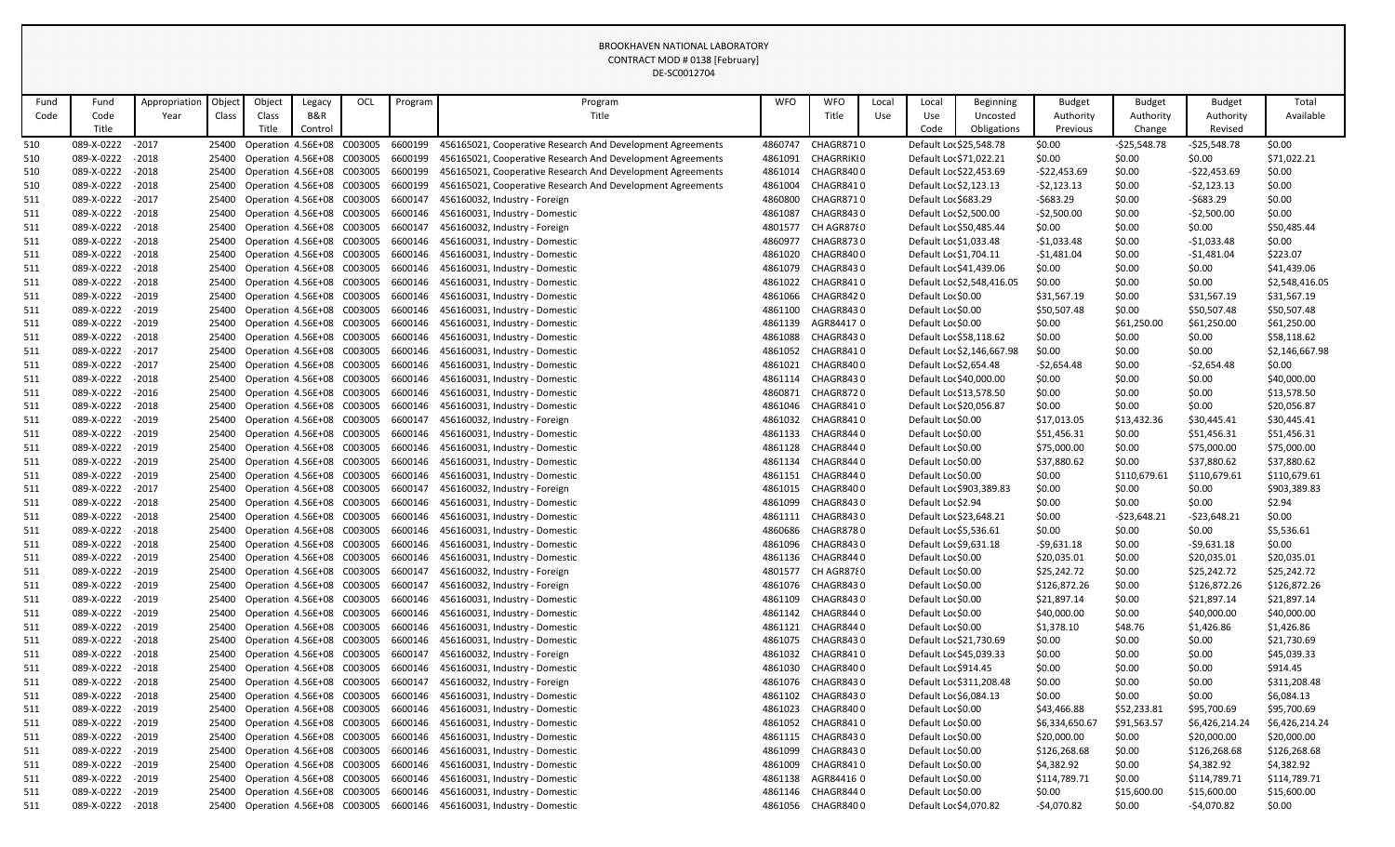|            |                          |                    |                |                                                          |         |     |                    | DE-SCOUTZ704                                                     |                    |                        |       |                                          |                            |                            |                  |                            |                            |
|------------|--------------------------|--------------------|----------------|----------------------------------------------------------|---------|-----|--------------------|------------------------------------------------------------------|--------------------|------------------------|-------|------------------------------------------|----------------------------|----------------------------|------------------|----------------------------|----------------------------|
| Fund       | Fund                     | Appropriation      | Object         | Object                                                   | Legacy  | OCL | Program            | Program                                                          | <b>WFO</b>         | <b>WFO</b>             | Local | Local                                    | <b>Beginning</b>           | <b>Budget</b>              | <b>Budget</b>    | <b>Budget</b>              | Total                      |
| Code       | Code                     | Year               | Class          | Class                                                    | B&R     |     |                    | Title                                                            |                    | Title                  | Use   | Use                                      | Uncosted                   | Authority                  | Authority        | Authority                  | Available                  |
|            | Title                    |                    |                | Title                                                    | Control |     |                    |                                                                  |                    |                        |       | Code                                     | Obligations                | Previous                   | Change           | Revised                    |                            |
| 510        | 089-X-0222               | $-2017$            | 25400          | Operation 4.56E+08 C003005                               |         |     | 6600199            | 456165021, Cooperative Research And Development Agreements       | 4860747            | CHAGR8710              |       | Default Loc \$25,548.78                  |                            | \$0.00                     | $-525,548.78$    | -\$25,548.78               | \$0.00                     |
| 510        | 089-X-0222               | $-2018$            | 25400          | Operation 4.56E+08 C003005                               |         |     | 6600199            | 456165021, Cooperative Research And Development Agreements       | 4861091            | <b>CHAGRRIKIO</b>      |       | Default Loc \$71,022.21                  |                            | \$0.00                     | \$0.00           | \$0.00                     | \$71,022.21                |
| 510        | 089-X-0222               | $-2018$            | 25400          | Operation 4.56E+08 C003005                               |         |     | 6600199            | 456165021, Cooperative Research And Development Agreements       | 4861014            | CHAGR8400              |       | Default Loc \$22,453.69                  |                            | $-522,453.69$              | \$0.00           | $-$22,453.69$              | \$0.00                     |
| 510        | 089-X-0222               | $-2018$            | 25400          | Operation 4.56E+08 C003005                               |         |     | 6600199            | 456165021, Cooperative Research And Development Agreements       | 4861004            | CHAGR8410              |       | Default Loc \$2,123.13                   |                            | $-52,123.13$               | \$0.00           | $-52,123.13$               | \$0.00                     |
| 511        | 089-X-0222               | $-2017$            | 25400          | Operation 4.56E+08 C003005                               |         |     | 6600147            | 456160032, Industry - Foreign                                    | 4860800            | CHAGR8710              |       | Default Loc \$683.29                     |                            | $-5683.29$                 | \$0.00           | $-5683.29$                 | \$0.00                     |
| 511        | 089-X-0222               | $-2018$            | 25400          | Operation 4.56E+08 C003005                               |         |     | 6600146            | 456160031, Industry - Domestic                                   | 4861087            | CHAGR8430              |       | Default Loc \$2,500.00                   |                            | $-52,500.00$               | \$0.00           | $-52,500.00$               | \$0.00                     |
| 511        | 089-X-0222               | $-2018$            | 25400          | Operation 4.56E+08 C003005                               |         |     | 6600147            | 456160032, Industry - Foreign                                    | 4801577            | CH AGR8780             |       | Default Loc \$50,485.44                  |                            | \$0.00                     | \$0.00           | \$0.00                     | \$50,485.44                |
| 511        | 089-X-0222               | $-2018$            | 25400          | Operation 4.56E+08 C003005                               |         |     | 6600146            | 456160031, Industry - Domestic                                   | 4860977            | <b>CHAGR8730</b>       |       | Default Loc \$1,033.48                   |                            | $-$1,033.48$               | \$0.00           | $-$1,033.48$               | \$0.00                     |
| 511        | 089-X-0222               | $-2018$            | 25400          | Operation 4.56E+08 C003005                               |         |     | 6600146            | 456160031, Industry - Domestic                                   | 4861020            | CHAGR8400              |       | Default Loc \$1,704.11                   |                            | $-$1,481.04$               | \$0.00           | $-$1,481.04$               | \$223.07                   |
| 511        | 089-X-0222               | $-2018$            | 25400          | Operation 4.56E+08 C003005                               |         |     | 6600146            | 456160031, Industry - Domestic                                   | 4861079            | CHAGR8430              |       | Default Loc \$41,439.06                  |                            | \$0.00                     | \$0.00           | \$0.00                     | \$41,439.06                |
| 511        | 089-X-0222               | $-2018$            | 25400          | Operation 4.56E+08 C003005                               |         |     | 6600146            | 456160031, Industry - Domestic                                   | 4861022            | CHAGR8410              |       |                                          | Default Loc \$2,548,416.05 | \$0.00                     | \$0.00           | \$0.00                     | \$2,548,416.05             |
| 511        | 089-X-0222               | $-2019$            | 25400          | Operation 4.56E+08 C003005                               |         |     | 6600146            | 456160031, Industry - Domestic                                   | 4861066            | CHAGR8420              |       | Default Loc \$0.00                       |                            | \$31,567.19                | \$0.00           | \$31,567.19                | \$31,567.19                |
| 511        | 089-X-0222               | $-2019$            | 25400          | Operation 4.56E+08 C003005                               |         |     | 6600146            | 456160031, Industry - Domestic                                   | 4861100            | CHAGR8430              |       | Default Loc \$0.00                       |                            | \$50,507.48                | \$0.00           | \$50,507.48                | \$50,507.48                |
| 511        | 089-X-0222               | $-2019$            | 25400          | Operation 4.56E+08 C003005                               |         |     | 6600146            | 456160031, Industry - Domestic                                   | 4861139            | AGR844170              |       | Default Loc \$0.00                       |                            | \$0.00                     | \$61,250.00      | \$61,250.00                | \$61,250.00                |
| 511        | 089-X-0222               | $-2018$            | 25400          | Operation 4.56E+08 C003005                               |         |     | 6600146            | 456160031, Industry - Domestic                                   | 4861088            | CHAGR8430              |       | Default Loc \$58,118.62                  |                            | \$0.00                     | \$0.00           | \$0.00                     | \$58,118.62                |
| 511        | 089-X-0222<br>089-X-0222 | $-2017$<br>$-2017$ | 25400          | Operation 4.56E+08 C003005                               |         |     | 6600146<br>6600146 | 456160031, Industry - Domestic                                   | 4861052            | CHAGR8410<br>CHAGR8400 |       | Default Loc \$2,654.48                   | Default Loc \$2,146,667.98 | \$0.00                     | \$0.00           | \$0.00                     | \$2,146,667.98<br>\$0.00   |
| 511<br>511 | 089-X-0222               | $-2018$            | 25400<br>25400 | Operation 4.56E+08 C003005<br>Operation 4.56E+08 C003005 |         |     | 6600146            | 456160031, Industry - Domestic<br>456160031, Industry - Domestic | 4861021<br>4861114 | CHAGR8430              |       | Default Loc \$40,000.00                  |                            | $-52,654.48$<br>\$0.00     | \$0.00<br>\$0.00 | $-52,654.48$<br>\$0.00     | \$40,000.00                |
| 511        | 089-X-0222               | $-2016$            | 25400          | Operation 4.56E+08 C003005                               |         |     | 6600146            | 456160031, Industry - Domestic                                   | 4860871            | CHAGR8720              |       | Default Loc \$13,578.50                  |                            | \$0.00                     | \$0.00           | \$0.00                     | \$13,578.50                |
| 511        | 089-X-0222               | $-2018$            |                | 25400 Operation 4.56E+08 C003005                         |         |     | 6600146            | 456160031, Industry - Domestic                                   | 4861046            | CHAGR8410              |       | Default Loc \$20,056.87                  |                            | \$0.00                     | \$0.00           | \$0.00                     | \$20,056.87                |
| 511        | 089-X-0222               | $-2019$            | 25400          | Operation 4.56E+08 C003005                               |         |     | 6600147            | 456160032, Industry - Foreign                                    | 4861032            | CHAGR8410              |       | Default Loc \$0.00                       |                            | \$17,013.05                | \$13,432.36      | \$30,445.41                | \$30,445.41                |
| 511        | 089-X-0222               | $-2019$            | 25400          | Operation 4.56E+08 C003005                               |         |     | 6600146            | 456160031, Industry - Domestic                                   | 4861133            | CHAGR8440              |       | Default Loc \$0.00                       |                            | \$51,456.31                | \$0.00           | \$51,456.31                | \$51,456.31                |
| 511        | 089-X-0222               | $-2019$            | 25400          | Operation 4.56E+08 C003005                               |         |     | 6600146            | 456160031, Industry - Domestic                                   | 4861128            | CHAGR8440              |       | Default Loc \$0.00                       |                            | \$75,000.00                | \$0.00           | \$75,000.00                | \$75,000.00                |
| 511        | 089-X-0222               | $-2019$            | 25400          | Operation 4.56E+08 C003005                               |         |     | 6600146            | 456160031, Industry - Domestic                                   | 4861134            | CHAGR8440              |       | Default Loc \$0.00                       |                            | \$37,880.62                | \$0.00           | \$37,880.62                | \$37,880.62                |
| 511        | 089-X-0222               | $-2019$            | 25400          | Operation 4.56E+08 C003005                               |         |     | 6600146            | 456160031, Industry - Domestic                                   | 4861151            | CHAGR8440              |       | Default Loc \$0.00                       |                            | \$0.00                     | \$110,679.61     | \$110,679.61               | \$110,679.61               |
| 511        | 089-X-0222               | $-2017$            | 25400          | Operation 4.56E+08 C003005                               |         |     | 6600147            | 456160032, Industry - Foreign                                    | 4861015            | CHAGR8400              |       |                                          | Default Loc \$903,389.83   | \$0.00                     | \$0.00           | \$0.00                     | \$903,389.83               |
| 511        | 089-X-0222               | $-2018$            | 25400          | Operation 4.56E+08 C003005                               |         |     | 6600146            | 456160031, Industry - Domestic                                   | 4861099            | CHAGR8430              |       | Default Loc \$2.94                       |                            | \$0.00                     | \$0.00           | \$0.00                     | \$2.94                     |
| 511        | 089-X-0222 - 2018        |                    |                | 25400 Operation 4.56E+08 C003005                         |         |     |                    | 6600146 456160031, Industry - Domestic                           | 4861111            | CHAGR8430              |       | Default Loc \$23,648.21                  |                            | \$0.00                     | $-523,648.21$    | $-523,648.21$              | \$0.00                     |
| 511        | 089-X-0222               | $-2018$            | 25400          | Operation 4.56E+08 C003005                               |         |     | 6600146            | 456160031, Industry - Domestic                                   | 4860686            | CHAGR8780              |       | Default Loc \$5,536.61                   |                            | \$0.00                     | \$0.00           | \$0.00                     | \$5,536.61                 |
| 511        | 089-X-0222               | $-2018$            | 25400          | Operation 4.56E+08 C003005                               |         |     | 6600146            | 456160031, Industry - Domestic                                   | 4861096            | CHAGR8430              |       | Default Loc \$9,631.18                   |                            | $-59,631.18$               | \$0.00           | $-59,631.18$               | \$0.00                     |
| 511        | 089-X-0222               | $-2019$            |                | 25400 Operation 4.56E+08 C003005                         |         |     | 6600146            | 456160031, Industry - Domestic                                   | 4861136            | CHAGR8440              |       | Default Loc \$0.00                       |                            | \$20,035.01                | \$0.00           | \$20,035.01                | \$20,035.01                |
| 511        | 089-X-0222               | $-2019$            | 25400          | Operation 4.56E+08 C003005                               |         |     | 6600147            | 456160032, Industry - Foreign                                    | 4801577            | CH AGR8780             |       | Default Loc \$0.00                       |                            | \$25,242.72                | \$0.00           | \$25,242.72                | \$25,242.72                |
| 511        | 089-X-0222               | $-2019$            | 25400          | Operation 4.56E+08 C003005                               |         |     | 6600147            | 456160032, Industry - Foreign                                    | 4861076            | CHAGR8430              |       | Default Loc \$0.00                       |                            | \$126,872.26               | \$0.00           | \$126,872.26               | \$126,872.26               |
| 511        | 089-X-0222               | $-2019$            | 25400          | Operation 4.56E+08 C003005                               |         |     | 6600146            | 456160031, Industry - Domestic                                   | 4861109            | CHAGR8430              |       | Default Loc \$0.00                       |                            | \$21,897.14                | \$0.00           | \$21,897.14                | \$21,897.14                |
| 511        | 089-X-0222               | $-2019$            | 25400          | Operation 4.56E+08 C003005                               |         |     | 6600146            | 456160031, Industry - Domestic                                   | 4861142            | CHAGR8440              |       | Default Loc \$0.00                       |                            | \$40,000.00                | \$0.00           | \$40,000.00                | \$40,000.00                |
| 511        | 089-X-0222               | $-2019$            |                | 25400 Operation 4.56E+08 C003005                         |         |     | 6600146            | 456160031, Industry - Domestic                                   | 4861121            | CHAGR8440              |       | Default Loc \$0.00                       |                            | \$1,378.10                 | \$48.76          | \$1,426.86                 | \$1,426.86                 |
| 511        | 089-X-0222               | $-2018$            | 25400          | Operation 4.56E+08 C003005                               |         |     | 6600146            | 456160031, Industry - Domestic                                   | 4861075            | CHAGR8430              |       | Default Loc \$21,730.69                  |                            | \$0.00                     | \$0.00           | \$0.00                     | \$21,730.69                |
| 511        | 089-X-0222               | $-2018$            |                | 25400 Operation 4.56E+08 C003005                         |         |     | 6600147            | 456160032, Industry - Foreign                                    | 4861032            | CHAGR8410              |       | Default Loc \$45,039.33                  |                            | \$0.00                     | \$0.00           | \$0.00                     | \$45,039.33                |
| 511        | 089-X-0222               | $-2018$            |                | 25400 Operation 4.56E+08 C003005                         |         |     | 6600146            | 456160031, Industry - Domestic                                   | 4861030            | CHAGR8400              |       | Default Loc \$914.45                     |                            | \$0.00                     | \$0.00           | \$0.00                     | \$914.45                   |
| 511        | 089-X-0222               | $-2018$            | 25400          | Operation 4.56E+08 C003005                               |         |     | 6600147            | 456160032, Industry - Foreign                                    | 4861076            | CHAGR8430              |       |                                          | Default Loc \$311,208.48   | \$0.00                     | \$0.00           | \$0.00                     | \$311,208.48               |
| 511        | 089-X-0222               | $-2018$            |                | 25400 Operation 4.56E+08 C003005                         |         |     | 6600146            | 456160031, Industry - Domestic                                   | 4861102            | CHAGR8430              |       | Default Loc \$6,084.13                   |                            | \$0.00                     | \$0.00           | \$0.00                     | \$6,084.13                 |
| 511        | 089-X-0222               | $-2019$            | 25400          | Operation 4.56E+08 C003005                               |         |     | 6600146            | 456160031, Industry - Domestic                                   | 4861023            | CHAGR8400              |       | Default Loc \$0.00                       |                            | \$43,466.88                | \$52,233.81      | \$95,700.69                | \$95,700.69                |
| 511        | 089-X-0222               | $-2019$            |                | 25400 Operation 4.56E+08 C003005                         |         |     | 6600146            | 456160031, Industry - Domestic                                   | 4861052            | CHAGR8410              |       | Default Loc \$0.00                       |                            | \$6,334,650.67             | \$91,563.57      | \$6,426,214.24             | \$6,426,214.24             |
| 511        | 089-X-0222               | $-2019$            |                | 25400 Operation 4.56E+08 C003005                         |         |     | 6600146            | 456160031, Industry - Domestic                                   | 4861115            | CHAGR8430              |       | Default Loc \$0.00                       |                            | \$20,000.00                | \$0.00           | \$20,000.00                | \$20,000.00                |
| 511        | 089-X-0222<br>089-X-0222 | $-2019$<br>$-2019$ | 25400<br>25400 | Operation 4.56E+08 C003005<br>Operation 4.56E+08 C003005 |         |     | 6600146<br>6600146 | 456160031, Industry - Domestic<br>456160031, Industry - Domestic | 4861099<br>4861009 | CHAGR8430<br>CHAGR8410 |       | Default Loc \$0.00<br>Default Loc \$0.00 |                            | \$126,268.68               | \$0.00           | \$126,268.68               | \$126,268.68               |
| 511<br>511 | 089-X-0222               | $-2019$            |                | 25400 Operation 4.56E+08 C003005                         |         |     | 6600146            | 456160031, Industry - Domestic                                   | 4861138            | AGR844160              |       | Default Loc \$0.00                       |                            | \$4,382.92<br>\$114,789.71 | \$0.00<br>\$0.00 | \$4,382.92<br>\$114,789.71 | \$4,382.92<br>\$114,789.71 |
| 511        | 089-X-0222               | $-2019$            |                | 25400 Operation 4.56E+08 C003005                         |         |     | 6600146            | 456160031, Industry - Domestic                                   | 4861146            | CHAGR8440              |       | Default Loc \$0.00                       |                            | \$0.00                     | \$15,600.00      | \$15,600.00                | \$15,600.00                |
| 511        | 089-X-0222 - 2018        |                    |                | 25400 Operation 4.56E+08 C003005                         |         |     |                    | 6600146 456160031, Industry - Domestic                           |                    | 4861056 CHAGR8400      |       | Default Loc \$4,070.82                   |                            | $-$4,070.82$               | \$0.00           | -\$4,070.82                | \$0.00                     |
|            |                          |                    |                |                                                          |         |     |                    |                                                                  |                    |                        |       |                                          |                            |                            |                  |                            |                            |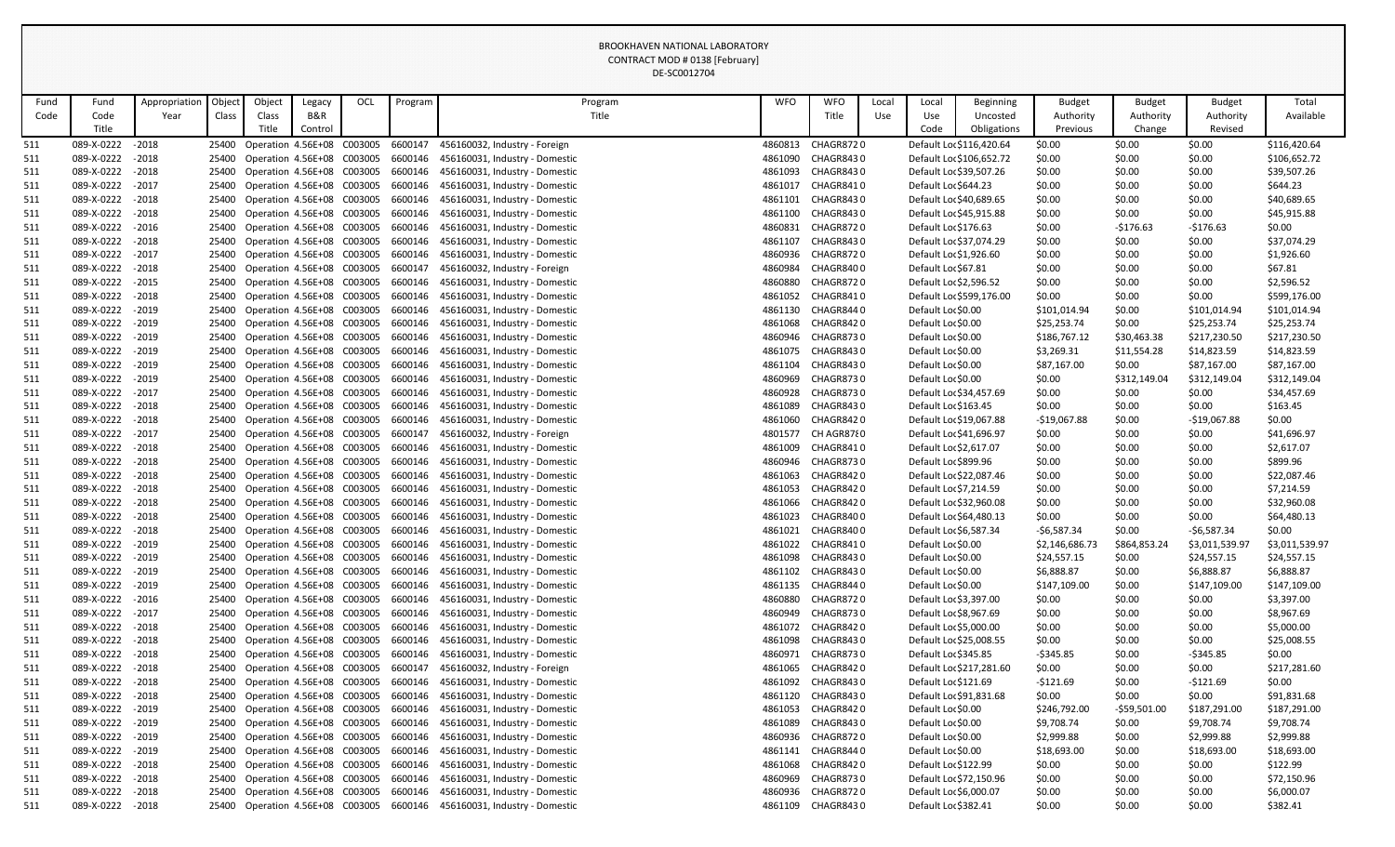|      |                   |               |        |        |                                  |     |         | DE-SC0012704                                                            |            |                  |       |                         |                          |                |               |                |                |
|------|-------------------|---------------|--------|--------|----------------------------------|-----|---------|-------------------------------------------------------------------------|------------|------------------|-------|-------------------------|--------------------------|----------------|---------------|----------------|----------------|
| Fund | Fund              | Appropriation | Object | Object | Legacy                           | OCL | Program | Program                                                                 | <b>WFO</b> | <b>WFO</b>       | Local | Local                   | <b>Beginning</b>         | <b>Budget</b>  | <b>Budget</b> | <b>Budget</b>  | Total          |
| Code | Code              | Year          | Class  | Class  | B&R                              |     |         | Title                                                                   |            | Title            | Use   | Use                     | Uncosted                 | Authority      | Authority     | Authority      | Available      |
|      | Title             |               |        | Title  | Control                          |     |         |                                                                         |            |                  |       | Code                    | Obligations              | Previous       | Change        | Revised        |                |
| 511  | 089-X-0222        | $-2018$       |        |        | 25400 Operation 4.56E+08 C003005 |     | 6600147 | 456160032, Industry - Foreign                                           | 4860813    | CHAGR8720        |       |                         | Default Loc \$116,420.64 | \$0.00         | \$0.00        | \$0.00         | \$116,420.64   |
| 511  | 089-X-0222        | $-2018$       |        |        | 25400 Operation 4.56E+08 C003005 |     | 6600146 | 456160031, Industry - Domestic                                          | 4861090    | CHAGR8430        |       |                         | Default Loc \$106,652.72 | \$0.00         | \$0.00        | \$0.00         | \$106,652.72   |
| 511  | 089-X-0222        | $-2018$       |        |        | 25400 Operation 4.56E+08 C003005 |     | 6600146 | 456160031, Industry - Domestic                                          | 4861093    | CHAGR8430        |       | Default Loc \$39,507.26 |                          | \$0.00         | \$0.00        | \$0.00         | \$39,507.26    |
| 511  | 089-X-0222        | $-2017$       |        |        | 25400 Operation 4.56E+08 C003005 |     | 6600146 | 456160031, Industry - Domestic                                          | 4861017    | CHAGR8410        |       | Default Loc \$644.23    |                          | \$0.00         | \$0.00        | \$0.00         | \$644.23       |
| 511  | 089-X-0222        | $-2018$       |        |        | 25400 Operation 4.56E+08 C003005 |     | 6600146 | 456160031, Industry - Domestic                                          | 4861101    | CHAGR8430        |       | Default Loc \$40,689.65 |                          | \$0.00         | \$0.00        | \$0.00         | \$40,689.65    |
| 511  | 089-X-0222        | $-2018$       |        |        | 25400 Operation 4.56E+08 C003005 |     | 6600146 | 456160031, Industry - Domestic                                          | 4861100    | CHAGR8430        |       | Default Loc \$45,915.88 |                          | \$0.00         | \$0.00        | \$0.00         | \$45,915.88    |
| 511  | 089-X-0222        | $-2016$       |        |        | 25400 Operation 4.56E+08 C003005 |     | 6600146 | 456160031, Industry - Domestic                                          | 4860831    | <b>CHAGR8720</b> |       | Default Loc \$176.63    |                          | \$0.00         | $-5176.63$    | $-$176.63$     | \$0.00         |
| 511  | 089-X-0222        | $-2018$       |        |        | 25400 Operation 4.56E+08 C003005 |     | 6600146 | 456160031, Industry - Domestic                                          | 4861107    | CHAGR8430        |       | Default Loc \$37,074.29 |                          | \$0.00         | \$0.00        | \$0.00         | \$37,074.29    |
| 511  | 089-X-0222        | $-2017$       |        |        | 25400 Operation 4.56E+08 C003005 |     | 6600146 | 456160031, Industry - Domestic                                          | 4860936    | <b>CHAGR8720</b> |       | Default Loc \$1,926.60  |                          | \$0.00         | \$0.00        | \$0.00         | \$1,926.60     |
| 511  | 089-X-0222        | $-2018$       |        |        | 25400 Operation 4.56E+08 C003005 |     | 6600147 | 456160032, Industry - Foreign                                           | 4860984    | CHAGR8400        |       | Default Loc \$67.81     |                          | \$0.00         | \$0.00        | \$0.00         | \$67.81        |
| 511  | 089-X-0222        | $-2015$       |        |        | 25400 Operation 4.56E+08 C003005 |     | 6600146 | 456160031, Industry - Domestic                                          | 4860880    | <b>CHAGR8720</b> |       | Default Loc \$2,596.52  |                          | \$0.00         | \$0.00        | \$0.00         | \$2,596.52     |
| 511  | 089-X-0222        | $-2018$       |        |        | 25400 Operation 4.56E+08 C003005 |     | 6600146 | 456160031, Industry - Domestic                                          | 4861052    | CHAGR8410        |       |                         | Default Loc \$599,176.00 | \$0.00         | \$0.00        | \$0.00         | \$599,176.00   |
| 511  | 089-X-0222        | $-2019$       |        |        | 25400 Operation 4.56E+08 C003005 |     | 6600146 | 456160031, Industry - Domestic                                          | 4861130    | CHAGR8440        |       | Default Loc \$0.00      |                          | \$101,014.94   | \$0.00        | \$101,014.94   | \$101,014.94   |
| 511  | 089-X-0222        | $-2019$       |        |        | 25400 Operation 4.56E+08 C003005 |     | 6600146 | 456160031, Industry - Domestic                                          | 4861068    | CHAGR8420        |       | Default Loc \$0.00      |                          | \$25,253.74    | \$0.00        | \$25,253.74    | \$25,253.74    |
| 511  | 089-X-0222        | $-2019$       |        |        | 25400 Operation 4.56E+08 C003005 |     | 6600146 | 456160031, Industry - Domestic                                          | 4860946    | CHAGR8730        |       | Default Loc \$0.00      |                          | \$186,767.12   | \$30,463.38   | \$217,230.50   | \$217,230.50   |
| 511  | 089-X-0222        | $-2019$       |        |        | 25400 Operation 4.56E+08 C003005 |     | 6600146 | 456160031, Industry - Domestic                                          | 4861075    | CHAGR8430        |       | Default Loc \$0.00      |                          | \$3,269.31     | \$11,554.28   | \$14,823.59    | \$14,823.59    |
| 511  | 089-X-0222        | $-2019$       |        |        | 25400 Operation 4.56E+08 C003005 |     | 6600146 | 456160031, Industry - Domestic                                          | 4861104    | CHAGR8430        |       | Default Loc \$0.00      |                          | \$87,167.00    | \$0.00        | \$87,167.00    | \$87,167.00    |
| 511  | 089-X-0222        | $-2019$       |        |        | 25400 Operation 4.56E+08 C003005 |     | 6600146 | 456160031, Industry - Domestic                                          | 4860969    | <b>CHAGR8730</b> |       | Default Loc \$0.00      |                          | \$0.00         | \$312,149.04  | \$312,149.04   | \$312,149.04   |
| 511  | 089-X-0222        | $-2017$       |        |        | 25400 Operation 4.56E+08 C003005 |     | 6600146 | 456160031, Industry - Domestic                                          | 4860928    | CHAGR8730        |       | Default Loc \$34,457.69 |                          | \$0.00         | \$0.00        | \$0.00         | \$34,457.69    |
| 511  | 089-X-0222        | $-2018$       |        |        | 25400 Operation 4.56E+08 C003005 |     | 6600146 | 456160031, Industry - Domestic                                          | 4861089    | <b>CHAGR8430</b> |       | Default Loc \$163.45    |                          | \$0.00         | \$0.00        | \$0.00         | \$163.45       |
| 511  | 089-X-0222        | $-2018$       |        |        | 25400 Operation 4.56E+08 C003005 |     | 6600146 | 456160031, Industry - Domestic                                          | 4861060    | CHAGR8420        |       | Default Loc \$19,067.88 |                          | $-$19,067.88$  | \$0.00        | $-$19,067.88$  | \$0.00         |
| 511  | 089-X-0222        | $-2017$       |        |        | 25400 Operation 4.56E+08 C003005 |     | 6600147 | 456160032, Industry - Foreign                                           | 4801577    | CH AGR8780       |       | Default Loc \$41,696.97 |                          | \$0.00         | \$0.00        | \$0.00         | \$41,696.97    |
| 511  | 089-X-0222        | $-2018$       |        |        | 25400 Operation 4.56E+08 C003005 |     | 6600146 | 456160031, Industry - Domestic                                          | 4861009    | CHAGR8410        |       | Default Loc \$2,617.07  |                          | \$0.00         | \$0.00        | \$0.00         | \$2,617.07     |
| 511  | 089-X-0222        | $-2018$       |        |        | 25400 Operation 4.56E+08 C003005 |     | 6600146 | 456160031, Industry - Domestic                                          | 4860946    | CHAGR8730        |       | Default Loc \$899.96    |                          | \$0.00         | \$0.00        | \$0.00         | \$899.96       |
| 511  | 089-X-0222        | $-2018$       |        |        | 25400 Operation 4.56E+08 C003005 |     | 6600146 | 456160031, Industry - Domestic                                          | 4861063    | CHAGR8420        |       | Default Loc \$22,087.46 |                          | \$0.00         | \$0.00        | \$0.00         | \$22,087.46    |
| 511  | 089-X-0222        | $-2018$       |        |        | 25400 Operation 4.56E+08 C003005 |     | 6600146 | 456160031, Industry - Domestic                                          | 4861053    | CHAGR8420        |       | Default Loc \$7,214.59  |                          | \$0.00         | \$0.00        | \$0.00         | \$7,214.59     |
| 511  | 089-X-0222 - 2018 |               |        |        | 25400 Operation 4.56E+08 C003005 |     |         | 6600146 456160031, Industry - Domestic                                  | 4861066    | CHAGR8420        |       | Default Loc \$32,960.08 |                          | \$0.00         | \$0.00        | \$0.00         | \$32,960.08    |
| 511  | 089-X-0222 - 2018 |               |        |        |                                  |     |         | 25400 Operation 4.56E+08 C003005 6600146 456160031, Industry - Domestic | 4861023    | CHAGR8400        |       | Default Loc \$64,480.13 |                          | \$0.00         | \$0.00        | \$0.00         | \$64,480.13    |
| 511  | 089-X-0222 - 2018 |               |        |        | 25400 Operation 4.56E+08 C003005 |     | 6600146 | 456160031, Industry - Domestic                                          | 4861021    | CHAGR8400        |       | Default Loc \$6,587.34  |                          | $-56,587.34$   | \$0.00        | $-56,587.34$   | \$0.00         |
| 511  | 089-X-0222 - 2019 |               |        |        | 25400 Operation 4.56E+08 C003005 |     |         | 6600146 456160031, Industry - Domestic                                  | 4861022    | CHAGR8410        |       | Default Loc \$0.00      |                          | \$2,146,686.73 | \$864,853.24  | \$3,011,539.97 | \$3,011,539.97 |
| 511  | 089-X-0222 - 2019 |               |        |        | 25400 Operation 4.56E+08 C003005 |     | 6600146 | 456160031, Industry - Domestic                                          | 4861098    | CHAGR8430        |       | Default Loc \$0.00      |                          | \$24,557.15    | \$0.00        | \$24,557.15    | \$24,557.15    |
| 511  | 089-X-0222 - 2019 |               |        |        | 25400 Operation 4.56E+08 C003005 |     | 6600146 | 456160031, Industry - Domestic                                          | 4861102    | CHAGR8430        |       | Default Loc \$0.00      |                          | \$6,888.87     | \$0.00        | \$6,888.87     | \$6,888.87     |
| 511  | 089-X-0222 - 2019 |               |        |        | 25400 Operation 4.56E+08 C003005 |     |         | 6600146 456160031, Industry - Domestic                                  | 4861135    | CHAGR8440        |       | Default Loc \$0.00      |                          | \$147,109.00   | \$0.00        | \$147,109.00   | \$147,109.00   |
| 511  | 089-X-0222 - 2016 |               |        |        | 25400 Operation 4.56E+08 C003005 |     | 6600146 | 456160031, Industry - Domestic                                          | 4860880    | CHAGR8720        |       | Default Loc \$3,397.00  |                          | \$0.00         | \$0.00        | \$0.00         | \$3,397.00     |
| 511  | 089-X-0222 - 2017 |               |        |        | 25400 Operation 4.56E+08 C003005 |     | 6600146 | 456160031, Industry - Domestic                                          | 4860949    | CHAGR8730        |       | Default Loc \$8,967.69  |                          | \$0.00         | \$0.00        | \$0.00         | \$8,967.69     |
| 511  | 089-X-0222 - 2018 |               |        |        | 25400 Operation 4.56E+08 C003005 |     | 6600146 | 456160031, Industry - Domestic                                          | 4861072    | CHAGR8420        |       | Default Loc \$5,000.00  |                          | \$0.00         | \$0.00        | \$0.00         | \$5,000.00     |
| 511  | 089-X-0222 - 2018 |               |        |        | 25400 Operation 4.56E+08 C003005 |     |         | 6600146 456160031, Industry - Domestic                                  | 4861098    | CHAGR8430        |       | Default Loc \$25,008.55 |                          | \$0.00         | \$0.00        | \$0.00         | \$25,008.55    |
| 511  | 089-X-0222 - 2018 |               |        |        | 25400 Operation 4.56E+08 C003005 |     | 6600146 | 456160031, Industry - Domestic                                          | 4860971    | CHAGR8730        |       | Default Loc \$345.85    |                          | $-5345.85$     | \$0.00        | $-5345.85$     | \$0.00         |
| 511  | 089-X-0222        | $-2018$       |        |        | 25400 Operation 4.56E+08 C003005 |     | 6600147 | 456160032, Industry - Foreign                                           | 4861065    | CHAGR8420        |       |                         | Default Loc \$217,281.60 | \$0.00         | \$0.00        | \$0.00         | \$217,281.60   |
| 511  | 089-X-0222 - 2018 |               |        |        | 25400 Operation 4.56E+08 C003005 |     | 6600146 | 456160031, Industry - Domestic                                          | 4861092    | CHAGR8430        |       | Default Loc \$121.69    |                          | $-5121.69$     | \$0.00        | $-5121.69$     | \$0.00         |
| 511  | 089-X-0222 - 2018 |               |        |        | 25400 Operation 4.56E+08 C003005 |     |         | 6600146 456160031, Industry - Domestic                                  | 4861120    | CHAGR8430        |       | Default Loc \$91,831.68 |                          | \$0.00         | \$0.00        | \$0.00         | \$91,831.68    |
| 511  | 089-X-0222 - 2019 |               |        |        | 25400 Operation 4.56E+08 C003005 |     | 6600146 | 456160031, Industry - Domestic                                          | 4861053    | CHAGR8420        |       | Default Loc \$0.00      |                          | \$246,792.00   | $-559,501.00$ | \$187,291.00   | \$187,291.00   |
| 511  | 089-X-0222 - 2019 |               |        |        | 25400 Operation 4.56E+08 C003005 |     | 6600146 | 456160031, Industry - Domestic                                          | 4861089    | CHAGR8430        |       | Default Loc \$0.00      |                          | \$9,708.74     | \$0.00        | \$9,708.74     | \$9,708.74     |
| 511  | 089-X-0222 - 2019 |               |        |        | 25400 Operation 4.56E+08 C003005 |     | 6600146 | 456160031, Industry - Domestic                                          | 4860936    | CHAGR8720        |       | Default Loc \$0.00      |                          | \$2,999.88     | \$0.00        | \$2,999.88     | \$2,999.88     |
| 511  | 089-X-0222 - 2019 |               |        |        | 25400 Operation 4.56E+08 C003005 |     |         | 6600146 456160031, Industry - Domestic                                  | 4861141    | CHAGR8440        |       | Default Loc \$0.00      |                          | \$18,693.00    | \$0.00        | \$18,693.00    | \$18,693.00    |
| 511  | 089-X-0222 - 2018 |               |        |        | 25400 Operation 4.56E+08 C003005 |     |         | 6600146 456160031, Industry - Domestic                                  | 4861068    | CHAGR8420        |       | Default Loc \$122.99    |                          | \$0.00         | \$0.00        | \$0.00         | \$122.99       |
| 511  | 089-X-0222 - 2018 |               |        |        | 25400 Operation 4.56E+08 C003005 |     | 6600146 | 456160031, Industry - Domestic                                          | 4860969    | CHAGR8730        |       | Default Loc \$72,150.96 |                          | \$0.00         | \$0.00        | \$0.00         | \$72,150.96    |
| 511  | 089-X-0222 - 2018 |               |        |        | 25400 Operation 4.56E+08 C003005 |     | 6600146 | 456160031, Industry - Domestic                                          | 4860936    | CHAGR8720        |       | Default Loc \$6,000.07  |                          | \$0.00         | \$0.00        | \$0.00         | \$6,000.07     |
| 511  | 089-X-0222 - 2018 |               |        |        |                                  |     |         | 25400 Operation 4.56E+08 C003005 6600146 456160031, Industry - Domestic | 4861109    | CHAGR8430        |       | Default Loc \$382.41    |                          | \$0.00         | \$0.00        | \$0.00         | \$382.41       |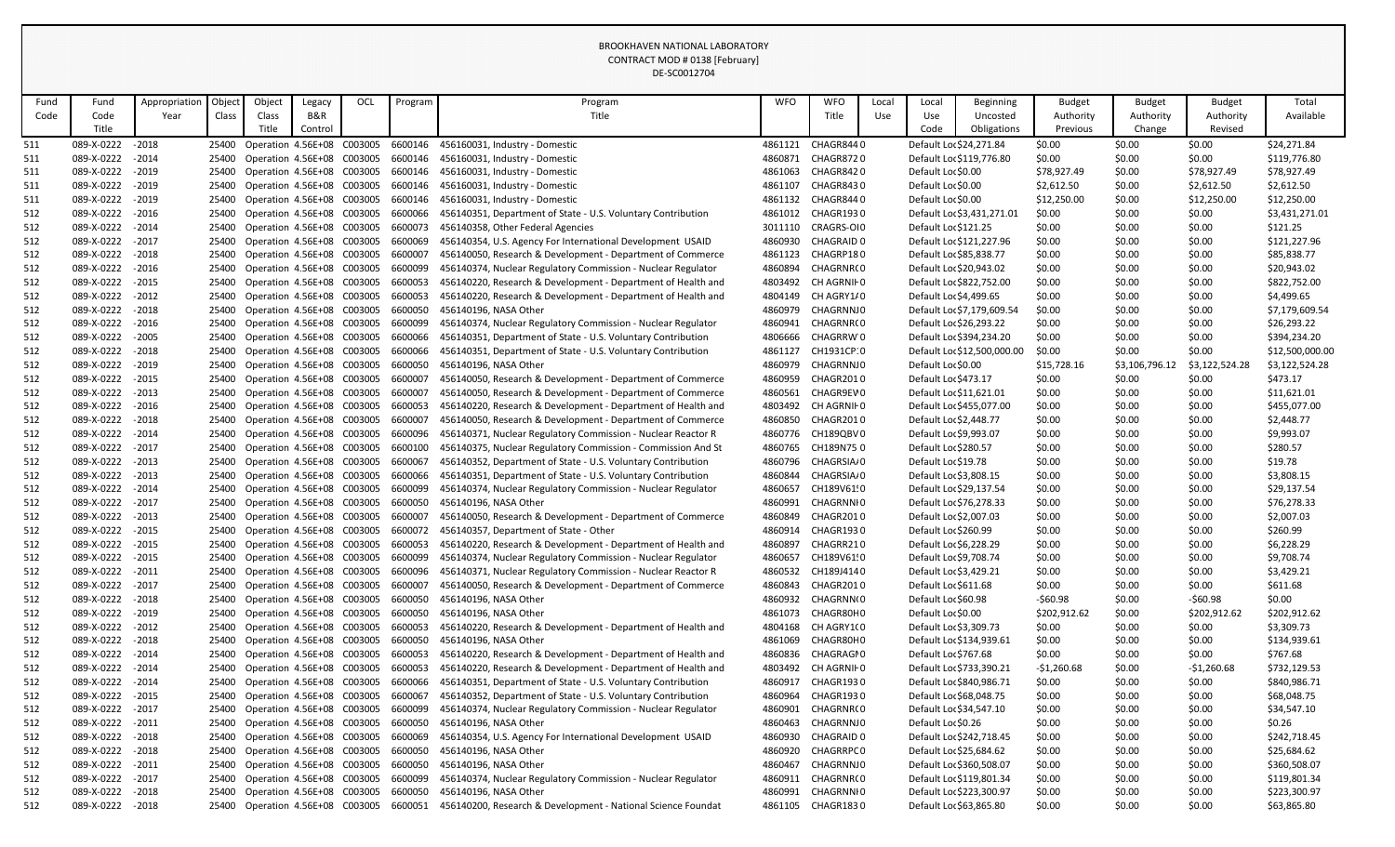|      |                   |               |        |        |                                          |     |         | DE-SC0012704                                                 |            |                   |       |                         |                             |               |                |                |                 |
|------|-------------------|---------------|--------|--------|------------------------------------------|-----|---------|--------------------------------------------------------------|------------|-------------------|-------|-------------------------|-----------------------------|---------------|----------------|----------------|-----------------|
| Fund | Fund              | Appropriation | Object | Object | Legacy                                   | OCL | Program | Program                                                      | <b>WFO</b> | <b>WFO</b>        | Local | Local                   | <b>Beginning</b>            | <b>Budget</b> | <b>Budget</b>  | <b>Budget</b>  | Total           |
| Code | Code              | Year          | Class  | Class  | B&R                                      |     |         | Title                                                        |            | Title             | Use   | Use                     | Uncosted                    | Authority     | Authority      | Authority      | Available       |
|      | Title             |               |        | Title  | Control                                  |     |         |                                                              |            |                   |       | Code                    | Obligations                 | Previous      | Change         | Revised        |                 |
| 511  | 089-X-0222        | $-2018$       |        |        | 25400 Operation 4.56E+08 C003005         |     | 6600146 | 456160031, Industry - Domestic                               | 4861121    | CHAGR8440         |       | Default Loc \$24,271.84 |                             | \$0.00        | \$0.00         | \$0.00         | \$24,271.84     |
| 511  | 089-X-0222        | $-2014$       |        |        | 25400 Operation 4.56E+08 C003005         |     | 6600146 | 456160031, Industry - Domestic                               |            | 4860871 CHAGR8720 |       |                         | Default Loc \$119,776.80    | \$0.00        | \$0.00         | \$0.00         | \$119,776.80    |
| 511  | 089-X-0222        | $-2019$       | 25400  |        | Operation 4.56E+08 C003005               |     | 6600146 | 456160031, Industry - Domestic                               | 4861063    | CHAGR8420         |       | Default Loc \$0.00      |                             | \$78,927.49   | \$0.00         | \$78,927.49    | \$78,927.49     |
| 511  | 089-X-0222        | $-2019$       | 25400  |        | Operation 4.56E+08 C003005               |     | 6600146 | 456160031, Industry - Domestic                               | 4861107    | CHAGR8430         |       | Default Loc \$0.00      |                             | \$2,612.50    | \$0.00         | \$2,612.50     | \$2,612.50      |
| 511  | 089-X-0222        | $-2019$       | 25400  |        | Operation 4.56E+08 C003005               |     | 6600146 | 456160031, Industry - Domestic                               | 4861132    | CHAGR8440         |       | Default Loc \$0.00      |                             | \$12,250.00   | \$0.00         | \$12,250.00    | \$12,250.00     |
| 512  | 089-X-0222        | $-2016$       | 25400  |        | Operation 4.56E+08 C003005               |     | 6600066 | 456140351, Department of State - U.S. Voluntary Contribution | 4861012    | CHAGR1930         |       |                         | Default Loc \$3,431,271.01  | \$0.00        | \$0.00         | \$0.00         | \$3,431,271.01  |
| 512  | 089-X-0222        | $-2014$       | 25400  |        | Operation 4.56E+08 C003005               |     | 6600073 | 456140358, Other Federal Agencies                            | 3011110    | CRAGRS-OI0        |       | Default Loc \$121.25    |                             | \$0.00        | \$0.00         | \$0.00         | \$121.25        |
| 512  | 089-X-0222        | $-2017$       | 25400  |        | Operation 4.56E+08 C003005               |     | 6600069 | 456140354, U.S. Agency For International Development USAID   | 4860930    | CHAGRAID 0        |       |                         | Default Loc \$121,227.96    | \$0.00        | \$0.00         | \$0.00         | \$121,227.96    |
| 512  | 089-X-0222        | $-2018$       | 25400  |        | Operation 4.56E+08 C003005               |     | 6600007 | 456140050, Research & Development - Department of Commerce   | 4861123    | CHAGRP180         |       | Default Loc \$85,838.77 |                             | \$0.00        | \$0.00         | \$0.00         | \$85,838.77     |
| 512  | 089-X-0222        | $-2016$       | 25400  |        | Operation 4.56E+08 C003005               |     | 6600099 | 456140374, Nuclear Regulatory Commission - Nuclear Regulator | 4860894    | CHAGRNR(0         |       | Default Loc \$20,943.02 |                             | \$0.00        | \$0.00         | \$0.00         | \$20,943.02     |
| 512  | 089-X-0222        | $-2015$       | 25400  |        | Operation 4.56E+08 C003005               |     | 6600053 | 456140220, Research & Development - Department of Health and | 4803492    | CH AGRNII 0       |       |                         | Default Loc \$822,752.00    | \$0.00        | \$0.00         | \$0.00         | \$822,752.00    |
| 512  | 089-X-0222        | $-2012$       | 25400  |        | Operation 4.56E+08 C003005               |     | 6600053 | 456140220, Research & Development - Department of Health and | 4804149    | CH AGRY1/0        |       | Default Loc \$4,499.65  |                             | \$0.00        | \$0.00         | \$0.00         | \$4,499.65      |
| 512  | 089-X-0222        | $-2018$       |        |        | 25400 Operation 4.56E+08 C003005         |     | 6600050 | 456140196, NASA Other                                        | 4860979    | CHAGRNNJ0         |       |                         | Default Loc \$7,179,609.54  | \$0.00        | \$0.00         | \$0.00         | \$7,179,609.54  |
| 512  | 089-X-0222        | $-2016$       | 25400  |        | Operation 4.56E+08 C003005               |     | 6600099 | 456140374, Nuclear Regulatory Commission - Nuclear Regulator | 4860941    | CHAGRNR(0         |       | Default Loc \$26,293.22 |                             | \$0.00        | \$0.00         | \$0.00         | \$26,293.22     |
| 512  | 089-X-0222        | $-2005$       | 25400  |        | Operation 4.56E+08 C003005               |     | 6600066 | 456140351, Department of State - U.S. Voluntary Contribution | 4806666    | CHAGRRW 0         |       |                         | Default Loc \$394,234.20    | \$0.00        | \$0.00         | \$0.00         | \$394,234.20    |
| 512  | 089-X-0222        | $-2018$       | 25400  |        | Operation 4.56E+08 C003005               |     | 6600066 | 456140351, Department of State - U.S. Voluntary Contribution | 4861127    | CH1931CP:0        |       |                         | Default Loc \$12,500,000.00 | \$0.00        | \$0.00         | \$0.00         | \$12,500,000.00 |
| 512  | 089-X-0222        | $-2019$       | 25400  |        | Operation 4.56E+08 C003005               |     | 6600050 | 456140196, NASA Other                                        | 4860979    | CHAGRNNJ0         |       | Default Loc \$0.00      |                             | \$15,728.16   | \$3,106,796.12 | \$3,122,524.28 | \$3,122,524.28  |
| 512  | 089-X-0222        | $-2015$       | 25400  |        | Operation 4.56E+08 C003005               |     | 6600007 | 456140050, Research & Development - Department of Commerce   | 4860959    | CHAGR2010         |       | Default Loc \$473.17    |                             | \$0.00        | \$0.00         | \$0.00         | \$473.17        |
| 512  | 089-X-0222        | $-2013$       | 25400  |        | Operation 4.56E+08 C003005               |     | 6600007 | 456140050, Research & Development - Department of Commerce   | 4860561    | CHAGR9EV0         |       | Default Loc \$11,621.01 |                             | \$0.00        | \$0.00         | \$0.00         | \$11,621.01     |
| 512  | 089-X-0222        | $-2016$       | 25400  |        | Operation 4.56E+08 C003005               |     | 6600053 | 456140220, Research & Development - Department of Health and | 4803492    | CH AGRNII 0       |       |                         | Default Loc \$455,077.00    | \$0.00        | \$0.00         | \$0.00         | \$455,077.00    |
| 512  | 089-X-0222        | $-2018$       | 25400  |        | Operation 4.56E+08 C003005               |     | 6600007 | 456140050, Research & Development - Department of Commerce   | 4860850    | CHAGR2010         |       | Default Loc \$2,448.77  |                             | \$0.00        | \$0.00         | \$0.00         | \$2,448.77      |
| 512  | 089-X-0222        | $-2014$       | 25400  |        | Operation 4.56E+08 C003005               |     | 6600096 | 456140371, Nuclear Regulatory Commission - Nuclear Reactor R | 4860776    | CH189QBV0         |       | Default Loc \$9,993.07  |                             | \$0.00        | \$0.00         | \$0.00         | \$9,993.07      |
| 512  | 089-X-0222        | $-2017$       | 25400  |        | Operation 4.56E+08 C003005               |     | 6600100 | 456140375, Nuclear Regulatory Commission - Commission And St | 4860765    | CH189N750         |       | Default Loc \$280.57    |                             | \$0.00        | \$0.00         | \$0.00         | \$280.57        |
| 512  | 089-X-0222        | $-2013$       |        |        | 25400 Operation 4.56E+08 C003005         |     | 6600067 | 456140352, Department of State - U.S. Voluntary Contribution | 4860796    | CHAGRSIA/0        |       | Default Loc \$19.78     |                             | \$0.00        | \$0.00         | \$0.00         | \$19.78         |
| 512  | 089-X-0222        | $-2013$       | 25400  |        | Operation 4.56E+08 C003005               |     | 6600066 | 456140351, Department of State - U.S. Voluntary Contribution | 4860844    | CHAGRSIA/0        |       | Default Loc \$3,808.15  |                             | \$0.00        | \$0.00         | \$0.00         | \$3,808.15      |
| 512  | 089-X-0222        | $-2014$       | 25400  |        | Operation 4.56E+08 C003005               |     | 6600099 | 456140374, Nuclear Regulatory Commission - Nuclear Regulator | 4860657    | CH189V61!0        |       | Default Loc \$29,137.54 |                             | \$0.00        | \$0.00         | \$0.00         | \$29,137.54     |
| 512  | 089-X-0222 - 2017 |               |        |        | 25400 Operation 4.56E+08 C003005         |     |         | 6600050 456140196, NASA Other                                | 4860991    | CHAGRNNI0         |       | Default Loc \$76,278.33 |                             | \$0.00        | \$0.00         | \$0.00         | \$76,278.33     |
| 512  | 089-X-0222        | - 2013        |        |        | 25400 Operation 4.56E+08 C003005 6600007 |     |         | 456140050, Research & Development - Department of Commerce   | 4860849    | CHAGR2010         |       | Default Loc \$2,007.03  |                             | \$0.00        | \$0.00         | \$0.00         | \$2,007.03      |
| 512  | 089-X-0222        | $-2015$       |        |        | 25400 Operation 4.56E+08 C003005         |     | 6600072 | 456140357, Department of State - Other                       | 4860914    | CHAGR1930         |       | Default Loc \$260.99    |                             | \$0.00        | \$0.00         | \$0.00         | \$260.99        |
| 512  | 089-X-0222        | $-2015$       |        |        | 25400 Operation 4.56E+08 C003005         |     | 6600053 | 456140220, Research & Development - Department of Health and | 4860897    | CHAGRR210         |       | Default Loc \$6,228.29  |                             | \$0.00        | \$0.00         | \$0.00         | \$6,228.29      |
| 512  | 089-X-0222        | $-2015$       |        |        | 25400 Operation 4.56E+08 C003005         |     | 6600099 | 456140374, Nuclear Regulatory Commission - Nuclear Regulator | 4860657    | CH189V61!0        |       | Default Loc \$9,708.74  |                             | \$0.00        | \$0.00         | \$0.00         | \$9,708.74      |
| 512  | 089-X-0222        | $-2011$       |        |        | 25400 Operation 4.56E+08 C003005         |     | 6600096 | 456140371, Nuclear Regulatory Commission - Nuclear Reactor R | 4860532    | CH189J4140        |       | Default Loc \$3,429.21  |                             | \$0.00        | \$0.00         | \$0.00         | \$3,429.21      |
| 512  | 089-X-0222        | $-2017$       | 25400  |        | Operation 4.56E+08 C003005               |     | 6600007 | 456140050, Research & Development - Department of Commerce   | 4860843    | CHAGR2010         |       | Default Loc \$611.68    |                             | \$0.00        | \$0.00         | \$0.00         | \$611.68        |
| 512  | 089-X-0222        | $-2018$       | 25400  |        | Operation 4.56E+08 C003005               |     | 6600050 | 456140196, NASA Other                                        | 4860932    | CHAGRNN(0         |       | Default Loc \$60.98     |                             | -\$60.98      | \$0.00         | $-560.98$      | \$0.00          |
| 512  | 089-X-0222        | $-2019$       | 25400  |        | Operation 4.56E+08 C003005               |     | 6600050 | 456140196, NASA Other                                        | 4861073    | CHAGR80H0         |       | Default Loc \$0.00      |                             | \$202,912.62  | \$0.00         | \$202,912.62   | \$202,912.62    |
| 512  | 089-X-0222        | $-2012$       | 25400  |        | Operation 4.56E+08 C003005               |     | 6600053 | 456140220, Research & Development - Department of Health and | 4804168    | CH AGRY1(0        |       | Default Loc \$3,309.73  |                             | \$0.00        | \$0.00         | \$0.00         | \$3,309.73      |
| 512  | 089-X-0222        | $-2018$       |        |        | 25400 Operation 4.56E+08 C003005         |     | 6600050 | 456140196, NASA Other                                        | 4861069    | CHAGR80H0         |       |                         | Default Loc \$134,939.61    | \$0.00        | \$0.00         | \$0.00         | \$134,939.61    |
| 512  | 089-X-0222        | $-2014$       | 25400  |        | Operation 4.56E+08 C003005               |     | 6600053 | 456140220, Research & Development - Department of Health and | 4860836    | CHAGRAGI0         |       | Default Loc \$767.68    |                             | \$0.00        | \$0.00         | \$0.00         | \$767.68        |
| 512  | 089-X-0222        | $-2014$       | 25400  |        | Operation 4.56E+08 C003005               |     | 6600053 | 456140220, Research & Development - Department of Health and | 4803492    | CH AGRNII 0       |       |                         | Default Loc \$733,390.21    | $-51,260.68$  | \$0.00         | $-$1,260.68$   | \$732,129.53    |
| 512  | 089-X-0222        | $-2014$       |        |        | 25400 Operation 4.56E+08 C003005         |     | 6600066 | 456140351, Department of State - U.S. Voluntary Contribution | 4860917    | CHAGR1930         |       |                         | Default Loc \$840,986.71    | \$0.00        | \$0.00         | \$0.00         | \$840,986.71    |
| 512  | 089-X-0222        | $-2015$       | 25400  |        | Operation 4.56E+08 C003005               |     | 6600067 | 456140352, Department of State - U.S. Voluntary Contribution | 4860964    | CHAGR1930         |       | Default Loc \$68,048.75 |                             | \$0.00        | \$0.00         | \$0.00         | \$68,048.75     |
| 512  | 089-X-0222        | $-2017$       |        |        | 25400 Operation 4.56E+08 C003005         |     | 6600099 | 456140374, Nuclear Regulatory Commission - Nuclear Regulator | 4860901    | CHAGRNR(0         |       | Default Loc \$34,547.10 |                             | \$0.00        | \$0.00         | \$0.00         | \$34,547.10     |
| 512  | 089-X-0222        | $-2011$       |        |        | 25400 Operation 4.56E+08 C003005         |     | 6600050 | 456140196, NASA Other                                        | 4860463    | CHAGRNNJ0         |       | Default Loc \$0.26      |                             | \$0.00        | \$0.00         | \$0.00         | \$0.26          |
| 512  | 089-X-0222        | $-2018$       | 25400  |        | Operation 4.56E+08 C003005               |     | 6600069 | 456140354, U.S. Agency For International Development USAID   | 4860930    | CHAGRAID 0        |       |                         | Default Loc \$242,718.45    | \$0.00        | \$0.00         | \$0.00         | \$242,718.45    |
| 512  | 089-X-0222        | $-2018$       | 25400  |        | Operation 4.56E+08 C003005               |     | 6600050 | 456140196, NASA Other                                        | 4860920    | CHAGRRPC0         |       | Default Loc \$25,684.62 |                             | \$0.00        | \$0.00         | \$0.00         | \$25,684.62     |
| 512  | 089-X-0222        | $-2011$       | 25400  |        | Operation 4.56E+08 C003005               |     | 6600050 | 456140196, NASA Other                                        | 4860467    | <b>CHAGRNNJ0</b>  |       |                         | Default Loc \$360,508.07    | \$0.00        | \$0.00         | \$0.00         | \$360,508.07    |
| 512  | 089-X-0222        | $-2017$       |        |        | 25400 Operation 4.56E+08 C003005         |     | 6600099 | 456140374, Nuclear Regulatory Commission - Nuclear Regulator | 4860911    | CHAGRNR(0         |       |                         | Default Loc \$119,801.34    | \$0.00        | \$0.00         | \$0.00         | \$119,801.34    |
| 512  | 089-X-0222        | $-2018$       |        |        | 25400 Operation 4.56E+08 C003005         |     | 6600050 | 456140196, NASA Other                                        | 4860991    | CHAGRNNI 0        |       |                         | Default Loc \$223,300.97    | \$0.00        | \$0.00         | \$0.00         | \$223,300.97    |
| 512  | 089-X-0222        | $-2018$       |        |        | 25400 Operation 4.56E+08 C003005         |     | 6600051 | 456140200, Research & Development - National Science Foundat | 4861105    | CHAGR1830         |       | Default Loc \$63,865.80 |                             | \$0.00        | \$0.00         | \$0.00         | \$63,865.80     |
|      |                   |               |        |        |                                          |     |         |                                                              |            |                   |       |                         |                             |               |                |                |                 |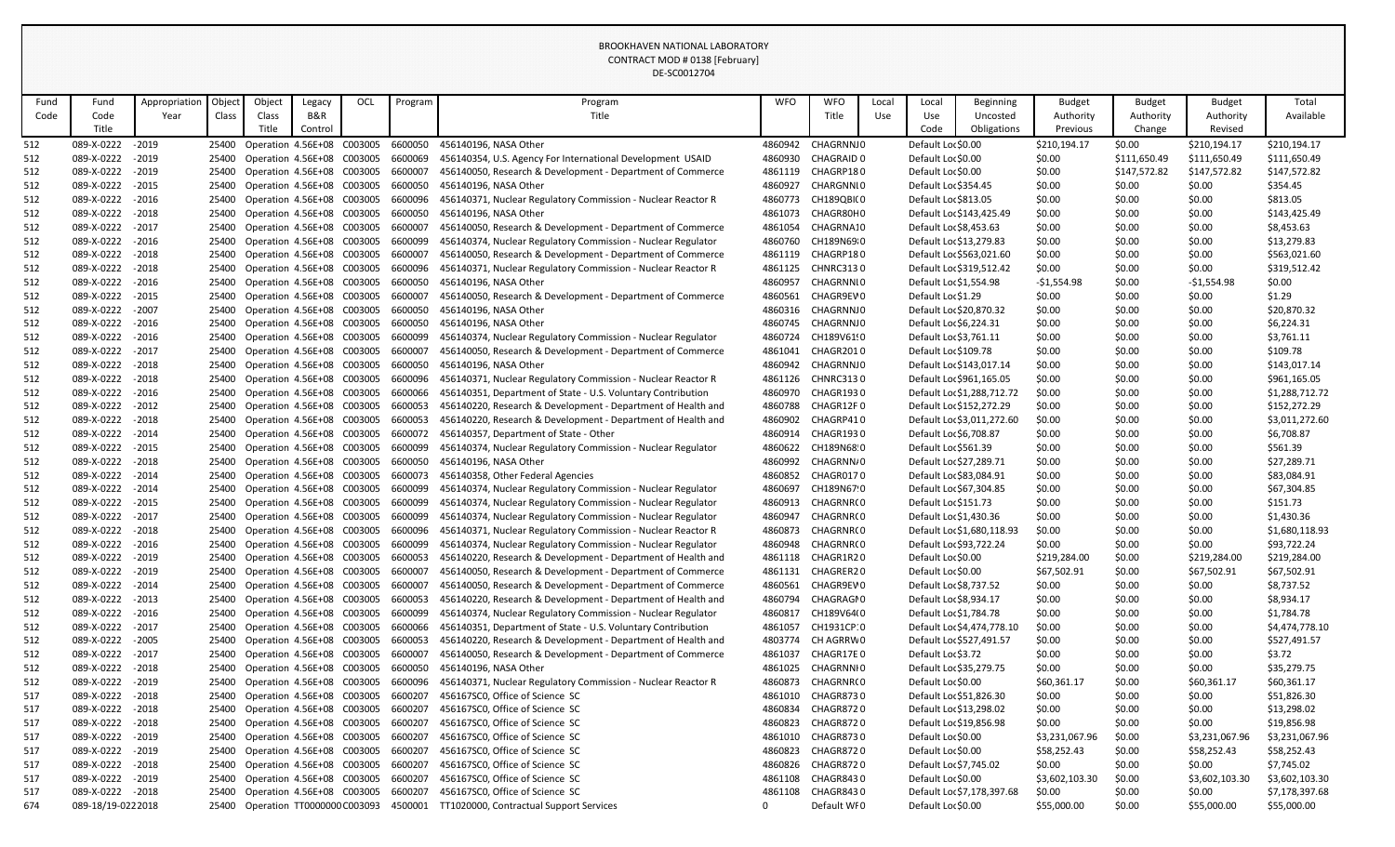|            |                                        |               |        |        |                                                                      |     |                    | DE-SC0012704                                                                                                             |                    |                        |       |                                                  |                            |                  |                  |                  |                          |
|------------|----------------------------------------|---------------|--------|--------|----------------------------------------------------------------------|-----|--------------------|--------------------------------------------------------------------------------------------------------------------------|--------------------|------------------------|-------|--------------------------------------------------|----------------------------|------------------|------------------|------------------|--------------------------|
| Fund       | Fund                                   | Appropriation | Object | Object | Legacy                                                               | OCL | Program            | Program                                                                                                                  | <b>WFO</b>         | <b>WFO</b>             | Local | Local                                            | <b>Beginning</b>           | <b>Budget</b>    | <b>Budget</b>    | <b>Budget</b>    | Total                    |
| Code       | Code                                   | Year          | Class  | Class  | B&R                                                                  |     |                    | Title                                                                                                                    |                    | Title                  | Use   | Use                                              | Uncosted                   | Authority        | Authority        | Authority        | Available                |
|            | Title                                  |               |        | Title  | Control                                                              |     |                    |                                                                                                                          |                    |                        |       | Code                                             | Obligations                | Previous         | Change           | Revised          |                          |
| 512        | 089-X-0222                             | $-2019$       |        |        | 25400 Operation 4.56E+08 C003005                                     |     | 6600050            | 456140196, NASA Other                                                                                                    | 4860942            | CHAGRNNJ0              |       | Default Loc \$0.00                               |                            | \$210,194.17     | \$0.00           | \$210,194.17     | \$210,194.17             |
| 512        | 089-X-0222                             | $-2019$       |        |        | 25400 Operation 4.56E+08 C003005                                     |     | 6600069            | 456140354, U.S. Agency For International Development USAID                                                               | 4860930            | CHAGRAID 0             |       | Default Loc \$0.00                               |                            | \$0.00           | \$111,650.49     | \$111,650.49     | \$111,650.49             |
| 512        | 089-X-0222                             | $-2019$       |        |        | 25400 Operation 4.56E+08 C003005                                     |     | 6600007            | 456140050, Research & Development - Department of Commerce                                                               | 4861119            | CHAGRP180              |       | Default Loc \$0.00                               |                            | \$0.00           | \$147,572.82     | \$147,572.82     | \$147,572.82             |
| 512        | 089-X-0222                             | $-2015$       |        |        | 25400 Operation 4.56E+08 C003005                                     |     | 6600050            | 456140196, NASA Other                                                                                                    | 4860927            | CHARGNNI0              |       | Default Loc \$354.45                             |                            | \$0.00           | \$0.00           | \$0.00           | \$354.45                 |
| 512        | 089-X-0222                             | $-2016$       |        |        | 25400 Operation 4.56E+08 C003005                                     |     | 6600096            | 456140371, Nuclear Regulatory Commission - Nuclear Reactor R                                                             | 4860773            | CH189QBI(0             |       | Default Loc \$813.05                             |                            | \$0.00           | \$0.00           | \$0.00           | \$813.05                 |
| 512        | 089-X-0222                             | $-2018$       |        |        | 25400 Operation 4.56E+08 C003005                                     |     | 6600050            | 456140196, NASA Other                                                                                                    | 4861073            | CHAGR80H0              |       |                                                  | Default Loc \$143,425.49   | \$0.00           | \$0.00           | \$0.00           | \$143,425.49             |
| 512        | 089-X-0222                             | $-2017$       |        |        | 25400 Operation 4.56E+08 C003005                                     |     | 6600007            | 456140050, Research & Development - Department of Commerce                                                               | 4861054            | CHAGRNA10              |       | Default Loc \$8,453.63                           |                            | \$0.00           | \$0.00           | \$0.00           | \$8,453.63               |
| 512        | 089-X-0222                             | $-2016$       |        |        | 25400 Operation 4.56E+08 C003005                                     |     | 6600099            | 456140374, Nuclear Regulatory Commission - Nuclear Regulator                                                             | 4860760            | CH189N69 0             |       | Default Loc \$13,279.83                          |                            | \$0.00           | \$0.00           | \$0.00           | \$13,279.83              |
| 512        | 089-X-0222                             | $-2018$       |        |        | 25400 Operation 4.56E+08 C003005                                     |     | 6600007            | 456140050, Research & Development - Department of Commerce                                                               | 4861119            | CHAGRP180              |       |                                                  | Default Loc \$563,021.60   | \$0.00           | \$0.00           | \$0.00           | \$563,021.60             |
| 512        | 089-X-0222                             | $-2018$       |        |        | 25400 Operation 4.56E+08 C003005                                     |     | 6600096            | 456140371, Nuclear Regulatory Commission - Nuclear Reactor R                                                             | 4861125            | <b>CHNRC3130</b>       |       |                                                  | Default Loc \$319,512.42   | \$0.00           | \$0.00           | \$0.00           | \$319,512.42             |
| 512        | 089-X-0222                             | $-2016$       |        |        | 25400 Operation 4.56E+08 C003005                                     |     | 6600050            | 456140196, NASA Other                                                                                                    | 4860957            | CHAGRNNI0              |       | Default Loc \$1,554.98                           |                            | $-$1,554.98$     | \$0.00           | $-$1,554.98$     | \$0.00                   |
| 512        | 089-X-0222                             | $-2015$       |        |        | 25400 Operation 4.56E+08 C003005                                     |     | 6600007            | 456140050, Research & Development - Department of Commerce                                                               | 4860561            | CHAGR9EV0              |       | Default Loc \$1.29                               |                            | \$0.00           | \$0.00           | \$0.00           | \$1.29                   |
| 512        | 089-X-0222                             | $-2007$       |        |        | 25400 Operation 4.56E+08 C003005                                     |     | 6600050            | 456140196, NASA Other                                                                                                    | 4860316            | <b>CHAGRNNJ0</b>       |       | Default Loc \$20,870.32                          |                            | \$0.00           | \$0.00           | \$0.00           | \$20,870.32              |
| 512        | 089-X-0222                             | $-2016$       |        |        | 25400 Operation 4.56E+08 C003005                                     |     | 6600050            | 456140196, NASA Other                                                                                                    | 4860745            | <b>CHAGRNNJ0</b>       |       | Default Loc \$6,224.31                           |                            | \$0.00           | \$0.00           | \$0.00           | \$6,224.31               |
| 512        | 089-X-0222                             | $-2016$       |        |        | 25400 Operation 4.56E+08 C003005                                     |     | 6600099            | 456140374, Nuclear Regulatory Commission - Nuclear Regulator                                                             | 4860724            | CH189V61!0             |       | Default Loc \$3,761.11                           |                            | \$0.00           | \$0.00           | \$0.00           | \$3,761.11               |
| 512        | 089-X-0222                             | $-2017$       |        |        | 25400 Operation 4.56E+08 C003005                                     |     | 6600007            | 456140050, Research & Development - Department of Commerce                                                               | 4861041            | CHAGR2010              |       | Default Loc \$109.78                             |                            | \$0.00           | \$0.00           | \$0.00           | \$109.78                 |
| 512        | 089-X-0222                             | $-2018$       |        |        | 25400 Operation 4.56E+08 C003005                                     |     | 6600050            | 456140196, NASA Other                                                                                                    | 4860942            | <b>CHAGRNNJ0</b>       |       |                                                  | Default Loc \$143,017.14   | \$0.00           | \$0.00           | \$0.00           | \$143,017.14             |
| 512        | 089-X-0222                             | $-2018$       |        |        | 25400 Operation 4.56E+08 C003005                                     |     | 6600096            | 456140371, Nuclear Regulatory Commission - Nuclear Reactor R                                                             | 4861126            | <b>CHNRC3130</b>       |       |                                                  | Default Loc \$961,165.05   | \$0.00           | \$0.00           | \$0.00           | \$961,165.05             |
| 512        | 089-X-0222                             | $-2016$       |        |        | 25400 Operation 4.56E+08 C003005                                     |     | 6600066            | 456140351, Department of State - U.S. Voluntary Contribution                                                             | 4860970            | CHAGR1930              |       |                                                  | Default Loc \$1,288,712.72 | \$0.00           | \$0.00           | \$0.00           | \$1,288,712.72           |
| 512        | 089-X-0222                             | $-2012$       |        |        | 25400 Operation 4.56E+08 C003005                                     |     | 6600053            | 456140220, Research & Development - Department of Health and                                                             | 4860788            | CHAGR12F0              |       |                                                  | Default Loc \$152,272.29   | \$0.00           | \$0.00           | \$0.00           | \$152,272.29             |
| 512        | 089-X-0222                             | $-2018$       |        |        | 25400 Operation 4.56E+08 C003005                                     |     | 6600053            | 456140220, Research & Development - Department of Health and                                                             | 4860902            | CHAGRP410              |       |                                                  | Default Loc \$3,011,272.60 | \$0.00           | \$0.00           | \$0.00           | \$3,011,272.60           |
| 512        | 089-X-0222                             | $-2014$       |        |        | 25400 Operation 4.56E+08 C003005                                     |     | 6600072            | 456140357, Department of State - Other                                                                                   | 4860914            | CHAGR1930              |       | Default Loc \$6,708.87                           |                            | \$0.00           | \$0.00           | \$0.00           | \$6,708.87               |
| 512        | 089-X-0222                             | $-2015$       |        |        | 25400 Operation 4.56E+08 C003005                                     |     | 6600099            | 456140374, Nuclear Regulatory Commission - Nuclear Regulator                                                             | 4860622            | CH189N68 0             |       | Default Loc \$561.39                             |                            | \$0.00           | \$0.00           | \$0.00           | \$561.39                 |
| 512        | 089-X-0222                             | $-2018$       |        |        | 25400 Operation 4.56E+08 C003005                                     |     | 6600050            | 456140196, NASA Other                                                                                                    | 4860992            | CHAGRNN/0              |       | Default Loc \$27,289.71                          |                            | \$0.00           | \$0.00           | \$0.00           | \$27,289.71              |
| 512        | 089-X-0222                             | $-2014$       |        |        | 25400 Operation 4.56E+08 C003005                                     |     | 6600073            | 456140358, Other Federal Agencies                                                                                        | 4860852            | CHAGR0170              |       | Default Loc \$83,084.91                          |                            | \$0.00           | \$0.00           | \$0.00           | \$83,084.91              |
| 512        | 089-X-0222                             | $-2014$       |        |        | 25400 Operation 4.56E+08 C003005                                     |     | 6600099            | 456140374, Nuclear Regulatory Commission - Nuclear Regulator                                                             | 4860697            | CH189N67!0             |       | Default Loc \$67,304.85                          |                            | \$0.00           | \$0.00           | \$0.00           | \$67,304.85              |
| 512        | 089-X-0222 - 2015                      |               |        |        | 25400 Operation 4.56E+08 C003005                                     |     | 6600099            | 456140374, Nuclear Regulatory Commission - Nuclear Regulator                                                             |                    | 4860913 CHAGRNR(0      |       | Default Loc \$151.73                             |                            | \$0.00           | \$0.00           | \$0.00           | \$151.73                 |
| 512        | 089-X-0222                             | $-2017$       |        |        | 25400 Operation 4.56E+08 C003005                                     |     | 6600099            | 456140374, Nuclear Regulatory Commission - Nuclear Regulator                                                             | 4860947            | CHAGRNR(0              |       | Default Loc \$1,430.36                           |                            | \$0.00           | \$0.00           | \$0.00           | \$1,430.36               |
| 512        | 089-X-0222                             | $-2018$       |        |        | 25400 Operation 4.56E+08 C003005                                     |     | 6600096            | 456140371, Nuclear Regulatory Commission - Nuclear Reactor R                                                             | 4860873            | CHAGRNR(0              |       |                                                  | Default Loc \$1,680,118.93 | \$0.00           | \$0.00           | \$0.00           | \$1,680,118.93           |
| 512        | 089-X-0222 - 2016                      |               |        |        | 25400 Operation 4.56E+08 C003005                                     |     | 6600099            | 456140374, Nuclear Regulatory Commission - Nuclear Regulator                                                             | 4860948            | CHAGRNR(0              |       | Default Loc \$93,722.24                          |                            | \$0.00           | \$0.00           | \$0.00           | \$93,722.24              |
| 512        | 089-X-0222                             | $-2019$       |        |        | 25400 Operation 4.56E+08 C003005                                     |     | 6600053            | 456140220, Research & Development - Department of Health and                                                             | 4861118            | CHAGR1R20              |       | Default Loc \$0.00                               |                            | \$219,284.00     | \$0.00           | \$219,284.00     | \$219,284.00             |
| 512        | 089-X-0222 - 2019<br>089-X-0222 - 2014 |               |        |        | 25400 Operation 4.56E+08 C003005                                     |     | 6600007<br>6600007 | 456140050, Research & Development - Department of Commerce<br>456140050, Research & Development - Department of Commerce | 4861131            | CHAGRER20<br>CHAGR9EV0 |       | Default Loc \$0.00                               |                            | \$67,502.91      | \$0.00           | \$67,502.91      | \$67,502.91              |
| 512<br>512 | 089-X-0222                             | $-2013$       |        |        | 25400 Operation 4.56E+08 C003005<br>25400 Operation 4.56E+08 C003005 |     | 6600053            | 456140220, Research & Development - Department of Health and                                                             | 4860561<br>4860794 | CHAGRAGI0              |       | Default Loc \$8,737.52<br>Default Loc \$8,934.17 |                            | \$0.00<br>\$0.00 | \$0.00<br>\$0.00 | \$0.00<br>\$0.00 | \$8,737.52<br>\$8,934.17 |
| 512        | 089-X-0222 - 2016                      |               |        |        | 25400 Operation 4.56E+08 C003005                                     |     | 6600099            | 456140374, Nuclear Regulatory Commission - Nuclear Regulator                                                             | 4860817            | CH189V64(0             |       | Default Loc \$1,784.78                           |                            | \$0.00           | \$0.00           | \$0.00           | \$1,784.78               |
| 512        | 089-X-0222                             | $-2017$       |        |        | 25400 Operation 4.56E+08 C003005                                     |     | 6600066            | 456140351, Department of State - U.S. Voluntary Contribution                                                             | 4861057            | CH1931CP:0             |       |                                                  | Default Loc \$4,474,778.10 | \$0.00           | \$0.00           | \$0.00           | \$4,474,778.10           |
| 512        | 089-X-0222                             | $-2005$       |        |        | 25400 Operation 4.56E+08 C003005                                     |     | 6600053            | 456140220, Research & Development - Department of Health and                                                             | 4803774            | CH AGRRW0              |       |                                                  | Default Loc \$527,491.57   | \$0.00           | \$0.00           | \$0.00           | \$527,491.57             |
| 512        | 089-X-0222 - 2017                      |               |        |        | 25400 Operation 4.56E+08 C003005                                     |     | 6600007            | 456140050, Research & Development - Department of Commerce                                                               | 4861037            | CHAGR17E0              |       | Default Loc \$3.72                               |                            | \$0.00           | \$0.00           | \$0.00           | \$3.72                   |
| 512        | 089-X-0222                             | $-2018$       |        |        | 25400 Operation 4.56E+08 C003005                                     |     | 6600050            | 456140196, NASA Other                                                                                                    | 4861025            | CHAGRNNI0              |       | Default Loc \$35,279.75                          |                            | \$0.00           | \$0.00           | \$0.00           | \$35,279.75              |
| 512        | 089-X-0222 - 2019                      |               |        |        | 25400 Operation 4.56E+08 C003005                                     |     | 6600096            | 456140371, Nuclear Regulatory Commission - Nuclear Reactor R                                                             | 4860873            | CHAGRNR(0              |       | Default Loc \$0.00                               |                            | \$60,361.17      | \$0.00           | \$60,361.17      | \$60,361.17              |
| 517        | 089-X-0222 - 2018                      |               |        |        | 25400 Operation 4.56E+08 C003005                                     |     | 6600207            | 456167SC0, Office of Science SC                                                                                          | 4861010            | CHAGR8730              |       | Default Loc \$51,826.30                          |                            | \$0.00           | \$0.00           | \$0.00           | \$51,826.30              |
| 517        | 089-X-0222                             | $-2018$       |        |        | 25400 Operation 4.56E+08 C003005                                     |     | 6600207            | 456167SC0, Office of Science SC                                                                                          | 4860834            | CHAGR8720              |       | Default Loc \$13,298.02                          |                            | \$0.00           | \$0.00           | \$0.00           | \$13,298.02              |
| 517        | 089-X-0222 - 2018                      |               |        |        | 25400 Operation 4.56E+08 C003005                                     |     | 6600207            | 456167SC0, Office of Science SC                                                                                          | 4860823            | CHAGR8720              |       | Default Loc \$19,856.98                          |                            | \$0.00           | \$0.00           | \$0.00           | \$19,856.98              |
| 517        | 089-X-0222                             | $-2019$       |        |        | 25400 Operation 4.56E+08 C003005                                     |     | 6600207            | 456167SC0, Office of Science SC                                                                                          | 4861010            | <b>CHAGR8730</b>       |       | Default Loc \$0.00                               |                            | \$3,231,067.96   | \$0.00           | \$3,231,067.96   | \$3,231,067.96           |
| 517        | 089-X-0222                             | $-2019$       |        |        | 25400 Operation 4.56E+08 C003005                                     |     | 6600207            | 456167SC0, Office of Science SC                                                                                          | 4860823            | CHAGR8720              |       | Default Loc \$0.00                               |                            | \$58,252.43      | \$0.00           | \$58,252.43      | \$58,252.43              |
| 517        | 089-X-0222 - 2018                      |               |        |        | 25400 Operation 4.56E+08 C003005                                     |     | 6600207            | 456167SC0, Office of Science SC                                                                                          | 4860826            | CHAGR8720              |       | Default Loc \$7,745.02                           |                            | \$0.00           | \$0.00           | \$0.00           | \$7,745.02               |
| 517        | 089-X-0222                             | $-2019$       |        |        | 25400 Operation 4.56E+08 C003005                                     |     | 6600207            | 456167SC0, Office of Science SC                                                                                          | 4861108            | CHAGR8430              |       | Default Loc \$0.00                               |                            | \$3,602,103.30   | \$0.00           | \$3,602,103.30   | \$3,602,103.30           |
| 517        | 089-X-0222 - 2018                      |               |        |        | 25400 Operation 4.56E+08 C003005                                     |     | 6600207            | 456167SC0, Office of Science SC                                                                                          | 4861108            | CHAGR8430              |       |                                                  | Default Loc \$7,178,397.68 | \$0.00           | \$0.00           | \$0.00           | \$7,178,397.68           |
| 674        | 089-18/19-0222018                      |               |        |        | 25400 Operation TT0000000 C003093                                    |     | 4500001            | TT1020000, Contractual Support Services                                                                                  | 0                  | Default WFO            |       | Default Loc \$0.00                               |                            | \$55,000.00      | \$0.00           | \$55,000.00      | \$55,000.00              |
|            |                                        |               |        |        |                                                                      |     |                    |                                                                                                                          |                    |                        |       |                                                  |                            |                  |                  |                  |                          |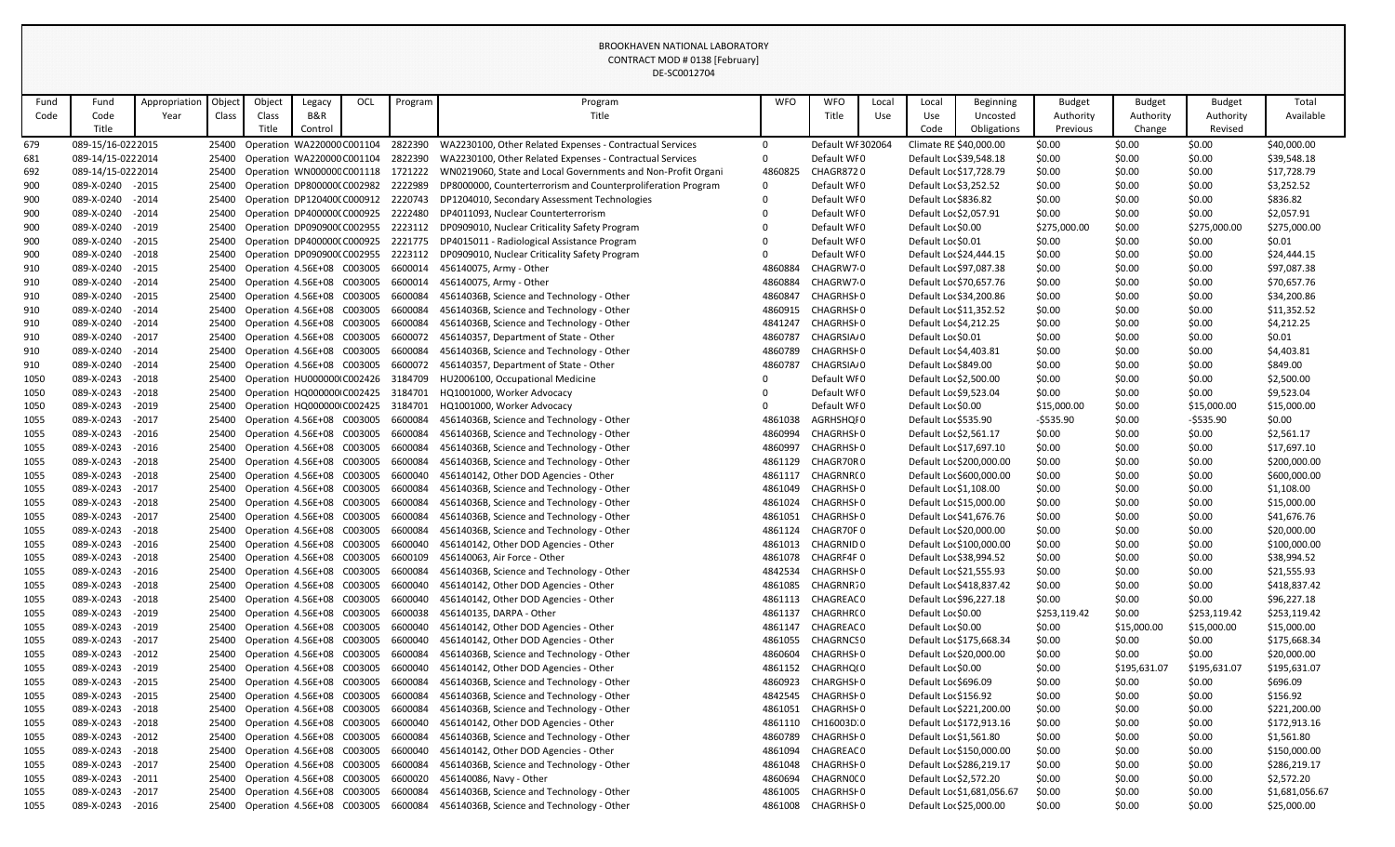|      |                   |               |        |        |                                  |     |         | DE-SC0012704                                                 |            |                   |       |                          |                            |               |               |               |                |
|------|-------------------|---------------|--------|--------|----------------------------------|-----|---------|--------------------------------------------------------------|------------|-------------------|-------|--------------------------|----------------------------|---------------|---------------|---------------|----------------|
| Fund | Fund              | Appropriation | Object | Object | Legacy                           | OCL | Program | Program                                                      | <b>WFO</b> | <b>WFO</b>        | Local | Local                    | <b>Beginning</b>           | <b>Budget</b> | <b>Budget</b> | <b>Budget</b> | Total          |
| Code | Code              | Year          | Class  | Class  | B&R                              |     |         | Title                                                        |            | Title             | Use   | Use                      | Uncosted                   | Authority     | Authority     | Authority     | Available      |
|      | Title             |               |        | Title  | Control                          |     |         |                                                              |            |                   |       | Code                     | Obligations                | Previous      | Change        | Revised       |                |
| 679  | 089-15/16-0222015 |               | 25400  |        | Operation WA220000 C001104       |     | 2822390 | WA2230100, Other Related Expenses - Contractual Services     | $\Omega$   | Default WI 302064 |       | Climate RE \$40,000.00   |                            | \$0.00        | \$0.00        | \$0.00        | \$40,000.00    |
| 681  | 089-14/15-0222014 |               | 25400  |        | Operation WA220000 C001104       |     | 2822390 | WA2230100, Other Related Expenses - Contractual Services     |            | Default WI0       |       | Default Loc \$39,548.18  |                            | \$0.00        | \$0.00        | \$0.00        | \$39,548.18    |
| 692  | 089-14/15-0222014 |               | 25400  |        | Operation WN00000CC001118        |     | 1721222 | WN0219060, State and Local Governments and Non-Profit Organi | 4860825    | CHAGR8720         |       | Default Loc \$17,728.79  |                            | \$0.00        | \$0.00        | \$0.00        | \$17,728.79    |
| 900  | 089-X-0240 - 2015 |               | 25400  |        | Operation DP800000(C002982       |     | 2222989 | DP8000000, Counterterrorism and Counterproliferation Program |            | Default WI0       |       | Default Loc \$3,252.52   |                            | \$0.00        | \$0.00        | \$0.00        | \$3,252.52     |
| 900  | 089-X-0240 - 2014 |               | 25400  |        | Operation DP120400(C000912       |     | 2220743 | DP1204010, Secondary Assessment Technologies                 |            | Default WFO       |       | Default Loc \$836.82     |                            | \$0.00        | \$0.00        | \$0.00        | \$836.82       |
| 900  | 089-X-0240        | $-2014$       | 25400  |        | Operation DP400000(C000925       |     | 2222480 | DP4011093, Nuclear Counterterrorism                          |            | Default WI0       |       | Default Loc \$2,057.91   |                            | \$0.00        | \$0.00        | \$0.00        | \$2,057.91     |
| 900  | 089-X-0240        | $-2019$       | 25400  |        | Operation DP090900(C002955       |     | 2223112 | DP0909010, Nuclear Criticality Safety Program                |            | Default WFO       |       | Default Loc \$0.00       |                            | \$275,000.00  | \$0.00        | \$275,000.00  | \$275,000.00   |
| 900  | 089-X-0240 - 2015 |               | 25400  |        | Operation DP400000(C000925       |     | 2221775 | DP4015011 - Radiological Assistance Program                  |            | Default WI0       |       | Default Loc \$0.01       |                            | \$0.00        | \$0.00        | \$0.00        | \$0.01         |
| 900  | 089-X-0240        | $-2018$       | 25400  |        | Operation DP090900(C002955       |     | 2223112 | DP0909010, Nuclear Criticality Safety Program                |            | Default WI0       |       | Default Loc \$24,444.15  |                            | \$0.00        | \$0.00        | \$0.00        | \$24,444.15    |
| 910  | 089-X-0240        | $-2015$       | 25400  |        | Operation 4.56E+08 C003005       |     | 6600014 | 456140075, Army - Other                                      | 4860884    | CHAGRW70          |       | Default Loc \$97,087.38  |                            | \$0.00        | \$0.00        | \$0.00        | \$97,087.38    |
| 910  | 089-X-0240        | $-2014$       | 25400  |        | Operation 4.56E+08 C003005       |     | 6600014 | 456140075, Army - Other                                      | 4860884    | CHAGRW70          |       | Default Loc \$70,657.76  |                            | \$0.00        | \$0.00        | \$0.00        | \$70,657.76    |
| 910  | 089-X-0240        | $-2015$       | 25400  |        | Operation 4.56E+08 C003005       |     | 6600084 | 45614036B, Science and Technology - Other                    | 4860847    | CHAGRHSI 0        |       | Default Loc \$34,200.86  |                            | \$0.00        | \$0.00        | \$0.00        | \$34,200.86    |
| 910  | 089-X-0240        | $-2014$       | 25400  |        | Operation 4.56E+08 C003005       |     | 6600084 | 45614036B, Science and Technology - Other                    | 4860915    | CHAGRHSI 0        |       | Default Loc \$11,352.52  |                            | \$0.00        | \$0.00        | \$0.00        | \$11,352.52    |
| 910  | 089-X-0240 - 2014 |               | 25400  |        | Operation 4.56E+08 C003005       |     | 6600084 | 45614036B, Science and Technology - Other                    | 4841247    | CHAGRHSF0         |       | Default Loc \$4,212.25   |                            | \$0.00        | \$0.00        | \$0.00        | \$4,212.25     |
| 910  | 089-X-0240        | $-2017$       | 25400  |        | Operation 4.56E+08 C003005       |     | 6600072 | 456140357, Department of State - Other                       | 4860787    | CHAGRSIA/0        |       | Default Loc \$0.01       |                            | \$0.00        | \$0.00        | \$0.00        | \$0.01         |
| 910  | 089-X-0240 - 2014 |               | 25400  |        | Operation 4.56E+08 C003005       |     | 6600084 | 45614036B, Science and Technology - Other                    | 4860789    | CHAGRHSI 0        |       | Default Loc \$4,403.81   |                            | \$0.00        | \$0.00        | \$0.00        | \$4,403.81     |
| 910  | 089-X-0240        | $-2014$       | 25400  |        | Operation 4.56E+08 C003005       |     | 6600072 | 456140357, Department of State - Other                       | 4860787    | CHAGRSIA/0        |       | Default Loc \$849.00     |                            | \$0.00        | \$0.00        | \$0.00        | \$849.00       |
| 1050 | 089-X-0243        | $-2018$       | 25400  |        | Operation HU000000 C002426       |     | 3184709 | HU2006100, Occupational Medicine                             |            | Default WFO       |       | Default Loc \$2,500.00   |                            | \$0.00        | \$0.00        | \$0.00        | \$2,500.00     |
| 1050 | 089-X-0243        | $-2018$       | 25400  |        | Operation HQ000000 C002425       |     | 3184701 | HQ1001000, Worker Advocacy                                   |            | Default WI0       |       | Default Loc \$9,523.04   |                            | \$0.00        | \$0.00        | \$0.00        | \$9,523.04     |
| 1050 | 089-X-0243        | $-2019$       | 25400  |        | Operation HQ000000 C002425       |     | 3184701 | HQ1001000, Worker Advocacy                                   |            | Default WI0       |       | Default Loc \$0.00       |                            | \$15,000.00   | \$0.00        | \$15,000.00   | \$15,000.00    |
| 1055 | 089-X-0243        | $-2017$       | 25400  |        | Operation 4.56E+08 C003005       |     | 6600084 | 45614036B, Science and Technology - Other                    | 4861038    | AGRHSHQI0         |       | Default Loc \$535.90     |                            | $-5535.90$    | \$0.00        | $-5535.90$    | \$0.00         |
| 1055 | 089-X-0243        | $-2016$       | 25400  |        | Operation 4.56E+08 C003005       |     | 6600084 | 45614036B, Science and Technology - Other                    | 4860994    | CHAGRHSI 0        |       | Default Loc \$2,561.17   |                            | \$0.00        | \$0.00        | \$0.00        | \$2,561.17     |
| 1055 | 089-X-0243        | $-2016$       | 25400  |        | Operation 4.56E+08 C003005       |     | 6600084 | 45614036B, Science and Technology - Other                    | 4860997    | CHAGRHSI 0        |       | Default Loc \$17,697.10  |                            | \$0.00        | \$0.00        | \$0.00        | \$17,697.10    |
| 1055 | 089-X-0243        | $-2018$       | 25400  |        | Operation 4.56E+08 C003005       |     | 6600084 | 45614036B, Science and Technology - Other                    | 4861129    | CHAGR70R0         |       | Default Loc \$200,000.00 |                            | \$0.00        | \$0.00        | \$0.00        | \$200,000.00   |
| 1055 | 089-X-0243        | $-2018$       | 25400  |        | Operation 4.56E+08 C003005       |     | 6600040 | 456140142, Other DOD Agencies - Other                        | 4861117    | CHAGRNR(0         |       | Default Loc \$600,000.00 |                            | \$0.00        | \$0.00        | \$0.00        | \$600,000.00   |
| 1055 | 089-X-0243        | $-2017$       | 25400  |        | Operation 4.56E+08 C003005       |     | 6600084 | 45614036B, Science and Technology - Other                    | 4861049    | CHAGRHSI 0        |       | Default Loc \$1,108.00   |                            | \$0.00        | \$0.00        | \$0.00        | \$1,108.00     |
| 1055 | 089-X-0243 - 2018 |               | 25400  |        | Operation 4.56E+08 C003005       |     | 6600084 | 45614036B, Science and Technology - Other                    | 4861024    | CHAGRHSI 0        |       | Default Loc \$15,000.00  |                            | \$0.00        | \$0.00        | \$0.00        | \$15,000.00    |
| 1055 | 089-X-0243 - 2017 |               |        |        | 25400 Operation 4.56E+08 C003005 |     | 6600084 | 45614036B, Science and Technology - Other                    | 4861051    | CHAGRHSI 0        |       | Default Loc \$41,676.76  |                            | \$0.00        | \$0.00        | \$0.00        | \$41,676.76    |
| 1055 | 089-X-0243        | $-2018$       | 25400  |        | Operation 4.56E+08 C003005       |     | 6600084 | 45614036B, Science and Technology - Other                    | 4861124    | CHAGR70F0         |       | Default Loc \$20,000.00  |                            | \$0.00        | \$0.00        | \$0.00        | \$20,000.00    |
| 1055 | 089-X-0243        | $-2016$       | 25400  |        | Operation 4.56E+08 C003005       |     | 6600040 | 456140142, Other DOD Agencies - Other                        | 4861013    | CHAGRNID 0        |       | Default Loc \$100,000.00 |                            | \$0.00        | \$0.00        | \$0.00        | \$100,000.00   |
| 1055 | 089-X-0243        | $-2018$       | 25400  |        | Operation 4.56E+08 C003005       |     | 6600109 | 456140063, Air Force - Other                                 | 4861078    | CHAGRF4F0         |       | Default Loc \$38,994.52  |                            | \$0.00        | \$0.00        | \$0.00        | \$38,994.52    |
| 1055 | 089-X-0243        | $-2016$       | 25400  |        | Operation 4.56E+08 C003005       |     | 6600084 | 45614036B, Science and Technology - Other                    | 4842534    | CHAGRHSI 0        |       | Default Loc \$21,555.93  |                            | \$0.00        | \$0.00        | \$0.00        | \$21,555.93    |
| 1055 | 089-X-0243        | $-2018$       | 25400  |        | Operation 4.56E+08 C003005       |     | 6600040 | 456140142, Other DOD Agencies - Other                        | 4861085    | CHAGRNR70         |       | Default Loc \$418,837.42 |                            | \$0.00        | \$0.00        | \$0.00        | \$418,837.42   |
| 1055 | 089-X-0243        | $-2018$       | 25400  |        | Operation 4.56E+08 C003005       |     | 6600040 | 456140142, Other DOD Agencies - Other                        | 4861113    | CHAGREAC0         |       | Default Loc \$96,227.18  |                            | \$0.00        | \$0.00        | \$0.00        | \$96,227.18    |
| 1055 | 089-X-0243 - 2019 |               | 25400  |        | Operation 4.56E+08 C003005       |     | 6600038 | 456140135, DARPA - Other                                     | 4861137    | CHAGRHR(0         |       | Default Loc \$0.00       |                            | \$253,119.42  | \$0.00        | \$253,119.42  | \$253,119.42   |
| 1055 | 089-X-0243        | $-2019$       | 25400  |        | Operation 4.56E+08 C003005       |     | 6600040 | 456140142, Other DOD Agencies - Other                        | 4861147    | CHAGREAC0         |       | Default Loc \$0.00       |                            | \$0.00        | \$15,000.00   | \$15,000.00   | \$15,000.00    |
| 1055 | 089-X-0243        | $-2017$       | 25400  |        | Operation 4.56E+08 C003005       |     | 6600040 | 456140142, Other DOD Agencies - Other                        | 4861055    | <b>CHAGRNCSO</b>  |       | Default Loc \$175,668.34 |                            | \$0.00        | \$0.00        | \$0.00        | \$175,668.34   |
| 1055 | 089-X-0243 - 2012 |               | 25400  |        | Operation 4.56E+08 C003005       |     | 6600084 | 45614036B, Science and Technology - Other                    | 4860604    | CHAGRHSI 0        |       | Default Loc \$20,000.00  |                            | \$0.00        | \$0.00        | \$0.00        | \$20,000.00    |
| 1055 | 089-X-0243        | $-2019$       | 25400  |        | Operation 4.56E+08 C003005       |     | 6600040 | 456140142, Other DOD Agencies - Other                        | 4861152    | CHAGRHQ(0         |       | Default Loc \$0.00       |                            | \$0.00        | \$195,631.07  | \$195,631.07  | \$195,631.07   |
| 1055 | 089-X-0243 - 2015 |               | 25400  |        | Operation 4.56E+08 C003005       |     | 6600084 | 45614036B, Science and Technology - Other                    | 4860923    | CHARGHSI 0        |       | Default Loc \$696.09     |                            | \$0.00        | \$0.00        | \$0.00        | \$696.09       |
| 1055 | 089-X-0243        | $-2015$       | 25400  |        | Operation 4.56E+08 C003005       |     | 6600084 | 45614036B, Science and Technology - Other                    | 4842545    | CHAGRHSI 0        |       | Default Loc \$156.92     |                            | \$0.00        | \$0.00        | \$0.00        | \$156.92       |
| 1055 | 089-X-0243        | $-2018$       | 25400  |        | Operation 4.56E+08 C003005       |     | 6600084 | 45614036B, Science and Technology - Other                    | 4861051    | CHAGRHSI 0        |       | Default Loc \$221,200.00 |                            | \$0.00        | \$0.00        | \$0.00        | \$221,200.00   |
| 1055 | 089-X-0243 - 2018 |               | 25400  |        | Operation 4.56E+08 C003005       |     | 6600040 | 456140142, Other DOD Agencies - Other                        | 4861110    | CH16003D.0        |       | Default Loc \$172,913.16 |                            | \$0.00        | \$0.00        | \$0.00        | \$172,913.16   |
| 1055 | 089-X-0243        | $-2012$       | 25400  |        | Operation 4.56E+08 C003005       |     | 6600084 | 45614036B, Science and Technology - Other                    | 4860789    | CHAGRHSI 0        |       | Default Loc \$1,561.80   |                            | \$0.00        | \$0.00        | \$0.00        | \$1,561.80     |
| 1055 | 089-X-0243        | $-2018$       | 25400  |        | Operation 4.56E+08 C003005       |     | 6600040 | 456140142, Other DOD Agencies - Other                        | 4861094    | CHAGREAC0         |       | Default Loc \$150,000.00 |                            | \$0.00        | \$0.00        | \$0.00        | \$150,000.00   |
| 1055 | 089-X-0243        | $-2017$       | 25400  |        | Operation 4.56E+08 C003005       |     | 6600084 | 45614036B, Science and Technology - Other                    | 4861048    | CHAGRHSI 0        |       | Default Loc \$286,219.17 |                            | \$0.00        | \$0.00        | \$0.00        | \$286,219.17   |
| 1055 | 089-X-0243        | $-2011$       | 25400  |        | Operation 4.56E+08 C003005       |     | 6600020 | 456140086, Navy - Other                                      | 4860694    | CHAGRN0CO         |       | Default Loc \$2,572.20   |                            | \$0.00        | \$0.00        | \$0.00        | \$2,572.20     |
| 1055 | 089-X-0243        | $-2017$       | 25400  |        | Operation 4.56E+08 C003005       |     | 6600084 | 45614036B, Science and Technology - Other                    | 4861005    | CHAGRHSI 0        |       |                          | Default Loc \$1,681,056.67 | \$0.00        | \$0.00        | \$0.00        | \$1,681,056.67 |
| 1055 | 089-X-0243        | $-2016$       | 25400  |        | Operation 4.56E+08 C003005       |     | 6600084 | 45614036B, Science and Technology - Other                    | 4861008    | CHAGRHSI 0        |       | Default Loc \$25,000.00  |                            | \$0.00        | \$0.00        | \$0.00        | \$25,000.00    |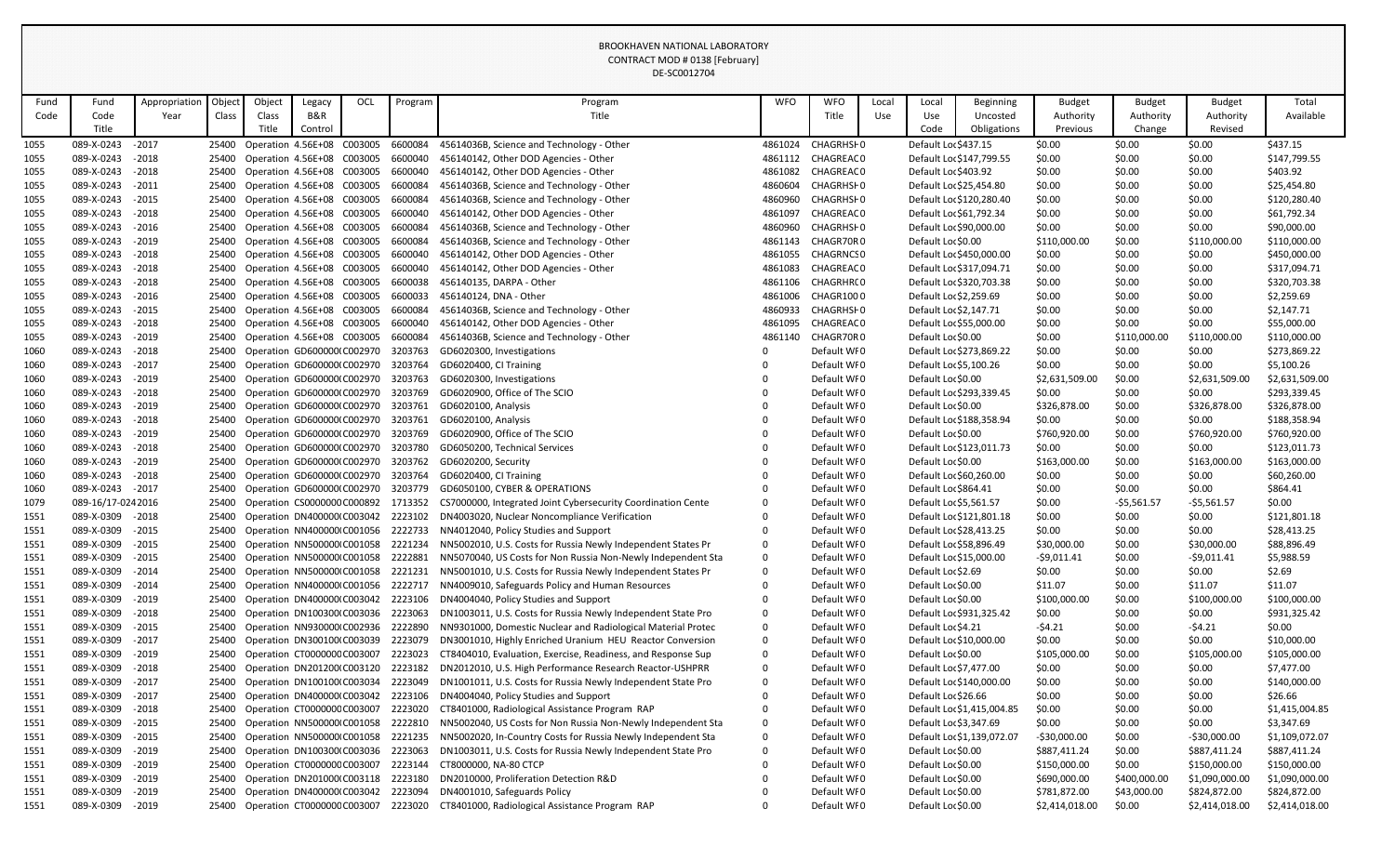|      |                   |               |        |                                  |         |     |         | DE-SC0012704                                                                                           |            |                  |       |                          |                            |                |               |                |                |
|------|-------------------|---------------|--------|----------------------------------|---------|-----|---------|--------------------------------------------------------------------------------------------------------|------------|------------------|-------|--------------------------|----------------------------|----------------|---------------|----------------|----------------|
| Fund | Fund              | Appropriation | Object | Object                           | Legacy  | OCL | Program | Program                                                                                                | <b>WFO</b> | <b>WFO</b>       | Local | Local                    | <b>Beginning</b>           | <b>Budget</b>  | <b>Budget</b> | <b>Budget</b>  | Total          |
| Code | Code              | Year          | Class  | Class                            | B&R     |     |         | Title                                                                                                  |            | Title            | Use   | Use                      | Uncosted                   | Authority      | Authority     | Authority      | Available      |
|      | Title             |               |        | Title                            | Control |     |         |                                                                                                        |            |                  |       | Code                     | Obligations                | Previous       | Change        | Revised        |                |
| 1055 | 089-X-0243        | $-2017$       |        | 25400 Operation 4.56E+08 C003005 |         |     | 6600084 | 45614036B, Science and Technology - Other                                                              | 4861024    | CHAGRHSF0        |       | Default Loc \$437.15     |                            | \$0.00         | \$0.00        | \$0.00         | \$437.15       |
| 1055 | 089-X-0243        | $-2018$       |        | 25400 Operation 4.56E+08 C003005 |         |     | 6600040 | 456140142, Other DOD Agencies - Other                                                                  | 4861112    | CHAGREAC0        |       | Default Loc \$147,799.55 |                            | \$0.00         | \$0.00        | \$0.00         | \$147,799.55   |
| 1055 | 089-X-0243        | $-2018$       | 25400  | Operation 4.56E+08 C003005       |         |     | 6600040 | 456140142, Other DOD Agencies - Other                                                                  | 4861082    | CHAGREAC0        |       | Default Loc \$403.92     |                            | \$0.00         | \$0.00        | \$0.00         | \$403.92       |
| 1055 | 089-X-0243        | $-2011$       |        | 25400 Operation 4.56E+08 C003005 |         |     | 6600084 | 45614036B, Science and Technology - Other                                                              | 4860604    | CHAGRHSF0        |       | Default Loc \$25,454.80  |                            | \$0.00         | \$0.00        | \$0.00         | \$25,454.80    |
| 1055 | 089-X-0243        | $-2015$       |        | 25400 Operation 4.56E+08 C003005 |         |     | 6600084 | 45614036B, Science and Technology - Other                                                              | 4860960    | CHAGRHSI0        |       | Default Loc \$120,280.40 |                            | \$0.00         | \$0.00        | \$0.00         | \$120,280.40   |
| 1055 | 089-X-0243        | $-2018$       |        | 25400 Operation 4.56E+08 C003005 |         |     | 6600040 | 456140142, Other DOD Agencies - Other                                                                  | 4861097    | CHAGREAC0        |       | Default Loc \$61,792.34  |                            | \$0.00         | \$0.00        | \$0.00         | \$61,792.34    |
| 1055 | 089-X-0243        | $-2016$       |        | 25400 Operation 4.56E+08 C003005 |         |     | 6600084 | 45614036B, Science and Technology - Other                                                              | 4860960    | CHAGRHSI0        |       | Default Loc \$90,000.00  |                            | \$0.00         | \$0.00        | \$0.00         | \$90,000.00    |
| 1055 | 089-X-0243        | $-2019$       |        | 25400 Operation 4.56E+08 C003005 |         |     | 6600084 | 45614036B, Science and Technology - Other                                                              | 4861143    | CHAGR70R0        |       | Default Loc \$0.00       |                            | \$110,000.00   | \$0.00        | \$110,000.00   | \$110,000.00   |
| 1055 | 089-X-0243        | $-2018$       | 25400  | Operation 4.56E+08 C003005       |         |     | 6600040 | 456140142, Other DOD Agencies - Other                                                                  | 4861055    | <b>CHAGRNCSO</b> |       | Default Loc \$450,000.00 |                            | \$0.00         | \$0.00        | \$0.00         | \$450,000.00   |
| 1055 | 089-X-0243        | $-2018$       |        | 25400 Operation 4.56E+08 C003005 |         |     | 6600040 | 456140142, Other DOD Agencies - Other                                                                  | 4861083    | CHAGREAC0        |       | Default Loc \$317,094.71 |                            | \$0.00         | \$0.00        | \$0.00         | \$317,094.71   |
| 1055 | 089-X-0243        | $-2018$       | 25400  | Operation 4.56E+08 C003005       |         |     | 6600038 | 456140135, DARPA - Other                                                                               | 4861106    | CHAGRHR(0        |       | Default Loc \$320,703.38 |                            | \$0.00         | \$0.00        | \$0.00         | \$320,703.38   |
| 1055 | 089-X-0243        | $-2016$       |        | 25400 Operation 4.56E+08 C003005 |         |     | 6600033 | 456140124, DNA - Other                                                                                 | 4861006    | CHAGR1000        |       | Default Loc \$2,259.69   |                            | \$0.00         | \$0.00        | \$0.00         | \$2,259.69     |
| 1055 | 089-X-0243        | $-2015$       |        | 25400 Operation 4.56E+08 C003005 |         |     | 6600084 | 45614036B, Science and Technology - Other                                                              | 4860933    | CHAGRHSF0        |       | Default Loc \$2,147.71   |                            | \$0.00         | \$0.00        | \$0.00         | \$2,147.71     |
| 1055 | 089-X-0243        | $-2018$       | 25400  | Operation 4.56E+08 C003005       |         |     | 6600040 | 456140142, Other DOD Agencies - Other                                                                  | 4861095    | CHAGREAC0        |       | Default Loc \$55,000.00  |                            | \$0.00         | \$0.00        | \$0.00         | \$55,000.00    |
| 1055 | 089-X-0243        | $-2019$       |        | 25400 Operation 4.56E+08 C003005 |         |     | 6600084 | 45614036B, Science and Technology - Other                                                              | 4861140    | CHAGR70R0        |       | Default Loc \$0.00       |                            | \$0.00         | \$110,000.00  | \$110,000.00   | \$110,000.00   |
| 1060 | 089-X-0243        | $-2018$       |        | 25400 Operation GD600000(C002970 |         |     | 3203763 | GD6020300, Investigations                                                                              |            | Default WI0      |       | Default Loc \$273,869.22 |                            | \$0.00         | \$0.00        | \$0.00         | \$273,869.22   |
| 1060 | 089-X-0243        | $-2017$       |        | 25400 Operation GD600000(C002970 |         |     | 3203764 | GD6020400, CI Training                                                                                 |            | Default WI0      |       | Default Loc \$5,100.26   |                            | \$0.00         | \$0.00        | \$0.00         | \$5,100.26     |
| 1060 | 089-X-0243        | $-2019$       |        | 25400 Operation GD600000(C002970 |         |     | 3203763 | GD6020300, Investigations                                                                              |            | Default WI0      |       | Default Loc \$0.00       |                            | \$2,631,509.00 | \$0.00        | \$2,631,509.00 | \$2,631,509.00 |
| 1060 | 089-X-0243        | $-2018$       | 25400  | Operation GD600000(C002970       |         |     | 3203769 | GD6020900, Office of The SCIO                                                                          |            | Default WI0      |       | Default Loc \$293,339.45 |                            | \$0.00         | \$0.00        | \$0.00         | \$293,339.45   |
| 1060 | 089-X-0243        | $-2019$       | 25400  | Operation GD600000(C002970       |         |     | 3203761 | GD6020100, Analysis                                                                                    |            | Default WI0      |       | Default Loc \$0.00       |                            | \$326,878.00   | \$0.00        | \$326,878.00   | \$326,878.00   |
| 1060 | 089-X-0243        | $-2018$       |        | 25400 Operation GD600000(C002970 |         |     | 3203761 | GD6020100, Analysis                                                                                    |            | Default WI0      |       | Default Loc \$188,358.94 |                            | \$0.00         | \$0.00        | \$0.00         | \$188,358.94   |
| 1060 | 089-X-0243        | $-2019$       | 25400  | Operation GD600000(C002970       |         |     | 3203769 | GD6020900, Office of The SCIO                                                                          |            | Default WI0      |       | Default Loc \$0.00       |                            | \$760,920.00   | \$0.00        | \$760,920.00   | \$760,920.00   |
| 1060 | 089-X-0243        | $-2018$       |        | 25400 Operation GD600000(C002970 |         |     | 3203780 | GD6050200, Technical Services                                                                          |            | Default WI0      |       | Default Loc \$123,011.73 |                            | \$0.00         | \$0.00        | \$0.00         | \$123,011.73   |
| 1060 | 089-X-0243        | $-2019$       | 25400  | Operation GD600000(C002970       |         |     | 3203762 | GD6020200, Security                                                                                    |            | Default WI0      |       | Default Loc \$0.00       |                            | \$163,000.00   | \$0.00        | \$163,000.00   | \$163,000.00   |
| 1060 | 089-X-0243        | $-2018$       |        | 25400 Operation GD600000(C002970 |         |     | 3203764 | GD6020400, CI Training                                                                                 |            | Default WI0      |       | Default Loc \$60,260.00  |                            | \$0.00         | \$0.00        | \$0.00         | \$60,260.00    |
| 1060 | 089-X-0243        | $-2017$       |        | 25400 Operation GD600000(C002970 |         |     | 3203779 | GD6050100, CYBER & OPERATIONS                                                                          |            | Default WI0      |       | Default Loc \$864.41     |                            | \$0.00         | \$0.00        | \$0.00         | \$864.41       |
| 1079 | 089-16/17-0242016 |               |        |                                  |         |     |         | 25400 Operation CS0000000 C000892 1713352 CS7000000, Integrated Joint Cybersecurity Coordination Cente |            | Default WFO      |       | Default Loc \$5,561.57   |                            | \$0.00         | -\$5,561.57   | $-$5,561.57$   | \$0.00         |
| 1551 | 089-X-0309        | $-2018$       | 25400  | Operation DN400000 C003042       |         |     | 2223102 | DN4003020, Nuclear Noncompliance Verification                                                          |            | Default WFO      |       | Default Loc \$121,801.18 |                            | \$0.00         | \$0.00        | \$0.00         | \$121,801.18   |
| 1551 | 089-X-0309        | $-2015$       |        | 25400 Operation NN400000 C001056 |         |     | 2222733 | NN4012040, Policy Studies and Support                                                                  |            | Default WI0      |       | Default Loc \$28,413.25  |                            | \$0.00         | \$0.00        | \$0.00         | \$28,413.25    |
| 1551 | 089-X-0309        | $-2015$       | 25400  | Operation NN500000 C001058       |         |     | 2221234 | NN5002010, U.S. Costs for Russia Newly Independent States Pr                                           | 0          | Default WI0      |       | Default Loc \$58,896.49  |                            | \$30,000.00    | \$0.00        | \$30,000.00    | \$88,896.49    |
| 1551 | 089-X-0309        | $-2015$       |        | 25400 Operation NN500000 C001058 |         |     | 2222881 | NN5070040, US Costs for Non Russia Non-Newly Independent Sta                                           | 0          | Default WI0      |       | Default Loc \$15,000.00  |                            | $-59,011.41$   | \$0.00        | $-59,011.41$   | \$5,988.59     |
| 1551 | 089-X-0309        | $-2014$       |        | 25400 Operation NN500000 C001058 |         |     | 2221231 | NN5001010, U.S. Costs for Russia Newly Independent States Pr                                           | 0          | Default WF0      |       | Default Loc \$2.69       |                            | \$0.00         | \$0.00        | \$0.00         | \$2.69         |
| 1551 | 089-X-0309        | $-2014$       | 25400  | Operation NN400000 C001056       |         |     | 2222717 | NN4009010, Safeguards Policy and Human Resources                                                       |            | Default WI0      |       | Default Loc \$0.00       |                            | \$11.07        | \$0.00        | \$11.07        | \$11.07        |
| 1551 | 089-X-0309        | $-2019$       | 25400  | Operation DN400000 C003042       |         |     | 2223106 | DN4004040, Policy Studies and Support                                                                  |            | Default WI0      |       | Default Loc \$0.00       |                            | \$100,000.00   | \$0.00        | \$100,000.00   | \$100,000.00   |
| 1551 | 089-X-0309        | $-2018$       | 25400  | Operation DN100300(C003036       |         |     | 2223063 | DN1003011, U.S. Costs for Russia Newly Independent State Pro                                           | 0          | Default WI0      |       | Default Loc \$931,325.42 |                            | \$0.00         | \$0.00        | \$0.00         | \$931,325.42   |
| 1551 | 089-X-0309        | $-2015$       |        | 25400 Operation NN930000 C002936 |         |     | 2222890 | NN9301000, Domestic Nuclear and Radiological Material Protec                                           | 0          | Default WFO      |       | Default Loc \$4.21       |                            | -\$4.21        | \$0.00        | $-54.21$       | \$0.00         |
| 1551 | 089-X-0309        | $-2017$       |        | 25400 Operation DN300100 C003039 |         |     | 2223079 | DN3001010, Highly Enriched Uranium HEU Reactor Conversion                                              | 0          | Default WI0      |       | Default Loc \$10,000.00  |                            | \$0.00         | \$0.00        | \$0.00         | \$10,000.00    |
| 1551 | 089-X-0309        | $-2019$       | 25400  | Operation CT000000CC003007       |         |     | 2223023 | CT8404010, Evaluation, Exercise, Readiness, and Response Sup                                           | 0          | Default WI0      |       | Default Loc \$0.00       |                            | \$105,000.00   | \$0.00        | \$105,000.00   | \$105,000.00   |
| 1551 | 089-X-0309        | $-2018$       | 25400  | Operation DN201200(C003120       |         |     | 2223182 | DN2012010, U.S. High Performance Research Reactor-USHPRR                                               | 0          | Default WI0      |       | Default Loc \$7,477.00   |                            | \$0.00         | \$0.00        | \$0.00         | \$7,477.00     |
| 1551 | 089-X-0309        | $-2017$       | 25400  | Operation DN100100 C003034       |         |     | 2223049 | DN1001011, U.S. Costs for Russia Newly Independent State Pro                                           | 0          | Default WI0      |       | Default Loc \$140,000.00 |                            | \$0.00         | \$0.00        | \$0.00         | \$140,000.00   |
| 1551 | 089-X-0309        | $-2017$       | 25400  | Operation DN400000 C003042       |         |     | 2223106 | DN4004040, Policy Studies and Support                                                                  |            | Default WI0      |       | Default Loc \$26.66      |                            | \$0.00         | \$0.00        | \$0.00         | \$26.66        |
| 1551 | 089-X-0309        | $-2018$       | 25400  | Operation CT000000CC003007       |         |     | 2223020 | CT8401000, Radiological Assistance Program RAP                                                         |            | Default WI0      |       |                          | Default Loc \$1,415,004.85 | \$0.00         | \$0.00        | \$0.00         | \$1,415,004.85 |
| 1551 | 089-X-0309        | $-2015$       | 25400  | Operation NN500000 C001058       |         |     | 2222810 | NN5002040, US Costs for Non Russia Non-Newly Independent Sta                                           | 0          | Default WI0      |       | Default Loc \$3,347.69   |                            | \$0.00         | \$0.00        | \$0.00         | \$3,347.69     |
| 1551 | 089-X-0309        | $-2015$       | 25400  | Operation NN500000 C001058       |         |     | 2221235 | NN5002020, In-Country Costs for Russia Newly Independent Sta                                           | 0          | Default WFO      |       |                          | Default Loc \$1,139,072.07 | $-530,000.00$  | \$0.00        | $-530,000.00$  | \$1,109,072.07 |
| 1551 | 089-X-0309        | $-2019$       | 25400  | Operation DN100300 C003036       |         |     | 2223063 | DN1003011, U.S. Costs for Russia Newly Independent State Pro                                           | 0          | Default WI0      |       | Default Loc \$0.00       |                            | \$887,411.24   | \$0.00        | \$887,411.24   | \$887,411.24   |
| 1551 | 089-X-0309        | $-2019$       | 25400  | Operation CT000000CC003007       |         |     | 2223144 | CT8000000, NA-80 CTCP                                                                                  |            | Default WI0      |       | Default Loc \$0.00       |                            | \$150,000.00   | \$0.00        | \$150,000.00   | \$150,000.00   |
| 1551 | 089-X-0309        | $-2019$       |        | 25400 Operation DN201000 C003118 |         |     | 2223180 | DN2010000, Proliferation Detection R&D                                                                 |            | Default WI0      |       | Default Loc \$0.00       |                            | \$690,000.00   | \$400,000.00  | \$1,090,000.00 | \$1,090,000.00 |
| 1551 | 089-X-0309        | $-2019$       |        | 25400 Operation DN400000 C003042 |         |     | 2223094 | DN4001010, Safeguards Policy                                                                           |            | Default WI0      |       | Default Loc \$0.00       |                            | \$781,872.00   | \$43,000.00   | \$824,872.00   | \$824,872.00   |
| 1551 | 089-X-0309        | $-2019$       |        | 25400 Operation CT000000CC003007 |         |     | 2223020 | CT8401000, Radiological Assistance Program RAP                                                         |            | Default WI0      |       | Default Loc \$0.00       |                            | \$2,414,018.00 | \$0.00        | \$2,414,018.00 | \$2,414,018.00 |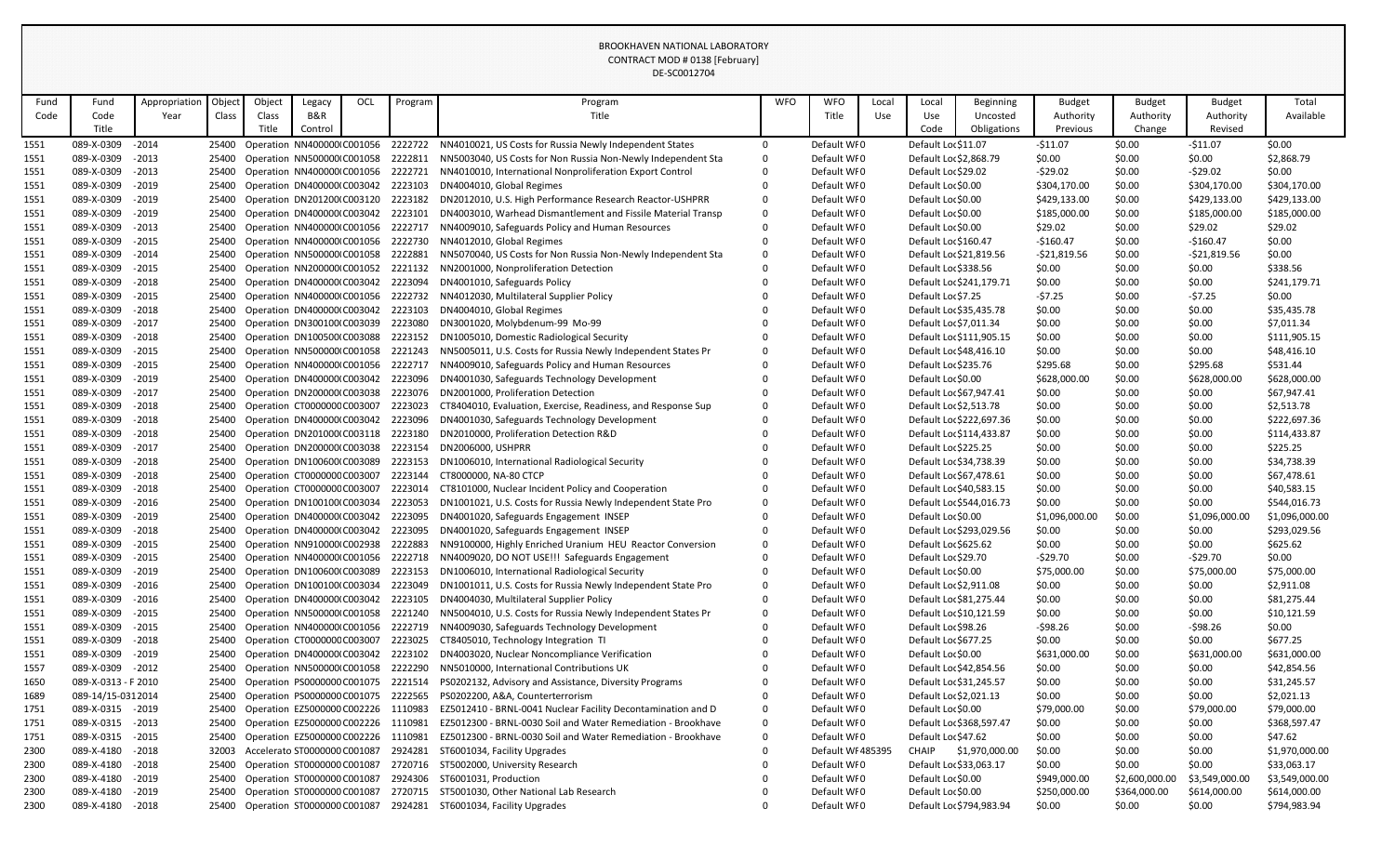|      |                     |               |        |        |                                   |     |         | DE-SC0012704                                                         |            |                   |       |                          |                |                |                |                |                |
|------|---------------------|---------------|--------|--------|-----------------------------------|-----|---------|----------------------------------------------------------------------|------------|-------------------|-------|--------------------------|----------------|----------------|----------------|----------------|----------------|
| Fund | Fund                | Appropriatior | Object | Object | Legacy                            | OCL | Program | Program                                                              | <b>WFO</b> | <b>WFO</b>        | Local | Local                    | Beginning      | <b>Budget</b>  | <b>Budget</b>  | <b>Budget</b>  | Total          |
| Code | Code                | Year          | Class  | Class  | B&R                               |     |         | Title                                                                |            | Title             | Use   | Use                      | Uncosted       | Authority      | Authority      | Authority      | Available      |
|      | Title               |               |        | Title  | Control                           |     |         |                                                                      |            |                   |       | Code                     | Obligations    | Previous       | Change         | Revised        |                |
| 1551 | 089-X-0309          | $-2014$       | 25400  |        | Operation NN400000 C001056        |     | 2222722 | NN4010021, US Costs for Russia Newly Independent States              | $\Omega$   | Default WF0       |       | Default Loc \$11.07      |                | $-511.07$      | \$0.00         | $-511.07$      | \$0.00         |
| 1551 | 089-X-0309          | $-2013$       |        |        | 25400 Operation NN500000 C001058  |     | 2222811 | NN5003040, US Costs for Non Russia Non-Newly Independent Sta         | 0          | Default WI0       |       | Default Loc \$2,868.79   |                | \$0.00         | \$0.00         | \$0.00         | \$2,868.79     |
| 1551 | 089-X-0309          | $-2013$       |        |        | 25400 Operation NN400000 C001056  |     | 2222721 | NN4010010, International Nonproliferation Export Control             |            | Default WF0       |       | Default Loc \$29.02      |                | $-529.02$      | \$0.00         | $-529.02$      | \$0.00         |
| 1551 | 089-X-0309          | $-2019$       | 25400  |        | Operation DN400000 C003042        |     | 2223103 | DN4004010, Global Regimes                                            |            | Default WI0       |       | Default Loc \$0.00       |                | \$304,170.00   | \$0.00         | \$304,170.00   | \$304,170.00   |
| 1551 | 089-X-0309          | $-2019$       | 25400  |        | Operation DN201200(C003120        |     | 2223182 | DN2012010, U.S. High Performance Research Reactor-USHPRR             | 0          | Default WI0       |       | Default Loc \$0.00       |                | \$429,133.00   | \$0.00         | \$429,133.00   | \$429,133.00   |
| 1551 | 089-X-0309          | $-2019$       | 25400  |        | Operation DN400000(C003042        |     | 2223101 | DN4003010, Warhead Dismantlement and Fissile Material Transp         | 0          | Default WI0       |       | Default Loc \$0.00       |                | \$185,000.00   | \$0.00         | \$185,000.00   | \$185,000.00   |
| 1551 | 089-X-0309          | $-2013$       |        |        | 25400 Operation NN400000 C001056  |     | 2222717 | NN4009010, Safeguards Policy and Human Resources                     |            | Default WI0       |       | Default Loc \$0.00       |                | \$29.02        | \$0.00         | \$29.02        | \$29.02        |
| 1551 | 089-X-0309          | $-2015$       |        |        | 25400 Operation NN400000 C001056  |     | 2222730 | NN4012010, Global Regimes                                            |            | Default WI0       |       | Default Loc \$160.47     |                | $-$160.47$     | \$0.00         | $-5160.47$     | \$0.00         |
| 1551 | 089-X-0309          | $-2014$       | 25400  |        | Operation NN500000 C001058        |     | 2222881 | NN5070040, US Costs for Non Russia Non-Newly Independent Sta         |            | Default WI0       |       | Default Loc \$21,819.56  |                | $-521,819.56$  | \$0.00         | $-521,819.56$  | \$0.00         |
| 1551 | 089-X-0309          | $-2015$       | 25400  |        | Operation NN200000 C001052        |     | 2221132 | NN2001000, Nonproliferation Detection                                |            | Default WI0       |       | Default Loc \$338.56     |                | \$0.00         | \$0.00         | \$0.00         | \$338.56       |
| 1551 | 089-X-0309          | $-2018$       |        |        | 25400 Operation DN400000 C003042  |     | 2223094 | DN4001010, Safeguards Policy                                         |            | Default WI0       |       | Default Loc \$241,179.71 |                | \$0.00         | \$0.00         | \$0.00         | \$241,179.71   |
| 1551 | 089-X-0309          | $-2015$       | 25400  |        | Operation NN400000 C001056        |     | 2222732 | NN4012030, Multilateral Supplier Policy                              |            | Default WI0       |       | Default Loc \$7.25       |                | $-57.25$       | \$0.00         | $-57.25$       | \$0.00         |
| 1551 | 089-X-0309          | $-2018$       |        |        | 25400 Operation DN400000 C003042  |     | 2223103 | DN4004010, Global Regimes                                            |            | Default WI0       |       | Default Loc \$35,435.78  |                | \$0.00         | \$0.00         | \$0.00         | \$35,435.78    |
| 1551 | 089-X-0309          | $-2017$       | 25400  |        | Operation DN300100(C003039        |     | 2223080 | DN3001020, Molybdenum-99 Mo-99                                       |            | Default WI0       |       | Default Loc \$7,011.34   |                | \$0.00         | \$0.00         | \$0.00         | \$7,011.34     |
| 1551 | 089-X-0309          | $-2018$       | 25400  |        | Operation DN100500 C003088        |     | 2223152 | DN1005010, Domestic Radiological Security                            |            | Default WI0       |       | Default Loc \$111,905.15 |                | \$0.00         | \$0.00         | \$0.00         | \$111,905.15   |
| 1551 | 089-X-0309          | $-2015$       |        |        | 25400 Operation NN500000 C001058  |     | 2221243 | NN5005011, U.S. Costs for Russia Newly Independent States Pr         |            | Default WI0       |       | Default Loc \$48,416.10  |                | \$0.00         | \$0.00         | \$0.00         | \$48,416.10    |
| 1551 | 089-X-0309          | $-2015$       | 25400  |        | Operation NN400000 C001056        |     | 2222717 | NN4009010, Safeguards Policy and Human Resources                     |            | Default WI0       |       | Default Loc \$235.76     |                | \$295.68       | \$0.00         | \$295.68       | \$531.44       |
| 1551 | 089-X-0309          | $-2019$       |        |        | 25400 Operation DN400000 C003042  |     | 2223096 | DN4001030, Safeguards Technology Development                         |            | Default WI0       |       | Default Loc \$0.00       |                | \$628,000.00   | \$0.00         | \$628,000.00   | \$628,000.00   |
| 1551 | 089-X-0309          | $-2017$       |        |        | 25400 Operation DN200000 C003038  |     | 2223076 | DN2001000, Proliferation Detection                                   |            | Default WI0       |       | Default Loc \$67,947.41  |                | \$0.00         | \$0.00         | \$0.00         | \$67,947.41    |
| 1551 | 089-X-0309          | $-2018$       | 25400  |        | Operation CT000000CC003007        |     | 2223023 | CT8404010, Evaluation, Exercise, Readiness, and Response Sup         |            | Default WI0       |       | Default Loc \$2,513.78   |                | \$0.00         | \$0.00         | \$0.00         | \$2,513.78     |
| 1551 | 089-X-0309          | $-2018$       | 25400  |        | Operation DN400000 C003042        |     | 2223096 | DN4001030, Safeguards Technology Development                         |            | Default WI0       |       | Default Loc \$222,697.36 |                | \$0.00         | \$0.00         | \$0.00         | \$222,697.36   |
| 1551 | 089-X-0309          | $-2018$       | 25400  |        | Operation DN201000(C003118        |     | 2223180 | DN2010000, Proliferation Detection R&D                               |            | Default WI0       |       | Default Loc \$114,433.87 |                | \$0.00         | \$0.00         | \$0.00         | \$114,433.87   |
| 1551 | 089-X-0309          | $-2017$       | 25400  |        | Operation DN200000 C003038        |     | 2223154 | DN2006000, USHPRR                                                    |            | Default WI0       |       | Default Loc \$225.25     |                | \$0.00         | \$0.00         | \$0.00         | \$225.25       |
| 1551 | 089-X-0309          | $-2018$       |        |        | 25400 Operation DN100600 C003089  |     | 2223153 | DN1006010, International Radiological Security                       |            | Default WI0       |       | Default Loc \$34,738.39  |                | \$0.00         | \$0.00         | \$0.00         | \$34,738.39    |
| 1551 | 089-X-0309          | $-2018$       | 25400  |        | Operation CT000000CC003007        |     | 2223144 | CT8000000, NA-80 CTCP                                                |            | Default WI0       |       | Default Loc \$67,478.61  |                | \$0.00         | \$0.00         | \$0.00         | \$67,478.61    |
| 1551 | 089-X-0309          | $-2018$       |        |        | 25400 Operation CT000000CC003007  |     | 2223014 | CT8101000, Nuclear Incident Policy and Cooperation                   |            | Default WI0       |       | Default Loc \$40,583.15  |                | \$0.00         | \$0.00         | \$0.00         | \$40,583.15    |
| 1551 | 089-X-0309 - 2016   |               |        |        | 25400 Operation DN100100 C003034  |     |         | 2223053 DN1001021, U.S. Costs for Russia Newly Independent State Pro |            | Default WI0       |       | Default Loc \$544,016.73 |                | \$0.00         | \$0.00         | \$0.00         | \$544,016.73   |
| 1551 | 089-X-0309          | $-2019$       | 25400  |        | Operation DN400000 C003042        |     | 2223095 | DN4001020, Safeguards Engagement INSEP                               |            | Default WFO       |       | Default Loc \$0.00       |                | \$1,096,000.00 | \$0.00         | \$1,096,000.00 | \$1,096,000.00 |
| 1551 | 089-X-0309          | $-2018$       |        |        | 25400 Operation DN400000 C003042  |     | 2223095 | DN4001020, Safeguards Engagement INSEP                               |            | Default WI0       |       | Default Loc \$293,029.56 |                | \$0.00         | \$0.00         | \$0.00         | \$293,029.56   |
| 1551 | 089-X-0309          | $-2015$       |        |        | 25400 Operation NN910000 C002938  |     | 2222883 | NN9100000, Highly Enriched Uranium HEU Reactor Conversion            |            | Default WF0       |       | Default Loc \$625.62     |                | \$0.00         | \$0.00         | \$0.00         | \$625.62       |
| 1551 | 089-X-0309          | $-2015$       | 25400  |        | Operation NN400000 C001056        |     | 2222718 | NN4009020, DO NOT USE!!! Safeguards Engagement                       |            | Default WI0       |       | Default Loc \$29.70      |                | $-529.70$      | \$0.00         | -\$29.70       | \$0.00         |
| 1551 | 089-X-0309          | $-2019$       |        |        | 25400 Operation DN100600 C003089  |     | 2223153 | DN1006010, International Radiological Security                       |            | Default WF0       |       | Default Loc \$0.00       |                | \$75,000.00    | \$0.00         | \$75,000.00    | \$75,000.00    |
| 1551 | 089-X-0309          | $-2016$       | 25400  |        | Operation DN100100 C003034        |     | 2223049 | DN1001011, U.S. Costs for Russia Newly Independent State Pro         |            | Default WI0       |       | Default Loc \$2,911.08   |                | \$0.00         | \$0.00         | \$0.00         | \$2,911.08     |
| 1551 | 089-X-0309          | $-2016$       |        |        | 25400 Operation DN400000 C003042  |     | 2223105 | DN4004030, Multilateral Supplier Policy                              |            | Default WI0       |       | Default Loc \$81,275.44  |                | \$0.00         | \$0.00         | \$0.00         | \$81,275.44    |
| 1551 | 089-X-0309          | $-2015$       |        |        | 25400 Operation NN500000 C001058  |     | 2221240 | NN5004010, U.S. Costs for Russia Newly Independent States Pr         |            | Default WI0       |       | Default Loc \$10,121.59  |                | \$0.00         | \$0.00         | \$0.00         | \$10,121.59    |
| 1551 | 089-X-0309          | $-2015$       | 25400  |        | Operation NN400000 C001056        |     | 2222719 | NN4009030, Safeguards Technology Development                         |            | Default WF0       |       | Default Loc \$98.26      |                | $-598.26$      | \$0.00         | $-598.26$      | \$0.00         |
| 1551 | 089-X-0309          | $-2018$       |        |        | 25400 Operation CT000000CC003007  |     | 2223025 | CT8405010, Technology Integration TI                                 |            | Default WI0       |       | Default Loc \$677.25     |                | \$0.00         | \$0.00         | \$0.00         | \$677.25       |
| 1551 | 089-X-0309          | $-2019$       |        |        | 25400 Operation DN400000 C003042  |     | 2223102 | DN4003020, Nuclear Noncompliance Verification                        |            | Default WF0       |       | Default Loc \$0.00       |                | \$631,000.00   | \$0.00         | \$631,000.00   | \$631,000.00   |
| 1557 | 089-X-0309          | $-2012$       | 25400  |        | Operation NN500000 C001058        |     | 2222290 | NN5010000, International Contributions UK                            |            | Default WI0       |       | Default Loc \$42,854.56  |                | \$0.00         | \$0.00         | \$0.00         | \$42,854.56    |
| 1650 | 089-X-0313 - F 2010 |               |        |        | 25400 Operation PS0000000 C001075 |     | 2221514 | PS0202132, Advisory and Assistance, Diversity Programs               |            | Default WI0       |       | Default Loc \$31,245.57  |                | \$0.00         | \$0.00         | \$0.00         | \$31,245.57    |
| 1689 | 089-14/15-0312014   |               | 25400  |        | Operation PS0000000 C001075       |     | 2222565 | PS0202200, A&A, Counterterrorism                                     |            | Default WI0       |       | Default Loc \$2,021.13   |                | \$0.00         | \$0.00         | \$0.00         | \$2,021.13     |
| 1751 | 089-X-0315 - 2019   |               |        |        | 25400 Operation EZ5000000 C002226 |     | 1110983 | EZ5012410 - BRNL-0041 Nuclear Facility Decontamination and D         | 0          | Default WI0       |       | Default Loc \$0.00       |                | \$79,000.00    | \$0.00         | \$79,000.00    | \$79,000.00    |
| 1751 | 089-X-0315          | $-2013$       |        |        | 25400 Operation EZ5000000 C002226 |     | 1110981 | EZ5012300 - BRNL-0030 Soil and Water Remediation - Brookhave         | 0          | Default WI0       |       | Default Loc \$368,597.47 |                | \$0.00         | \$0.00         | \$0.00         | \$368,597.47   |
| 1751 | 089-X-0315          | $-2015$       | 25400  |        | Operation EZ5000000 C002226       |     | 1110981 | EZ5012300 - BRNL-0030 Soil and Water Remediation - Brookhave         | 0          | Default WF0       |       | Default Loc \$47.62      |                | \$0.00         | \$0.00         | \$0.00         | \$47.62        |
| 2300 | 089-X-4180          | $-2018$       | 32003  |        | Accelerato ST0000000 C001087      |     | 2924281 | ST6001034, Facility Upgrades                                         |            | Default WI 485395 |       | <b>CHAIP</b>             | \$1,970,000.00 | \$0.00         | \$0.00         | \$0.00         | \$1,970,000.00 |
| 2300 | 089-X-4180          | $-2018$       | 25400  |        | Operation ST0000000 C001087       |     | 2720716 | ST5002000, University Research                                       |            | Default WI0       |       | Default Loc \$33,063.17  |                | \$0.00         | \$0.00         | \$0.00         | \$33,063.17    |
| 2300 | 089-X-4180          | $-2019$       |        |        | 25400 Operation ST0000000 C001087 |     | 2924306 | ST6001031, Production                                                |            | Default WI0       |       | Default Loc \$0.00       |                | \$949,000.00   | \$2,600,000.00 | \$3,549,000.00 | \$3,549,000.00 |
| 2300 | 089-X-4180          | $-2019$       |        |        | 25400 Operation ST0000000 C001087 |     | 2720715 | ST5001030, Other National Lab Research                               |            | Default WF0       |       | Default Loc \$0.00       |                | \$250,000.00   | \$364,000.00   | \$614,000.00   | \$614,000.00   |
| 2300 | 089-X-4180          | $-2018$       |        |        | 25400 Operation ST0000000 C001087 |     | 2924281 | ST6001034, Facility Upgrades                                         |            | Default WF0       |       | Default Loc \$794,983.94 |                | \$0.00         | \$0.00         | \$0.00         | \$794,983.94   |
|      |                     |               |        |        |                                   |     |         |                                                                      |            |                   |       |                          |                |                |                |                |                |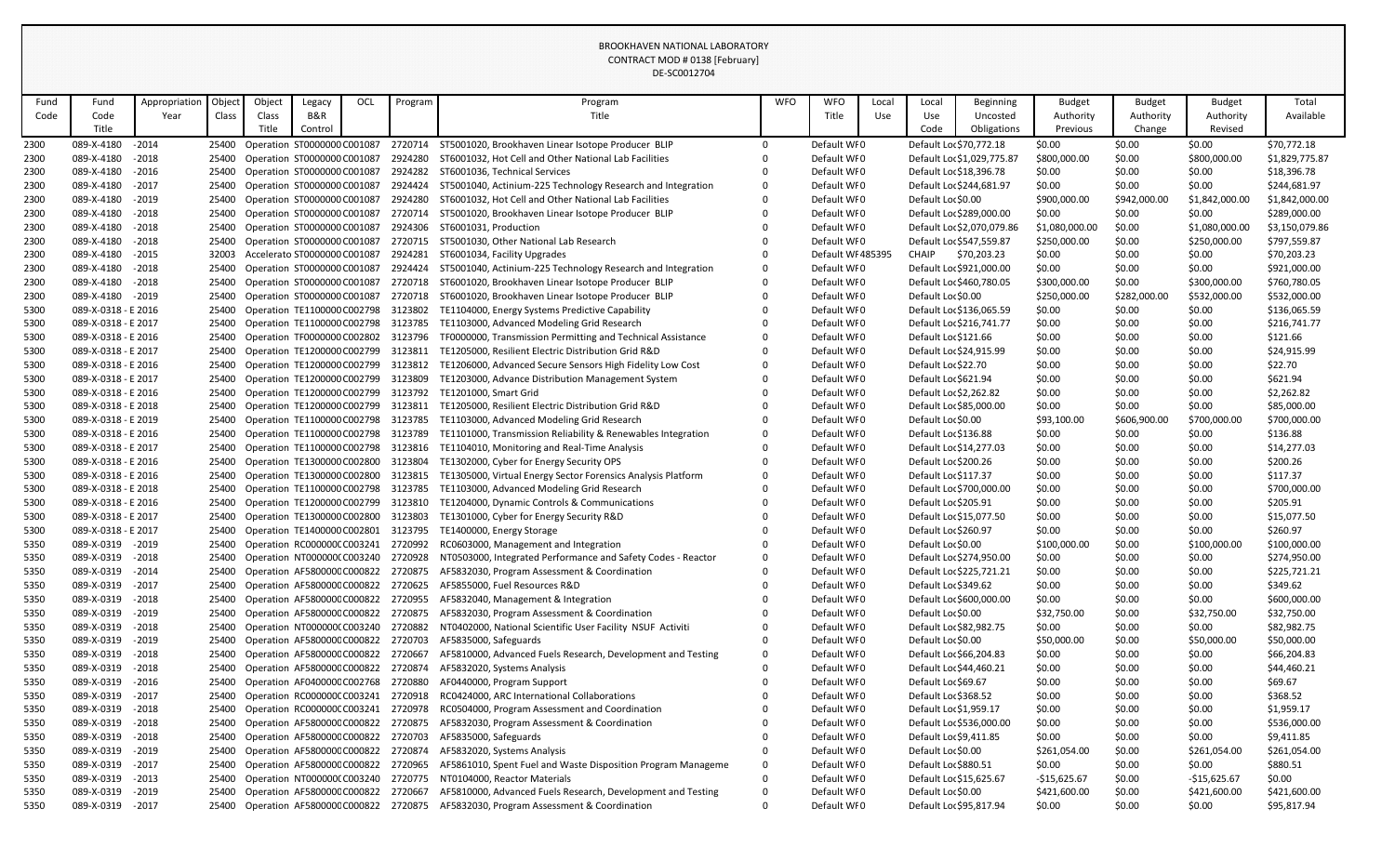|      |                     |               |       |        |                              |     |         | DE-SC0012704                                                                           |              |                   |       |                          |                            |                |               |                |                |
|------|---------------------|---------------|-------|--------|------------------------------|-----|---------|----------------------------------------------------------------------------------------|--------------|-------------------|-------|--------------------------|----------------------------|----------------|---------------|----------------|----------------|
| Fund | Fund                | Appropriation | Objec | Object | Legacy                       | OCL | Program | Program                                                                                | <b>WFO</b>   | <b>WFO</b>        | Local | Local                    | <b>Beginning</b>           | <b>Budget</b>  | <b>Budget</b> | <b>Budget</b>  | Total          |
| Code | Code                | Year          | Class | Class  | B&R                          |     |         | Title                                                                                  |              | Title             | Use   | Use                      | Uncosted                   | Authority      | Authority     | Authority      | Available      |
|      | Title               |               |       | Title  | Control                      |     |         |                                                                                        |              |                   |       | Code                     | Obligations                | Previous       | Change        | Revised        |                |
| 2300 | 089-X-4180          | $-2014$       | 25400 |        | Operation ST0000000 C001087  |     | 2720714 | ST5001020, Brookhaven Linear Isotope Producer BLIP                                     | $\Omega$     | Default WF0       |       | Default Loc \$70,772.18  |                            | \$0.00         | \$0.00        | \$0.00         | \$70,772.18    |
| 2300 | 089-X-4180          | $-2018$       | 25400 |        | Operation ST0000000 C001087  |     | 2924280 | ST6001032, Hot Cell and Other National Lab Facilities                                  |              | Default WF0       |       |                          | Default Loc \$1,029,775.87 | \$800,000.00   | \$0.00        | \$800,000.00   | \$1,829,775.87 |
| 2300 | 089-X-4180          | $-2016$       | 25400 |        | Operation ST0000000 C001087  |     | 2924282 | ST6001036, Technical Services                                                          |              | Default WF0       |       | Default Loc \$18,396.78  |                            | \$0.00         | \$0.00        | \$0.00         | \$18,396.78    |
| 2300 | 089-X-4180          | $-2017$       | 25400 |        | Operation ST0000000 C001087  |     | 2924424 | ST5001040, Actinium-225 Technology Research and Integration                            |              | Default WI0       |       | Default Loc \$244,681.97 |                            | \$0.00         | \$0.00        | \$0.00         | \$244,681.97   |
| 2300 | 089-X-4180          | $-2019$       | 25400 |        | Operation ST0000000 C001087  |     | 2924280 | ST6001032, Hot Cell and Other National Lab Facilities                                  |              | Default WI0       |       | Default Loc \$0.00       |                            | \$900,000.00   | \$942,000.00  | \$1,842,000.00 | \$1,842,000.00 |
| 2300 | 089-X-4180          | $-2018$       | 25400 |        | Operation ST0000000 C001087  |     | 2720714 | ST5001020, Brookhaven Linear Isotope Producer BLIP                                     |              | Default WI0       |       | Default Loc \$289,000.00 |                            | \$0.00         | \$0.00        | \$0.00         | \$289,000.00   |
| 2300 | 089-X-4180          | $-2018$       | 25400 |        | Operation ST0000000 C001087  |     | 2924306 | ST6001031, Production                                                                  |              | Default WI0       |       |                          | Default Loc \$2,070,079.86 | \$1,080,000.00 | \$0.00        | \$1,080,000.00 | \$3,150,079.86 |
| 2300 | 089-X-4180          | $-2018$       | 25400 |        | Operation ST0000000 C001087  |     | 2720715 | ST5001030, Other National Lab Research                                                 |              | Default WI0       |       | Default Loc \$547,559.87 |                            | \$250,000.00   | \$0.00        | \$250,000.00   | \$797,559.87   |
| 2300 | 089-X-4180          | $-2015$       | 32003 |        | Accelerato ST0000000 C001087 |     | 2924281 | ST6001034, Facility Upgrades                                                           |              | Default WI 485395 |       | CHAIP                    | \$70,203.23                | \$0.00         | \$0.00        | \$0.00         | \$70,203.23    |
| 2300 | 089-X-4180          | $-2018$       | 25400 |        | Operation ST0000000 C001087  |     | 2924424 | ST5001040, Actinium-225 Technology Research and Integration                            |              | Default WFO       |       | Default Loc \$921,000.00 |                            | \$0.00         | \$0.00        | \$0.00         | \$921,000.00   |
| 2300 | 089-X-4180          | $-2018$       | 25400 |        | Operation ST0000000 C001087  |     | 2720718 | ST6001020, Brookhaven Linear Isotope Producer BLIP                                     |              | Default WI0       |       | Default Loc \$460,780.05 |                            | \$300,000.00   | \$0.00        | \$300,000.00   | \$760,780.05   |
| 2300 | 089-X-4180          | $-2019$       | 25400 |        | Operation ST0000000 C001087  |     | 2720718 | ST6001020, Brookhaven Linear Isotope Producer BLIP                                     |              | Default WI0       |       | Default Loc \$0.00       |                            | \$250,000.00   | \$282,000.00  | \$532,000.00   | \$532,000.00   |
| 5300 | 089-X-0318 - E 2016 |               | 25400 |        | Operation TE1100000 C002798  |     | 3123802 | TE1104000, Energy Systems Predictive Capability                                        |              | Default WF0       |       | Default Loc \$136,065.59 |                            | \$0.00         | \$0.00        | \$0.00         | \$136,065.59   |
| 5300 | 089-X-0318 - E 2017 |               | 25400 |        | Operation TE1100000 C002798  |     | 3123785 | TE1103000, Advanced Modeling Grid Research                                             |              | Default WI0       |       | Default Loc \$216,741.77 |                            | \$0.00         | \$0.00        | \$0.00         | \$216,741.77   |
| 5300 | 089-X-0318 - E 2016 |               | 25400 |        | Operation TF0000000 C002802  |     | 3123796 | TF0000000, Transmission Permitting and Technical Assistance                            |              | Default WI0       |       | Default Loc \$121.66     |                            | \$0.00         | \$0.00        | \$0.00         | \$121.66       |
| 5300 | 089-X-0318 - E 2017 |               | 25400 |        | Operation TE1200000 C002799  |     | 3123811 | TE1205000, Resilient Electric Distribution Grid R&D                                    |              | Default WI0       |       | Default Loc \$24,915.99  |                            | \$0.00         | \$0.00        | \$0.00         | \$24,915.99    |
| 5300 | 089-X-0318 - E 2016 |               | 25400 |        | Operation TE1200000 C002799  |     | 3123812 | TE1206000, Advanced Secure Sensors High Fidelity Low Cost                              |              | Default WI0       |       | Default Loc \$22.70      |                            | \$0.00         | \$0.00        | \$0.00         | \$22.70        |
| 5300 | 089-X-0318 - E 2017 |               | 25400 |        | Operation TE1200000 C002799  |     | 3123809 | TE1203000, Advance Distribution Management System                                      |              | Default WI0       |       | Default Loc \$621.94     |                            | \$0.00         | \$0.00        | \$0.00         | \$621.94       |
| 5300 | 089-X-0318 - E 2016 |               | 25400 |        | Operation TE1200000 C002799  |     | 3123792 | TE1201000, Smart Grid                                                                  |              | Default WI0       |       | Default Loc \$2,262.82   |                            | \$0.00         | \$0.00        | \$0.00         | \$2,262.82     |
| 5300 | 089-X-0318 - E 2018 |               | 25400 |        | Operation TE1200000 C002799  |     | 3123811 | TE1205000, Resilient Electric Distribution Grid R&D                                    |              | Default WI0       |       | Default Loc \$85,000.00  |                            | \$0.00         | \$0.00        | \$0.00         | \$85,000.00    |
| 5300 | 089-X-0318 - E 2019 |               | 25400 |        | Operation TE1100000 C002798  |     | 3123785 | TE1103000, Advanced Modeling Grid Research                                             |              | Default WI0       |       | Default Loc \$0.00       |                            | \$93,100.00    | \$606,900.00  | \$700,000.00   | \$700,000.00   |
| 5300 | 089-X-0318 - E 2016 |               | 25400 |        | Operation TE1100000 C002798  |     | 3123789 | TE1101000, Transmission Reliability & Renewables Integration                           |              | Default WI0       |       | Default Loc \$136.88     |                            | \$0.00         | \$0.00        | \$0.00         | \$136.88       |
| 5300 | 089-X-0318 - E 2017 |               | 25400 |        | Operation TE1100000 C002798  |     | 3123816 | TE1104010, Monitoring and Real-Time Analysis                                           |              | Default WI0       |       | Default Loc \$14,277.03  |                            | \$0.00         | \$0.00        | \$0.00         | \$14,277.03    |
| 5300 | 089-X-0318 - E 2016 |               | 25400 |        | Operation TE1300000 C002800  |     | 3123804 | TE1302000, Cyber for Energy Security OPS                                               |              | Default WI0       |       | Default Loc \$200.26     |                            | \$0.00         | \$0.00        | \$0.00         | \$200.26       |
| 5300 | 089-X-0318 - E 2016 |               | 25400 |        | Operation TE1300000 C002800  |     | 3123815 | TE1305000, Virtual Energy Sector Forensics Analysis Platform                           |              | Default WI0       |       | Default Loc \$117.37     |                            | \$0.00         | \$0.00        | \$0.00         | \$117.37       |
| 5300 | 089-X-0318 - E 2018 |               | 25400 |        | Operation TE1100000 C002798  |     | 3123785 | TE1103000, Advanced Modeling Grid Research                                             |              | Default WI0       |       | Default Loc \$700,000.00 |                            | \$0.00         | \$0.00        | \$0.00         | \$700,000.00   |
| 5300 | 089-X-0318 - E 2016 |               |       |        |                              |     |         | 25400 Operation TE1200000 C002799 3123810 TE1204000, Dynamic Controls & Communications |              | Default WFO       |       | Default Loc \$205.91     |                            | \$0.00         | \$0.00        | \$0.00         | \$205.91       |
| 5300 | 089-X-0318 - E 2017 |               | 25400 |        | Operation TE1300000 C002800  |     | 3123803 | TE1301000, Cyber for Energy Security R&D                                               |              | Default WFO       |       | Default Loc \$15,077.50  |                            | \$0.00         | \$0.00        | \$0.00         | \$15,077.50    |
| 5300 | 089-X-0318 - E 2017 |               | 25400 |        | Operation TE1400000 C002801  |     | 3123795 | TE1400000, Energy Storage                                                              |              | Default WI0       |       | Default Loc \$260.97     |                            | \$0.00         | \$0.00        | \$0.00         | \$260.97       |
| 5350 | 089-X-0319          | $-2019$       | 25400 |        | Operation RC000000CC003241   |     | 2720992 | RC0603000, Management and Integration                                                  |              | Default WF0       |       | Default Loc \$0.00       |                            | \$100,000.00   | \$0.00        | \$100,000.00   | \$100,000.00   |
| 5350 | 089-X-0319          | $-2018$       | 25400 |        | Operation NT000000(C003240   |     | 2720928 | NT0503000, Integrated Performance and Safety Codes - Reactor                           |              | Default WI0       |       | Default Loc \$274,950.00 |                            | \$0.00         | \$0.00        | \$0.00         | \$274,950.00   |
| 5350 | 089-X-0319          | $-2014$       | 25400 |        | Operation AF580000CC000822   |     | 2720875 | AF5832030, Program Assessment & Coordination                                           |              | Default WI0       |       | Default Loc \$225,721.21 |                            | \$0.00         | \$0.00        | \$0.00         | \$225,721.21   |
| 5350 | 089-X-0319          | $-2017$       | 25400 |        | Operation AF580000CC000822   |     | 2720625 | AF5855000, Fuel Resources R&D                                                          |              | Default WI0       |       | Default Loc \$349.62     |                            | \$0.00         | \$0.00        | \$0.00         | \$349.62       |
| 5350 | 089-X-0319          | $-2018$       | 25400 |        | Operation AF580000CC000822   |     | 2720955 | AF5832040, Management & Integration                                                    |              | Default WI0       |       | Default Loc \$600,000.00 |                            | \$0.00         | \$0.00        | \$0.00         | \$600,000.00   |
| 5350 | 089-X-0319          | $-2019$       | 25400 |        | Operation AF580000CC000822   |     | 2720875 | AF5832030, Program Assessment & Coordination                                           |              | Default WI0       |       | Default Loc \$0.00       |                            | \$32,750.00    | \$0.00        | \$32,750.00    | \$32,750.00    |
| 5350 | 089-X-0319          | $-2018$       | 25400 |        | Operation NT000000(C003240   |     | 2720882 | NT0402000, National Scientific User Facility NSUF Activiti                             |              | Default WI0       |       | Default Loc \$82,982.75  |                            | \$0.00         | \$0.00        | \$0.00         | \$82,982.75    |
| 5350 | 089-X-0319          | $-2019$       | 25400 |        | Operation AF580000CC000822   |     | 2720703 | AF5835000, Safeguards                                                                  |              | Default WI0       |       | Default Loc \$0.00       |                            | \$50,000.00    | \$0.00        | \$50,000.00    | \$50,000.00    |
| 5350 | 089-X-0319          | $-2018$       | 25400 |        | Operation AF580000CC000822   |     | 2720667 | AF5810000, Advanced Fuels Research, Development and Testing                            | <sup>0</sup> | Default WF0       |       | Default Loc \$66,204.83  |                            | \$0.00         | \$0.00        | \$0.00         | \$66,204.83    |
| 5350 | 089-X-0319          | $-2018$       | 25400 |        | Operation AF580000CC000822   |     | 2720874 | AF5832020, Systems Analysis                                                            |              | Default WI0       |       | Default Loc \$44,460.21  |                            | \$0.00         | \$0.00        | \$0.00         | \$44,460.21    |
| 5350 | 089-X-0319          | $-2016$       | 25400 |        | Operation AF040000C C002768  |     | 2720880 | AF0440000, Program Support                                                             |              | Default WI0       |       | Default Loc \$69.67      |                            | \$0.00         | \$0.00        | \$0.00         | \$69.67        |
| 5350 | 089-X-0319          | $-2017$       | 25400 |        | Operation RC000000CC003241   |     | 2720918 | RC0424000, ARC International Collaborations                                            |              | Default WI0       |       | Default Loc \$368.52     |                            | \$0.00         | \$0.00        | \$0.00         | \$368.52       |
| 5350 | 089-X-0319          | $-2018$       | 25400 |        | Operation RC000000CC003241   |     | 2720978 | RC0504000, Program Assessment and Coordination                                         |              | Default WI0       |       | Default Loc \$1,959.17   |                            | \$0.00         | \$0.00        | \$0.00         | \$1,959.17     |
| 5350 | 089-X-0319          | $-2018$       | 25400 |        | Operation AF580000CC000822   |     | 2720875 | AF5832030, Program Assessment & Coordination                                           |              | Default WI0       |       | Default Loc \$536,000.00 |                            | \$0.00         | \$0.00        | \$0.00         | \$536,000.00   |
| 5350 | 089-X-0319          | $-2018$       | 25400 |        | Operation AF580000CC000822   |     | 2720703 | AF5835000, Safeguards                                                                  |              | Default WI0       |       | Default Loc \$9,411.85   |                            | \$0.00         | \$0.00        | \$0.00         | \$9,411.85     |
| 5350 | 089-X-0319          | $-2019$       | 25400 |        | Operation AF580000CC000822   |     | 2720874 | AF5832020, Systems Analysis                                                            |              | Default WI0       |       | Default Loc \$0.00       |                            | \$261,054.00   | \$0.00        | \$261,054.00   | \$261,054.00   |
| 5350 | 089-X-0319          | $-2017$       | 25400 |        | Operation AF580000CC000822   |     | 2720965 | AF5861010, Spent Fuel and Waste Disposition Program Manageme                           |              | Default WI0       |       | Default Loc \$880.51     |                            | \$0.00         | \$0.00        | \$0.00         | \$880.51       |
| 5350 | 089-X-0319          | $-2013$       | 25400 |        | Operation NT000000(C003240   |     | 2720775 | NT0104000, Reactor Materials                                                           |              | Default WI0       |       | Default Loc \$15,625.67  |                            | $-$15,625.67$  | \$0.00        | $-$15,625.67$  | \$0.00         |
| 5350 | 089-X-0319          | $-2019$       | 25400 |        | Operation AF580000CC000822   |     | 2720667 | AF5810000, Advanced Fuels Research, Development and Testing                            | 0            | Default WI0       |       | Default Loc \$0.00       |                            | \$421,600.00   | \$0.00        | \$421,600.00   | \$421,600.00   |
| 5350 | 089-X-0319          | $-2017$       | 25400 |        | Operation AF580000CC000822   |     | 2720875 | AF5832030, Program Assessment & Coordination                                           | 0            | Default WI0       |       | Default Loc \$95,817.94  |                            | \$0.00         | \$0.00        | \$0.00         | \$95,817.94    |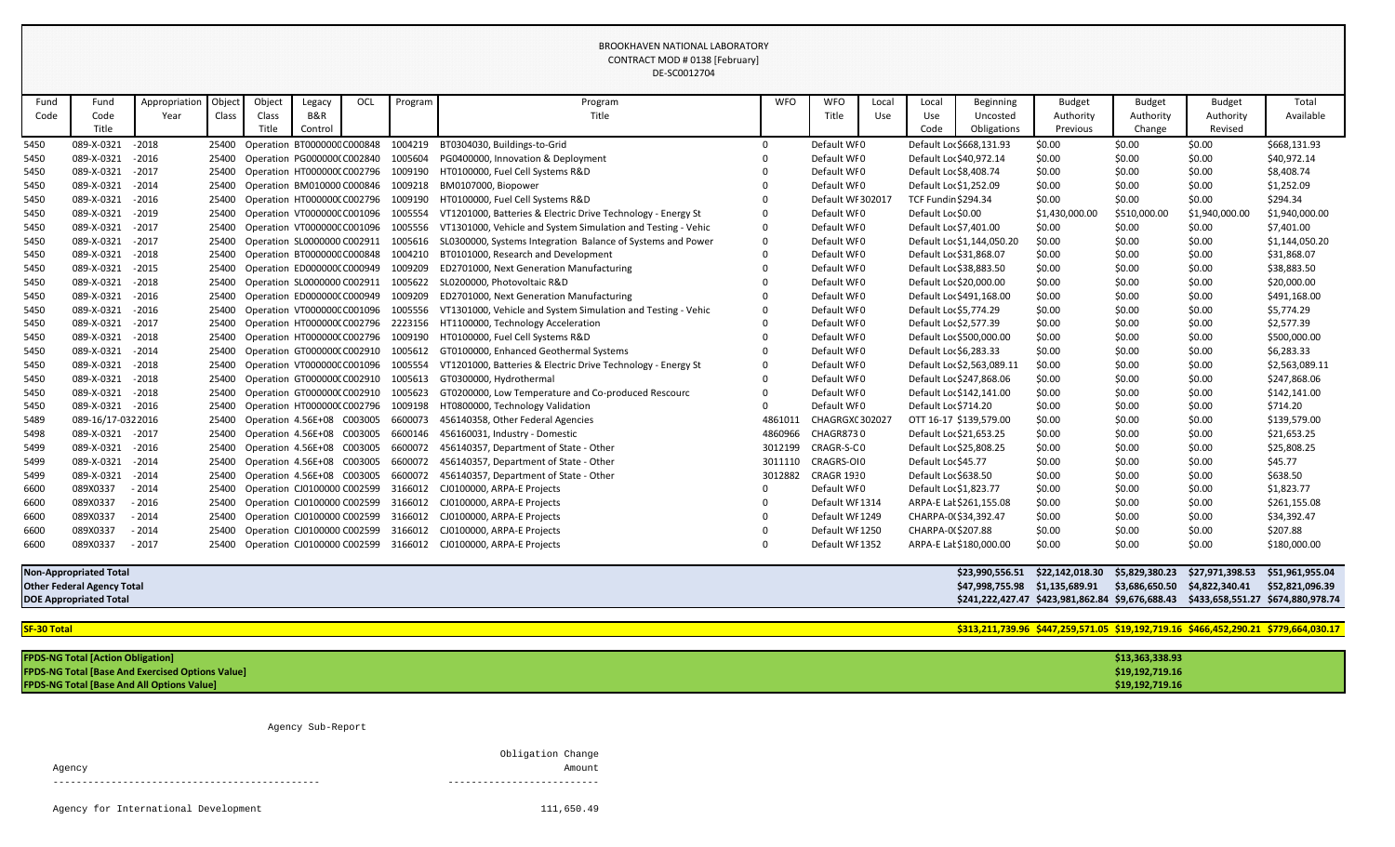|                    |                                   |               |        |        |                                   |     |         | DE-SC0012704                                                         |            |                   |             |                        |                            |                                                                                     |                 |                |                |
|--------------------|-----------------------------------|---------------|--------|--------|-----------------------------------|-----|---------|----------------------------------------------------------------------|------------|-------------------|-------------|------------------------|----------------------------|-------------------------------------------------------------------------------------|-----------------|----------------|----------------|
| Fund               | Fund                              | Appropriation | Object | Object | Legacy                            | OCL | Program | Program                                                              | <b>WFO</b> | <b>WFO</b>        | Local       | Local                  | <b>Beginning</b>           | <b>Budget</b>                                                                       | <b>Budget</b>   | <b>Budget</b>  | Total          |
| Code               | Code                              | Year          | Class  | Class  | B&R                               |     |         | Title                                                                |            | Title             | Use         | Use                    | Uncosted                   | Authority                                                                           | Authority       | Authority      | Available      |
|                    | Title                             |               |        | Title  | Control                           |     |         |                                                                      |            |                   |             | Code                   | Obligations                | Previous                                                                            | Change          | Revised        |                |
| 5450               | 089-X-0321                        | $-2018$       |        |        | 25400 Operation BT000000C C000848 |     | 1004219 | BT0304030, Buildings-to-Grid                                         | $\Omega$   | Default WF0       |             |                        | Default Loc \$668,131.93   | \$0.00                                                                              | \$0.00          | \$0.00         | \$668,131.93   |
| 5450               | 089-X-0321                        | $-2016$       |        |        | 25400 Operation PG000000(C002840  |     | 1005604 | PG0400000, Innovation & Deployment                                   |            | Default WI0       |             |                        | Default Loc \$40,972.14    | \$0.00                                                                              | \$0.00          | \$0.00         | \$40,972.14    |
| 5450               | 089-X-0321                        | $-2017$       | 25400  |        | Operation HT0000000 C002796       |     | 1009190 | HT0100000, Fuel Cell Systems R&D                                     |            | Default WF0       |             |                        | Default Loc \$8,408.74     | \$0.00                                                                              | \$0.00          | \$0.00         | \$8,408.74     |
| 5450               | 089-X-0321                        | $-2014$       | 25400  |        | Operation BM010000 C000846        |     | 1009218 | BM0107000, Biopower                                                  |            | Default WI0       |             |                        | Default Loc \$1,252.09     | \$0.00                                                                              | \$0.00          | \$0.00         | \$1,252.09     |
| 5450               | 089-X-0321                        | $-2016$       | 25400  |        | Operation HT000000CC002796        |     | 1009190 | HT0100000, Fuel Cell Systems R&D                                     |            | Default WI 30201  |             |                        | <b>TCF Fundin \$294.34</b> | \$0.00                                                                              | \$0.00          | \$0.00         | \$294.34       |
| 5450               | 089-X-0321                        | $-2019$       | 25400  |        | Operation VT000000C C001096       |     | 1005554 | VT1201000, Batteries & Electric Drive Technology - Energy St         |            | Default WI0       |             | Default Loc \$0.00     |                            | \$1,430,000.00                                                                      | \$510,000.00    | \$1,940,000.00 | \$1,940,000.00 |
| 5450               | 089-X-0321                        | $-2017$       |        |        | 25400 Operation VT000000CC001096  |     | 1005556 | VT1301000, Vehicle and System Simulation and Testing - Vehic         | 0          | Default WI0       |             |                        | Default Loc \$7,401.00     | \$0.00                                                                              | \$0.00          | \$0.00         | \$7,401.00     |
| 5450               | 089-X-0321                        | $-2017$       |        |        | 25400 Operation SL0000000 C002911 |     | 1005616 | SL0300000, Systems Integration Balance of Systems and Power          | 0          | Default WI0       |             |                        | Default Loc \$1,144,050.20 | \$0.00                                                                              | \$0.00          | \$0.00         | \$1,144,050.20 |
| 5450               | 089-X-0321                        | $-2018$       | 25400  |        | Operation BT000000C C000848       |     | 1004210 | BT0101000, Research and Development                                  |            | Default WI0       |             |                        | Default Loc \$31,868.07    | \$0.00                                                                              | \$0.00          | \$0.00         | \$31,868.07    |
| 5450               | 089-X-0321                        | $-2015$       | 25400  |        | Operation ED0000000 C000949       |     | 1009209 | ED2701000, Next Generation Manufacturing                             |            | Default WI0       |             |                        | Default Loc \$38,883.50    | \$0.00                                                                              | \$0.00          | \$0.00         | \$38,883.50    |
| 5450               | 089-X-0321                        | $-2018$       | 25400  |        | Operation SL0000000 C002911       |     | 1005622 | SL0200000, Photovoltaic R&D                                          |            | Default WI0       |             |                        | Default Loc \$20,000.00    | \$0.00                                                                              | \$0.00          | \$0.00         | \$20,000.00    |
| 5450               | 089-X-0321                        | $-2016$       | 25400  |        | Operation ED000000(C000949        |     | 1009209 | ED2701000, Next Generation Manufacturing                             |            | Default WI0       |             |                        | Default Loc \$491,168.00   | \$0.00                                                                              | \$0.00          | \$0.00         | \$491,168.00   |
| 5450               | 089-X-0321                        | $-2016$       |        |        | 25400 Operation VT000000CC001096  |     | 1005556 | VT1301000, Vehicle and System Simulation and Testing - Vehic         |            |                   | Default WI0 |                        | Default Loc \$5,774.29     | \$0.00                                                                              | \$0.00          | \$0.00         | \$5,774.29     |
| 5450               | 089-X-0321                        | $-2017$       | 25400  |        | Operation HT0000000 C002796       |     | 2223156 | HT1100000, Technology Acceleration                                   |            |                   | Default WI0 |                        | Default Loc \$2,577.39     | \$0.00                                                                              | \$0.00          | \$0.00         | \$2,577.39     |
| 5450               | 089-X-0321                        | $-2018$       | 25400  |        | Operation HT0000000 C002796       |     | 1009190 | HT0100000, Fuel Cell Systems R&D                                     |            |                   | Default WI0 |                        | Default Loc \$500,000.00   | \$0.00                                                                              | \$0.00          | \$0.00         | \$500,000.00   |
| 5450               | 089-X-0321                        | $-2014$       | 25400  |        | Operation GT000000(C002910        |     | 1005612 | GT0100000, Enhanced Geothermal Systems                               |            | Default WI0       |             | Default Loc \$6,283.33 |                            | \$0.00                                                                              | \$0.00          | \$0.00         | \$6,283.33     |
| 5450               | 089-X-0321                        | $-2018$       | 25400  |        | Operation VT000000CC001096        |     | 1005554 | VT1201000, Batteries & Electric Drive Technology - Energy St         |            | Default WI0       |             |                        | Default Loc \$2,563,089.11 | \$0.00                                                                              | \$0.00          | \$0.00         | \$2,563,089.11 |
| 5450               | 089-X-0321                        | $-2018$       |        |        | 25400 Operation GT0000000 C002910 |     | 1005613 | GT0300000, Hydrothermal                                              |            | Default WI0       |             |                        | Default Loc \$247,868.06   | \$0.00                                                                              | \$0.00          | \$0.00         | \$247,868.06   |
| 5450               | 089-X-0321                        | $-2018$       |        |        | 25400 Operation GT000000(C002910  |     | 1005623 | GT0200000, Low Temperature and Co-produced Rescourc                  |            | Default WI0       |             |                        | Default Loc \$142,141.00   | \$0.00                                                                              | \$0.00          | \$0.00         | \$142,141.00   |
| 5450               | 089-X-0321                        | $-2016$       | 25400  |        | Operation HT0000000 C002796       |     | 1009198 | HT0800000, Technology Validation                                     |            | Default WI0       |             |                        | Default Loc \$714.20       | \$0.00                                                                              | \$0.00          | \$0.00         | \$714.20       |
| 5489               | 089-16/17-0322016                 |               | 25400  |        | Operation 4.56E+08 C003005        |     | 6600073 | 456140358, Other Federal Agencies                                    | 4861011    | CHAGRGXC 30202    |             |                        | OTT 16-17 \$139,579.00     | \$0.00                                                                              | \$0.00          | \$0.00         | \$139,579.00   |
| 5498               | 089-X-0321                        | $-2017$       | 25400  |        | Operation 4.56E+08 C003005        |     | 6600146 | 456160031, Industry - Domestic                                       | 4860966    | <b>CHAGR8730</b>  |             |                        | Default Loc \$21,653.25    | \$0.00                                                                              | \$0.00          | \$0.00         | \$21,653.25    |
| 5499               | 089-X-0321                        | $-2016$       |        |        | 25400 Operation 4.56E+08 C003005  |     | 6600072 | 456140357, Department of State - Other                               | 3012199    | CRAGR-S-CO        |             |                        | Default Loc \$25,808.25    | \$0.00                                                                              | \$0.00          | \$0.00         | \$25,808.25    |
| 5499               | 089-X-0321                        | $-2014$       |        |        | 25400 Operation 4.56E+08 C003005  |     | 6600072 | 456140357, Department of State - Other                               | 3011110    | CRAGRS-OI0        |             | Default Loc \$45.77    |                            | \$0.00                                                                              | \$0.00          | \$0.00         | \$45.77        |
| 5499               | 089-X-0321                        | $-2014$       | 25400  |        | Operation 4.56E+08 C003005        |     | 6600072 | 456140357, Department of State - Other                               | 3012882    | <b>CRAGR 1930</b> |             |                        | Default Loc \$638.50       | \$0.00                                                                              | \$0.00          | \$0.00         | \$638.50       |
| 6600               | 089X0337                          | $-2014$       |        |        | 25400 Operation CJ0100000 C002599 |     | 3166012 | CJ0100000, ARPA-E Projects                                           |            | Default WI0       |             |                        | Default Loc \$1,823.77     | \$0.00                                                                              | \$0.00          | \$0.00         | \$1,823.77     |
| 6600               | 089X0337                          | - 2016        |        |        |                                   |     |         | 25400 Operation CJ0100000 C002599 3166012 CJ0100000, ARPA-E Projects |            | Default WI 1314   |             |                        | ARPA-E Lat \$261,155.08    | \$0.00                                                                              | \$0.00          | \$0.00         | \$261,155.08   |
| 6600               | 089X0337                          | $-2014$       |        |        |                                   |     |         | 25400 Operation CJ0100000 C002599 3166012 CJ0100000, ARPA-E Projects |            | Default WI 1249   |             |                        | CHARPA-0(\$34,392.47       | \$0.00                                                                              | \$0.00          | \$0.00         | \$34,392.47    |
| 6600               | 089X0337                          | $-2014$       |        |        |                                   |     |         | 25400 Operation CJ0100000 C002599 3166012 CJ0100000, ARPA-E Projects |            | Default WI 1250   |             |                        | CHARPA-0(\$207.88          | \$0.00                                                                              | \$0.00          | \$0.00         | \$207.88       |
| 6600               | 089X0337                          | $-2017$       |        |        |                                   |     |         | 25400 Operation CJ0100000 C002599 3166012 CJ0100000, ARPA-E Projects |            | Default WI 1352   |             |                        | ARPA-E Lat \$180,000.00    | \$0.00                                                                              | \$0.00          | \$0.00         | \$180,000.00   |
|                    | <b>Non-Appropriated Total</b>     |               |        |        |                                   |     |         |                                                                      |            |                   |             |                        |                            | \$23,990,556.51 \$22,142,018.30                                                     |                 |                |                |
|                    | <b>Other Federal Agency Total</b> |               |        |        |                                   |     |         |                                                                      |            |                   |             |                        |                            | \$3,686,650.50 \$4,822,340.41                                                       | \$52,821,096.39 |                |                |
|                    | <b>DOE Appropriated Total</b>     |               |        |        |                                   |     |         |                                                                      |            |                   |             |                        |                            | \$241,222,427.47 \$423,981,862.84 \$9,676,688.43 \$433,658,551.27 \$674,880,978.74  |                 |                |                |
| <b>SF-30 Total</b> |                                   |               |        |        |                                   |     |         |                                                                      |            |                   |             |                        |                            | \$313,211,739.96 \$447,259,571.05 \$19,192,719.16 \$466,452,290.21 \$779,664,030.17 |                 |                |                |
|                    |                                   |               |        |        |                                   |     |         |                                                                      |            |                   |             |                        |                            |                                                                                     |                 |                |                |

**FPDS-NG Total [Action Obligation] \$13,363,338.93 FPDS-NG Total [Base And Exercised Options Value] \$19,192,719.16 FPDS-NG Total [Base And All Options Value]** 

Agency Sub-Report

| Agency |                   | Amount |
|--------|-------------------|--------|
|        | Obligation Change |        |

| \$19,192,719.16 |  |
|-----------------|--|
|                 |  |
| \$19,192,719.16 |  |